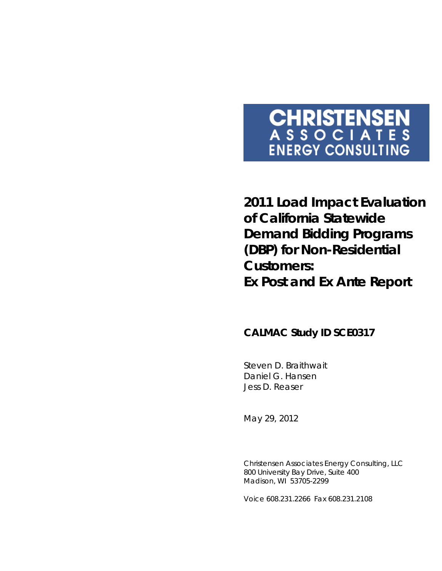# **CHRISTENSEN**<br>ASSOCIATES **ENERGY CONSULTING**

**2011 Load Impact Evaluation of California Statewide Demand Bidding Programs (DBP) for Non-Residential Customers: Ex Post and Ex Ante Report**

### **CALMAC Study ID SCE0317**

Steven D. Braithwait Daniel G. Hansen Jess D. Reaser

*May 29, 2012*

Christensen Associates Energy Consulting, LLC 800 University Bay Drive, Suite 400 Madison, WI 53705-2299

Voice 608.231.2266 Fax 608.231.2108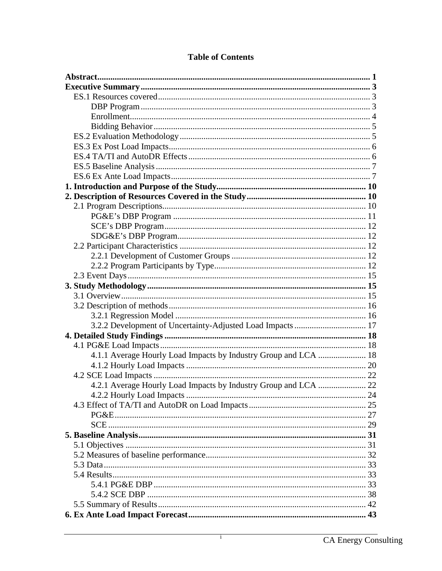| 4.1.1 Average Hourly Load Impacts by Industry Group and LCA  18 |  |
|-----------------------------------------------------------------|--|
|                                                                 |  |
|                                                                 |  |
|                                                                 |  |
|                                                                 |  |
|                                                                 |  |
|                                                                 |  |
|                                                                 |  |
|                                                                 |  |
|                                                                 |  |
|                                                                 |  |
|                                                                 |  |
|                                                                 |  |
|                                                                 |  |
|                                                                 |  |
|                                                                 |  |
|                                                                 |  |

#### **Table of Contents**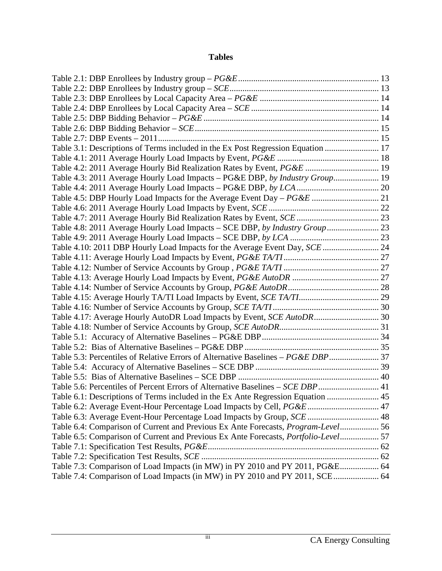#### **Tables**

| Table 3.1: Descriptions of Terms included in the Ex Post Regression Equation  17           |  |
|--------------------------------------------------------------------------------------------|--|
|                                                                                            |  |
| Table 4.2: 2011 Average Hourly Bid Realization Rates by Event, PG&E  19                    |  |
| Table 4.3: 2011 Average Hourly Load Impacts - PG&E DBP, by Industry Group 19               |  |
|                                                                                            |  |
|                                                                                            |  |
|                                                                                            |  |
|                                                                                            |  |
| Table 4.8: 2011 Average Hourly Load Impacts - SCE DBP, by Industry Group  23               |  |
|                                                                                            |  |
| Table 4.10: 2011 DBP Hourly Load Impacts for the Average Event Day, SCE  24                |  |
|                                                                                            |  |
|                                                                                            |  |
|                                                                                            |  |
|                                                                                            |  |
|                                                                                            |  |
|                                                                                            |  |
| Table 4.17: Average Hourly AutoDR Load Impacts by Event, SCE AutoDR 30                     |  |
|                                                                                            |  |
|                                                                                            |  |
|                                                                                            |  |
| Table 5.3: Percentiles of Relative Errors of Alternative Baselines - PG&E DBP 37           |  |
|                                                                                            |  |
|                                                                                            |  |
| Table 5.6: Percentiles of Percent Errors of Alternative Baselines - SCE DBP 41             |  |
| Table 6.1: Descriptions of Terms included in the Ex Ante Regression Equation  45           |  |
| Table 6.2: Average Event-Hour Percentage Load Impacts by Cell, PG&E  47                    |  |
|                                                                                            |  |
| Table 6.4: Comparison of Current and Previous Ex Ante Forecasts, Program-Level 56          |  |
| Table 6.5: Comparison of Current and Previous Ex Ante Forecasts, <i>Portfolio-Level</i> 57 |  |
|                                                                                            |  |
|                                                                                            |  |
| Table 7.3: Comparison of Load Impacts (in MW) in PY 2010 and PY 2011, PG&E 64              |  |
| Table 7.4: Comparison of Load Impacts (in MW) in PY 2010 and PY 2011, SCE 64               |  |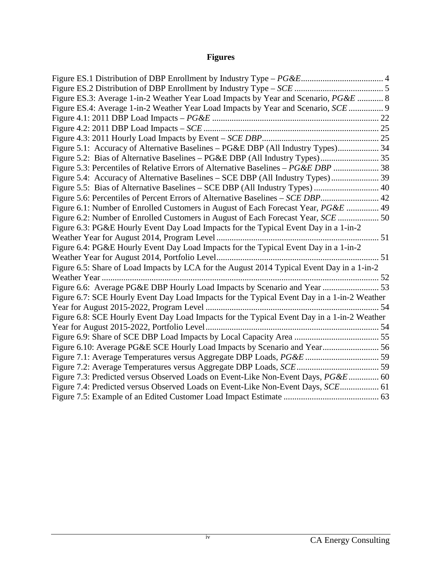## **Figures**

| Figure ES.3: Average 1-in-2 Weather Year Load Impacts by Year and Scenario, PG&E  8         |  |
|---------------------------------------------------------------------------------------------|--|
| Figure ES.4: Average 1-in-2 Weather Year Load Impacts by Year and Scenario, SCE  9          |  |
|                                                                                             |  |
|                                                                                             |  |
|                                                                                             |  |
| Figure 5.1: Accuracy of Alternative Baselines – PG&E DBP (All Industry Types) 34            |  |
|                                                                                             |  |
| Figure 5.3: Percentiles of Relative Errors of Alternative Baselines - PG&E DBP  38          |  |
|                                                                                             |  |
|                                                                                             |  |
| Figure 5.6: Percentiles of Percent Errors of Alternative Baselines - SCE DBP 42             |  |
| Figure 6.1: Number of Enrolled Customers in August of Each Forecast Year, PG&E  49          |  |
|                                                                                             |  |
| Figure 6.3: PG&E Hourly Event Day Load Impacts for the Typical Event Day in a 1-in-2        |  |
|                                                                                             |  |
| Figure 6.4: PG&E Hourly Event Day Load Impacts for the Typical Event Day in a 1-in-2        |  |
|                                                                                             |  |
| Figure 6.5: Share of Load Impacts by LCA for the August 2014 Typical Event Day in a 1-in-2  |  |
|                                                                                             |  |
| Figure 6.6: Average PG&E DBP Hourly Load Impacts by Scenario and Year  53                   |  |
| Figure 6.7: SCE Hourly Event Day Load Impacts for the Typical Event Day in a 1-in-2 Weather |  |
|                                                                                             |  |
| Figure 6.8: SCE Hourly Event Day Load Impacts for the Typical Event Day in a 1-in-2 Weather |  |
|                                                                                             |  |
|                                                                                             |  |
| Figure 6.10: Average PG&E SCE Hourly Load Impacts by Scenario and Year 56                   |  |
| Figure 7.1: Average Temperatures versus Aggregate DBP Loads, PG&E  59                       |  |
|                                                                                             |  |
| Figure 7.3: Predicted versus Observed Loads on Event-Like Non-Event Days, PG&E 60           |  |
| Figure 7.4: Predicted versus Observed Loads on Event-Like Non-Event Days, SCE 61            |  |
|                                                                                             |  |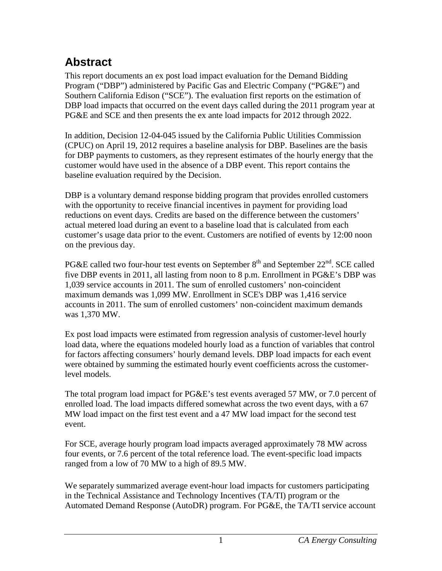## <span id="page-5-0"></span>**Abstract**

This report documents an ex post load impact evaluation for the Demand Bidding Program ("DBP") administered by Pacific Gas and Electric Company ("PG&E") and Southern California Edison ("SCE"). The evaluation first reports on the estimation of DBP load impacts that occurred on the event days called during the 2011 program year at PG&E and SCE and then presents the ex ante load impacts for 2012 through 2022.

In addition, Decision 12-04-045 issued by the California Public Utilities Commission (CPUC) on April 19, 2012 requires a baseline analysis for DBP. Baselines are the basis for DBP payments to customers, as they represent estimates of the hourly energy that the customer would have used in the absence of a DBP event. This report contains the baseline evaluation required by the Decision.

DBP is a voluntary demand response bidding program that provides enrolled customers with the opportunity to receive financial incentives in payment for providing load reductions on event days. Credits are based on the difference between the customers' actual metered load during an event to a baseline load that is calculated from each customer's usage data prior to the event. Customers are notified of events by 12:00 noon on the previous day.

PG&E called two four-hour test events on September  $8<sup>th</sup>$  and September  $22<sup>nd</sup>$ . SCE called five DBP events in 2011, all lasting from noon to 8 p.m. Enrollment in PG&E's DBP was 1,039 service accounts in 2011. The sum of enrolled customers' non-coincident maximum demands was 1,099 MW. Enrollment in SCE's DBP was 1,416 service accounts in 2011. The sum of enrolled customers' non-coincident maximum demands was 1,370 MW.

Ex post load impacts were estimated from regression analysis of customer-level hourly load data, where the equations modeled hourly load as a function of variables that control for factors affecting consumers' hourly demand levels. DBP load impacts for each event were obtained by summing the estimated hourly event coefficients across the customerlevel models.

The total program load impact for PG&E's test events averaged 57 MW, or 7.0 percent of enrolled load. The load impacts differed somewhat across the two event days, with a 67 MW load impact on the first test event and a 47 MW load impact for the second test event.

For SCE, average hourly program load impacts averaged approximately 78 MW across four events, or 7.6 percent of the total reference load. The event-specific load impacts ranged from a low of 70 MW to a high of 89.5 MW.

We separately summarized average event-hour load impacts for customers participating in the Technical Assistance and Technology Incentives (TA/TI) program or the Automated Demand Response (AutoDR) program. For PG&E, the TA/TI service account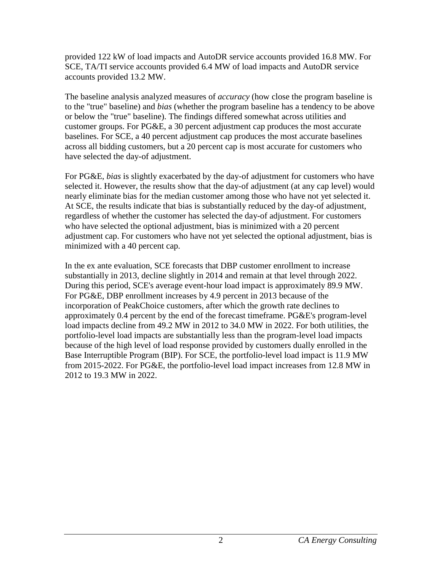provided 122 kW of load impacts and AutoDR service accounts provided 16.8 MW. For SCE, TA/TI service accounts provided 6.4 MW of load impacts and AutoDR service accounts provided 13.2 MW.

The baseline analysis analyzed measures of *accuracy* (how close the program baseline is to the "true" baseline) and *bias* (whether the program baseline has a tendency to be above or below the "true" baseline). The findings differed somewhat across utilities and customer groups. For PG&E, a 30 percent adjustment cap produces the most accurate baselines. For SCE, a 40 percent adjustment cap produces the most accurate baselines across all bidding customers, but a 20 percent cap is most accurate for customers who have selected the day-of adjustment.

For PG&E, *bias* is slightly exacerbated by the day-of adjustment for customers who have selected it. However, the results show that the day-of adjustment (at any cap level) would nearly eliminate bias for the median customer among those who have not yet selected it. At SCE, the results indicate that bias is substantially reduced by the day-of adjustment, regardless of whether the customer has selected the day-of adjustment. For customers who have selected the optional adjustment, bias is minimized with a 20 percent adjustment cap. For customers who have not yet selected the optional adjustment, bias is minimized with a 40 percent cap.

In the ex ante evaluation, SCE forecasts that DBP customer enrollment to increase substantially in 2013, decline slightly in 2014 and remain at that level through 2022. During this period, SCE's average event-hour load impact is approximately 89.9 MW. For PG&E, DBP enrollment increases by 4.9 percent in 2013 because of the incorporation of PeakChoice customers, after which the growth rate declines to approximately 0.4 percent by the end of the forecast timeframe. PG&E's program-level load impacts decline from 49.2 MW in 2012 to 34.0 MW in 2022. For both utilities, the portfolio-level load impacts are substantially less than the program-level load impacts because of the high level of load response provided by customers dually enrolled in the Base Interruptible Program (BIP). For SCE, the portfolio-level load impact is 11.9 MW from 2015-2022. For PG&E, the portfolio-level load impact increases from 12.8 MW in 2012 to 19.3 MW in 2022.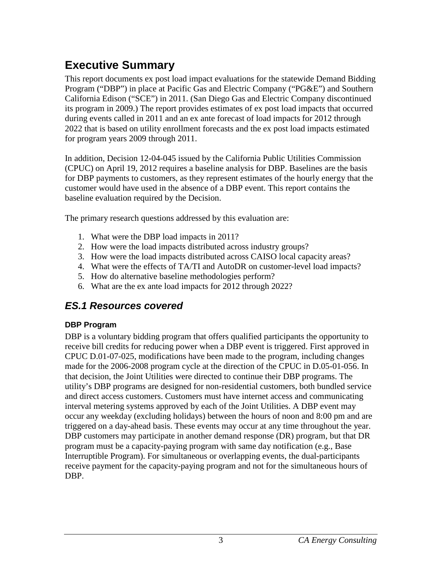## <span id="page-7-0"></span>**Executive Summary**

This report documents ex post load impact evaluations for the statewide Demand Bidding Program ("DBP") in place at Pacific Gas and Electric Company ("PG&E") and Southern California Edison ("SCE") in 2011. (San Diego Gas and Electric Company discontinued its program in 2009.) The report provides estimates of ex post load impacts that occurred during events called in 2011 and an ex ante forecast of load impacts for 2012 through 2022 that is based on utility enrollment forecasts and the ex post load impacts estimated for program years 2009 through 2011.

In addition, Decision 12-04-045 issued by the California Public Utilities Commission (CPUC) on April 19, 2012 requires a baseline analysis for DBP. Baselines are the basis for DBP payments to customers, as they represent estimates of the hourly energy that the customer would have used in the absence of a DBP event. This report contains the baseline evaluation required by the Decision.

The primary research questions addressed by this evaluation are:

- 1. What were the DBP load impacts in 2011?
- 2. How were the load impacts distributed across industry groups?
- 3. How were the load impacts distributed across CAISO local capacity areas?
- 4. What were the effects of TA/TI and AutoDR on customer-level load impacts?
- 5. How do alternative baseline methodologies perform?
- 6. What are the ex ante load impacts for 2012 through 2022?

## <span id="page-7-1"></span>*ES.1 Resources covered*

### <span id="page-7-2"></span>**DBP Program**

DBP is a voluntary bidding program that offers qualified participants the opportunity to receive bill credits for reducing power when a DBP event is triggered. First approved in CPUC D.01-07-025, modifications have been made to the program, including changes made for the 2006-2008 program cycle at the direction of the CPUC in D.05-01-056. In that decision, the Joint Utilities were directed to continue their DBP programs. The utility's DBP programs are designed for non-residential customers, both bundled service and direct access customers. Customers must have internet access and communicating interval metering systems approved by each of the Joint Utilities. A DBP event may occur any weekday (excluding holidays) between the hours of noon and 8:00 pm and are triggered on a day-ahead basis. These events may occur at any time throughout the year. DBP customers may participate in another demand response (DR) program, but that DR program must be a capacity-paying program with same day notification (e.g., Base Interruptible Program). For simultaneous or overlapping events, the dual-participants receive payment for the capacity-paying program and not for the simultaneous hours of DBP.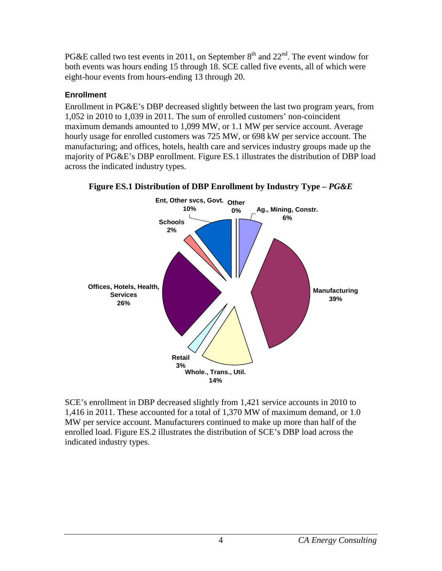PG&E called two test events in 2011, on September  $8<sup>th</sup>$  and  $22<sup>nd</sup>$ . The event window for both events was hours ending 15 through 18. SCE called five events, all of which were eight-hour events from hours-ending 13 through 20.

#### <span id="page-8-0"></span>**Enrollment**

Enrollment in PG&E's DBP decreased slightly between the last two program years, from 1,052 in 2010 to 1,039 in 2011. The sum of enrolled customers' non-coincident maximum demands amounted to 1,099 MW, or 1.1 MW per service account. Average hourly usage for enrolled customers was 725 MW, or 698 kW per service account. The manufacturing; and offices, hotels, health care and services industry groups made up the majority of PG&E's DBP enrollment. Figure ES.1 illustrates the distribution of DBP load across the indicated industry types.

<span id="page-8-1"></span>

**Figure ES.1 Distribution of DBP Enrollment by Industry Type –** *PG&E*

SCE's enrollment in DBP decreased slightly from 1,421 service accounts in 2010 to 1,416 in 2011. These accounted for a total of 1,370 MW of maximum demand, or 1.0 MW per service account. Manufacturers continued to make up more than half of the enrolled load. Figure ES.2 illustrates the distribution of SCE's DBP load across the indicated industry types.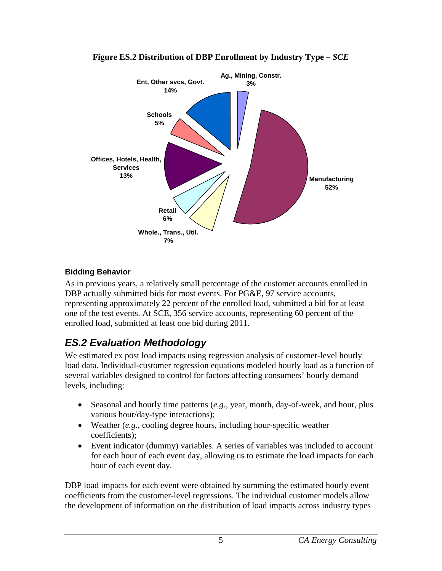<span id="page-9-2"></span>

#### **Figure ES.2 Distribution of DBP Enrollment by Industry Type –** *SCE*

### <span id="page-9-0"></span>**Bidding Behavior**

As in previous years, a relatively small percentage of the customer accounts enrolled in DBP actually submitted bids for most events. For PG&E, 97 service accounts, representing approximately 22 percent of the enrolled load, submitted a bid for at least one of the test events. At SCE, 356 service accounts, representing 60 percent of the enrolled load, submitted at least one bid during 2011.

## <span id="page-9-1"></span>*ES.2 Evaluation Methodology*

We estimated ex post load impacts using regression analysis of customer-level hourly load data. Individual-customer regression equations modeled hourly load as a function of several variables designed to control for factors affecting consumers' hourly demand levels, including:

- Seasonal and hourly time patterns (*e.g.*, year, month, day-of-week, and hour, plus various hour/day-type interactions);
- Weather (*e.g.*, cooling degree hours, including hour-specific weather coefficients);
- Event indicator (dummy) variables. A series of variables was included to account for each hour of each event day, allowing us to estimate the load impacts for each hour of each event day.

DBP load impacts for each event were obtained by summing the estimated hourly event coefficients from the customer-level regressions. The individual customer models allow the development of information on the distribution of load impacts across industry types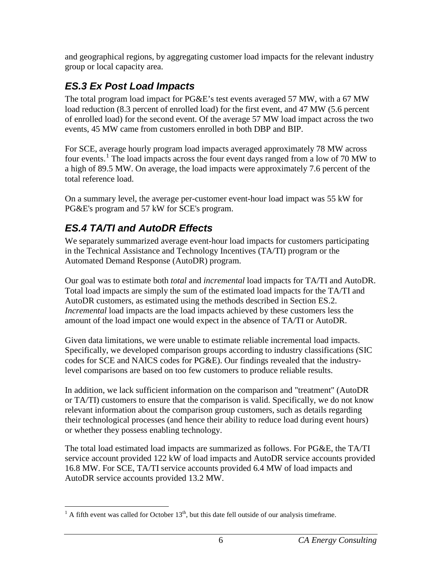and geographical regions, by aggregating customer load impacts for the relevant industry group or local capacity area.

## <span id="page-10-0"></span>*ES.3 Ex Post Load Impacts*

The total program load impact for PG&E's test events averaged 57 MW, with a 67 MW load reduction (8.3 percent of enrolled load) for the first event, and 47 MW (5.6 percent of enrolled load) for the second event. Of the average 57 MW load impact across the two events, 45 MW came from customers enrolled in both DBP and BIP.

For SCE, average hourly program load impacts averaged approximately 78 MW across four events.<sup>[1](#page-10-2)</sup> The load impacts across the four event days ranged from a low of 70 MW to a high of 89.5 MW. On average, the load impacts were approximately 7.6 percent of the total reference load.

On a summary level, the average per-customer event-hour load impact was 55 kW for PG&E's program and 57 kW for SCE's program.

## <span id="page-10-1"></span>*ES.4 TA/TI and AutoDR Effects*

We separately summarized average event-hour load impacts for customers participating in the Technical Assistance and Technology Incentives (TA/TI) program or the Automated Demand Response (AutoDR) program.

Our goal was to estimate both *total* and *incremental* load impacts for TA/TI and AutoDR. Total load impacts are simply the sum of the estimated load impacts for the TA/TI and AutoDR customers, as estimated using the methods described in Section ES.2. *Incremental* load impacts are the load impacts achieved by these customers less the amount of the load impact one would expect in the absence of TA/TI or AutoDR.

Given data limitations, we were unable to estimate reliable incremental load impacts. Specifically, we developed comparison groups according to industry classifications (SIC codes for SCE and NAICS codes for PG&E). Our findings revealed that the industrylevel comparisons are based on too few customers to produce reliable results.

In addition, we lack sufficient information on the comparison and "treatment" (AutoDR or TA/TI) customers to ensure that the comparison is valid. Specifically, we do not know relevant information about the comparison group customers, such as details regarding their technological processes (and hence their ability to reduce load during event hours) or whether they possess enabling technology.

The total load estimated load impacts are summarized as follows. For PG&E, the TA/TI service account provided 122 kW of load impacts and AutoDR service accounts provided 16.8 MW. For SCE, TA/TI service accounts provided 6.4 MW of load impacts and AutoDR service accounts provided 13.2 MW.

<span id="page-10-2"></span> $<sup>1</sup>$  A fifth event was called for October 13<sup>th</sup>, but this date fell outside of our analysis timeframe.</sup>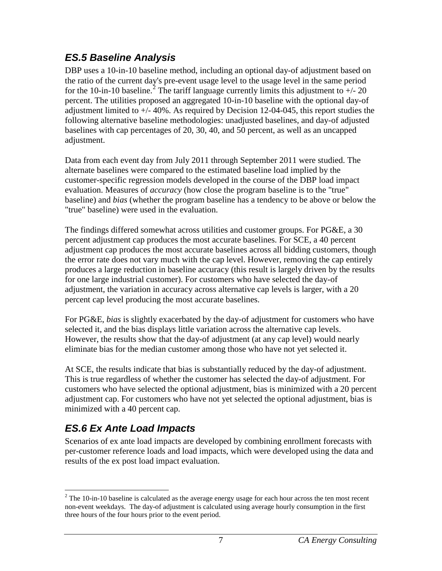## <span id="page-11-0"></span>*ES.5 Baseline Analysis*

DBP uses a 10-in-10 baseline method, including an optional day-of adjustment based on the ratio of the current day's pre-event usage level to the usage level in the same period for the 10-in-10 baseline.<sup>[2](#page-11-2)</sup> The tariff language currently limits this adjustment to  $+/20$ percent. The utilities proposed an aggregated 10-in-10 baseline with the optional day-of adjustment limited to +/- 40%. As required by Decision 12-04-045, this report studies the following alternative baseline methodologies: unadjusted baselines, and day-of adjusted baselines with cap percentages of 20, 30, 40, and 50 percent, as well as an uncapped adjustment.

Data from each event day from July 2011 through September 2011 were studied. The alternate baselines were compared to the estimated baseline load implied by the customer-specific regression models developed in the course of the DBP load impact evaluation. Measures of *accuracy* (how close the program baseline is to the "true" baseline) and *bias* (whether the program baseline has a tendency to be above or below the "true" baseline) were used in the evaluation.

The findings differed somewhat across utilities and customer groups. For PG&E, a 30 percent adjustment cap produces the most accurate baselines. For SCE, a 40 percent adjustment cap produces the most accurate baselines across all bidding customers, though the error rate does not vary much with the cap level. However, removing the cap entirely produces a large reduction in baseline accuracy (this result is largely driven by the results for one large industrial customer). For customers who have selected the day-of adjustment, the variation in accuracy across alternative cap levels is larger, with a 20 percent cap level producing the most accurate baselines.

For PG&E, *bias* is slightly exacerbated by the day-of adjustment for customers who have selected it, and the bias displays little variation across the alternative cap levels. However, the results show that the day-of adjustment (at any cap level) would nearly eliminate bias for the median customer among those who have not yet selected it.

At SCE, the results indicate that bias is substantially reduced by the day-of adjustment. This is true regardless of whether the customer has selected the day-of adjustment. For customers who have selected the optional adjustment, bias is minimized with a 20 percent adjustment cap. For customers who have not yet selected the optional adjustment, bias is minimized with a 40 percent cap.

## <span id="page-11-1"></span>*ES.6 Ex Ante Load Impacts*

Scenarios of ex ante load impacts are developed by combining enrollment forecasts with per-customer reference loads and load impacts, which were developed using the data and results of the ex post load impact evaluation.

<span id="page-11-2"></span> $2$  The 10-in-10 baseline is calculated as the average energy usage for each hour across the ten most recent non-event weekdays. The day-of adjustment is calculated using average hourly consumption in the first three hours of the four hours prior to the event period.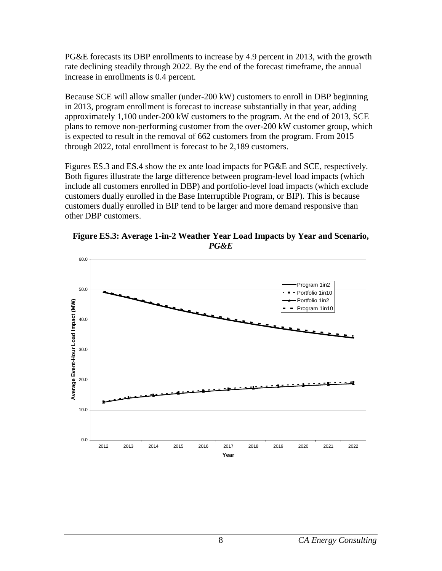PG&E forecasts its DBP enrollments to increase by 4.9 percent in 2013, with the growth rate declining steadily through 2022. By the end of the forecast timeframe, the annual increase in enrollments is 0.4 percent.

Because SCE will allow smaller (under-200 kW) customers to enroll in DBP beginning in 2013, program enrollment is forecast to increase substantially in that year, adding approximately 1,100 under-200 kW customers to the program. At the end of 2013, SCE plans to remove non-performing customer from the over-200 kW customer group, which is expected to result in the removal of 662 customers from the program. From 2015 through 2022, total enrollment is forecast to be 2,189 customers.

Figures ES.3 and ES.4 show the ex ante load impacts for PG&E and SCE, respectively. Both figures illustrate the large difference between program-level load impacts (which include all customers enrolled in DBP) and portfolio-level load impacts (which exclude customers dually enrolled in the Base Interruptible Program, or BIP). This is because customers dually enrolled in BIP tend to be larger and more demand responsive than other DBP customers.

<span id="page-12-0"></span>

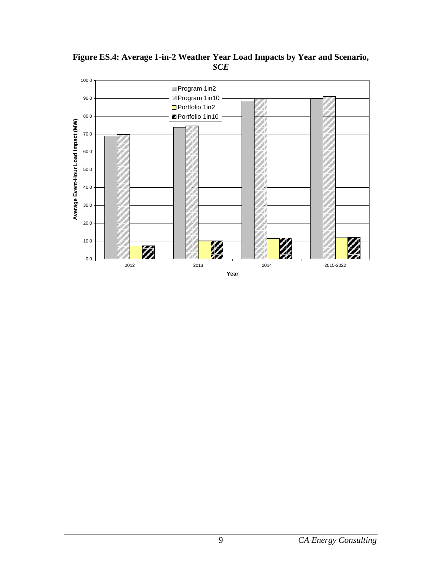

<span id="page-13-0"></span>**Figure ES.4: Average 1-in-2 Weather Year Load Impacts by Year and Scenario,**  *SCE*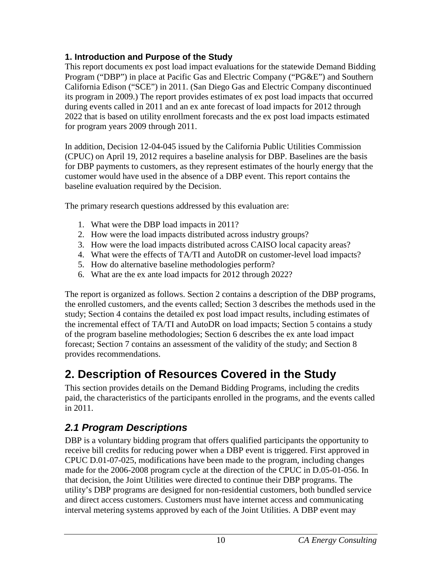### <span id="page-14-0"></span>**1. Introduction and Purpose of the Study**

This report documents ex post load impact evaluations for the statewide Demand Bidding Program ("DBP") in place at Pacific Gas and Electric Company ("PG&E") and Southern California Edison ("SCE") in 2011. (San Diego Gas and Electric Company discontinued its program in 2009.) The report provides estimates of ex post load impacts that occurred during events called in 2011 and an ex ante forecast of load impacts for 2012 through 2022 that is based on utility enrollment forecasts and the ex post load impacts estimated for program years 2009 through 2011.

In addition, Decision 12-04-045 issued by the California Public Utilities Commission (CPUC) on April 19, 2012 requires a baseline analysis for DBP. Baselines are the basis for DBP payments to customers, as they represent estimates of the hourly energy that the customer would have used in the absence of a DBP event. This report contains the baseline evaluation required by the Decision.

The primary research questions addressed by this evaluation are:

- 1. What were the DBP load impacts in 2011?
- 2. How were the load impacts distributed across industry groups?
- 3. How were the load impacts distributed across CAISO local capacity areas?
- 4. What were the effects of TA/TI and AutoDR on customer-level load impacts?
- 5. How do alternative baseline methodologies perform?
- 6. What are the ex ante load impacts for 2012 through 2022?

The report is organized as follows. Section 2 contains a description of the DBP programs, the enrolled customers, and the events called; Section 3 describes the methods used in the study; Section 4 contains the detailed ex post load impact results, including estimates of the incremental effect of TA/TI and AutoDR on load impacts; Section 5 contains a study of the program baseline methodologies; Section 6 describes the ex ante load impact forecast; Section 7 contains an assessment of the validity of the study; and Section 8 provides recommendations.

## <span id="page-14-1"></span>**2. Description of Resources Covered in the Study**

This section provides details on the Demand Bidding Programs, including the credits paid, the characteristics of the participants enrolled in the programs, and the events called in 2011.

## <span id="page-14-2"></span>*2.1 Program Descriptions*

DBP is a voluntary bidding program that offers qualified participants the opportunity to receive bill credits for reducing power when a DBP event is triggered. First approved in CPUC D.01-07-025, modifications have been made to the program, including changes made for the 2006-2008 program cycle at the direction of the CPUC in D.05-01-056. In that decision, the Joint Utilities were directed to continue their DBP programs. The utility's DBP programs are designed for non-residential customers, both bundled service and direct access customers. Customers must have internet access and communicating interval metering systems approved by each of the Joint Utilities. A DBP event may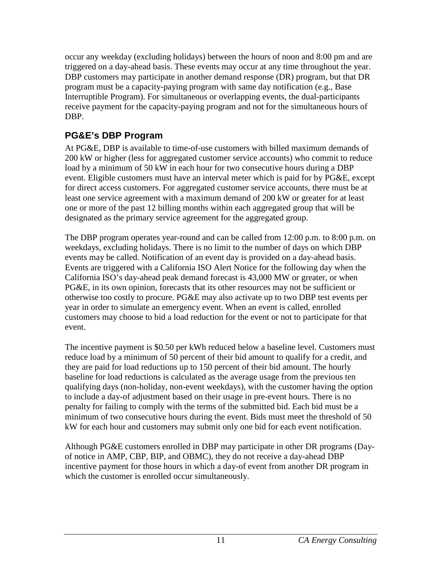occur any weekday (excluding holidays) between the hours of noon and 8:00 pm and are triggered on a day-ahead basis. These events may occur at any time throughout the year. DBP customers may participate in another demand response (DR) program, but that DR program must be a capacity-paying program with same day notification (e.g., Base Interruptible Program). For simultaneous or overlapping events, the dual-participants receive payment for the capacity-paying program and not for the simultaneous hours of DBP.

### <span id="page-15-0"></span>**PG&E's DBP Program**

At PG&E, DBP is available to time-of-use customers with billed maximum demands of 200 kW or higher (less for aggregated customer service accounts) who commit to reduce load by a minimum of 50 kW in each hour for two consecutive hours during a DBP event. Eligible customers must have an interval meter which is paid for by PG&E, except for direct access customers. For aggregated customer service accounts, there must be at least one service agreement with a maximum demand of 200 kW or greater for at least one or more of the past 12 billing months within each aggregated group that will be designated as the primary service agreement for the aggregated group.

The DBP program operates year-round and can be called from 12:00 p.m. to 8:00 p.m. on weekdays, excluding holidays. There is no limit to the number of days on which DBP events may be called. Notification of an event day is provided on a day-ahead basis. Events are triggered with a California ISO Alert Notice for the following day when the California ISO's day-ahead peak demand forecast is 43,000 MW or greater, or when PG&E, in its own opinion, forecasts that its other resources may not be sufficient or otherwise too costly to procure. PG&E may also activate up to two DBP test events per year in order to simulate an emergency event. When an event is called, enrolled customers may choose to bid a load reduction for the event or not to participate for that event.

The incentive payment is \$0.50 per kWh reduced below a baseline level. Customers must reduce load by a minimum of 50 percent of their bid amount to qualify for a credit, and they are paid for load reductions up to 150 percent of their bid amount. The hourly baseline for load reductions is calculated as the average usage from the previous ten qualifying days (non-holiday, non-event weekdays), with the customer having the option to include a day-of adjustment based on their usage in pre-event hours. There is no penalty for failing to comply with the terms of the submitted bid. Each bid must be a minimum of two consecutive hours during the event. Bids must meet the threshold of 50 kW for each hour and customers may submit only one bid for each event notification.

Although PG&E customers enrolled in DBP may participate in other DR programs (Dayof notice in AMP, CBP, BIP, and OBMC), they do not receive a day-ahead DBP incentive payment for those hours in which a day-of event from another DR program in which the customer is enrolled occur simultaneously.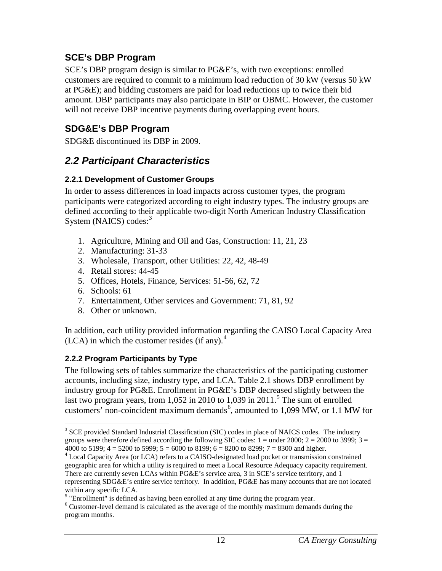### <span id="page-16-0"></span>**SCE's DBP Program**

SCE's DBP program design is similar to PG&E's, with two exceptions: enrolled customers are required to commit to a minimum load reduction of 30 kW (versus 50 kW at PG&E); and bidding customers are paid for load reductions up to twice their bid amount. DBP participants may also participate in BIP or OBMC. However, the customer will not receive DBP incentive payments during overlapping event hours.

### <span id="page-16-1"></span>**SDG&E's DBP Program**

SDG&E discontinued its DBP in 2009.

### <span id="page-16-2"></span>*2.2 Participant Characteristics*

#### <span id="page-16-3"></span>**2.2.1 Development of Customer Groups**

In order to assess differences in load impacts across customer types, the program participants were categorized according to eight industry types. The industry groups are defined according to their applicable two-digit North American Industry Classification System (NAICS) codes:<sup>[3](#page-16-5)</sup>

- 1. Agriculture, Mining and Oil and Gas, Construction: 11, 21, 23
- 2. Manufacturing: 31-33
- 3. Wholesale, Transport, other Utilities: 22, 42, 48-49
- 4. Retail stores: 44-45
- 5. Offices, Hotels, Finance, Services: 51-56, 62, 72
- 6. Schools: 61
- 7. Entertainment, Other services and Government: 71, 81, 92
- 8. Other or unknown.

In addition, each utility provided information regarding the CAISO Local Capacity Area (LCA) in which the customer resides (if any). $<sup>4</sup>$  $<sup>4</sup>$  $<sup>4</sup>$ </sup>

### <span id="page-16-4"></span>**2.2.2 Program Participants by Type**

The following sets of tables summarize the characteristics of the participating customer accounts, including size, industry type, and LCA. Table 2.1 shows DBP enrollment by industry group for PG&E. Enrollment in PG&E's DBP decreased slightly between the last two program years, from 1,052 in 2010 to 1,039 in 2011. [5](#page-16-7) The sum of enrolled customers' non-coincident maximum demands<sup>[6](#page-16-8)</sup>, amounted to 1,099 MW, or 1.1 MW for

<span id="page-16-5"></span><sup>&</sup>lt;sup>3</sup> SCE provided Standard Industrial Classification (SIC) codes in place of NAICS codes. The industry groups were therefore defined according the following SIC codes:  $1 =$  under 2000;  $2 = 2000$  to 3999;  $3 =$ 4000 to 5199;  $4 = 5200$  to 5999;  $5 = 6000$  to 8199;  $6 = 8200$  to 8299;  $7 = 8300$  and higher.

<span id="page-16-6"></span><sup>4</sup> Local Capacity Area (or LCA) refers to a CAISO-designated load pocket or transmission constrained geographic area for which a utility is required to meet a Local Resource Adequacy capacity requirement. There are currently seven LCAs within PG&E's service area, 3 in SCE's service territory, and 1 representing SDG&E's entire service territory. In addition, PG&E has many accounts that are not located within any specific LCA.

<span id="page-16-7"></span><sup>&</sup>lt;sup>5</sup> "Enrollment" is defined as having been enrolled at any time during the program year.

<span id="page-16-8"></span><sup>&</sup>lt;sup>6</sup> Customer-level demand is calculated as the average of the monthly maximum demands during the program months.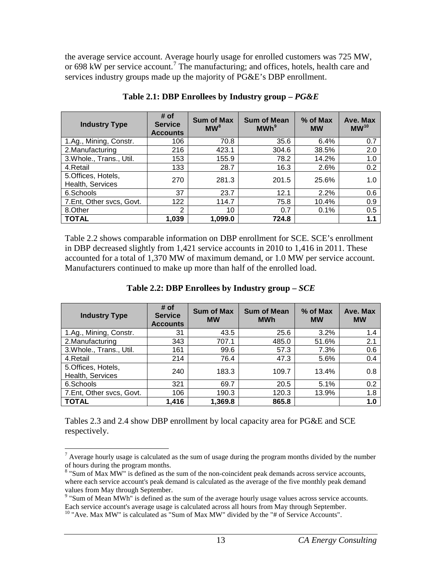the average service account. Average hourly usage for enrolled customers was 725 MW, or 698 kW per service account.<sup>[7](#page-17-2)</sup> The manufacturing; and offices, hotels, health care and services industry groups made up the majority of PG&E's DBP enrollment.

<span id="page-17-0"></span>

| <b>Industry Type</b>                   | # of<br><b>Service</b><br><b>Accounts</b> | <b>Sum of Max</b><br>MW <sup>8</sup> | <b>Sum of Mean</b><br>MWh <sup>9</sup> | % of Max<br><b>MW</b> | Ave. Max<br>MW <sup>10</sup> |
|----------------------------------------|-------------------------------------------|--------------------------------------|----------------------------------------|-----------------------|------------------------------|
| 1.Ag., Mining, Constr.                 | 106                                       | 70.8                                 | 35.6                                   | 6.4%                  | 0.7                          |
| 2. Manufacturing                       | 216                                       | 423.1                                | 304.6                                  | 38.5%                 | 2.0                          |
| 3. Whole., Trans., Util.               | 153                                       | 155.9                                | 78.2                                   | 14.2%                 | 1.0                          |
| 4.Retail                               | 133                                       | 28.7                                 | 16.3                                   | 2.6%                  | 0.2                          |
| 5.Offices, Hotels,<br>Health, Services | 270                                       | 281.3                                | 201.5                                  | 25.6%                 | 1.0                          |
| 6.Schools                              | 37                                        | 23.7                                 | 12.1                                   | 2.2%                  | 0.6                          |
| 7.Ent, Other svcs, Govt.               | 122                                       | 114.7                                | 75.8                                   | 10.4%                 | 0.9                          |
| 8.Other                                | 2                                         | 10                                   | 0.7                                    | 0.1%                  | 0.5                          |
| <b>TOTAL</b>                           | 1,039                                     | 1,099.0                              | 724.8                                  |                       | 1.1                          |

**Table 2.1: DBP Enrollees by Industry group –** *PG&E*

Table 2.2 shows comparable information on DBP enrollment for SCE. SCE's enrollment in DBP decreased slightly from 1,421 service accounts in 2010 to 1,416 in 2011. These accounted for a total of 1,370 MW of maximum demand, or 1.0 MW per service account. Manufacturers continued to make up more than half of the enrolled load.

<span id="page-17-1"></span>

| <b>Industry Type</b>                   | # of<br><b>Service</b><br><b>Accounts</b> | <b>Sum of Max</b><br><b>MW</b> | <b>Sum of Mean</b><br><b>MWh</b> | $%$ of Max<br><b>MW</b> | Ave. Max<br><b>MW</b> |
|----------------------------------------|-------------------------------------------|--------------------------------|----------------------------------|-------------------------|-----------------------|
| 1.Ag., Mining, Constr.                 | 31                                        | 43.5                           | 25.6                             | 3.2%                    | 1.4                   |
| 2. Manufacturing                       | 343                                       | 707.1                          | 485.0                            | 51.6%                   | 2.1                   |
| 3. Whole., Trans., Util.               | 161                                       | 99.6                           | 57.3                             | 7.3%                    | 0.6                   |
| 4.Retail                               | 214                                       | 76.4                           | 47.3                             | 5.6%                    | 0.4                   |
| 5.Offices, Hotels,<br>Health, Services | 240                                       | 183.3                          | 109.7                            | 13.4%                   | 0.8                   |
| 6.Schools                              | 321                                       | 69.7                           | 20.5                             | 5.1%                    | 0.2                   |
| 7.Ent, Other svcs, Govt.               | 106                                       | 190.3                          | 120.3                            | 13.9%                   | 1.8                   |
| <b>TOTAL</b>                           | 1,416                                     | 1,369.8                        | 865.8                            |                         | 1.0                   |

**Table 2.2: DBP Enrollees by Industry group –** *SCE*

Tables 2.3 and 2.4 show DBP enrollment by local capacity area for PG&E and SCE respectively.

<span id="page-17-2"></span><sup>&</sup>lt;sup>7</sup> Average hourly usage is calculated as the sum of usage during the program months divided by the number of hours during the program months.

<span id="page-17-3"></span><sup>&</sup>lt;sup>8</sup> "Sum of Max MW" is defined as the sum of the non-coincident peak demands across service accounts, where each service account's peak demand is calculated as the average of the five monthly peak demand values from May through September.

<span id="page-17-4"></span><sup>&</sup>lt;sup>9</sup> "Sum of Mean MWh" is defined as the sum of the average hourly usage values across service accounts.<br>Each service account's average usage is calculated across all hours from May through September.

<span id="page-17-5"></span> $10$  "Ave. Max MW" is calculated as "Sum of Max MW" divided by the "# of Service Accounts".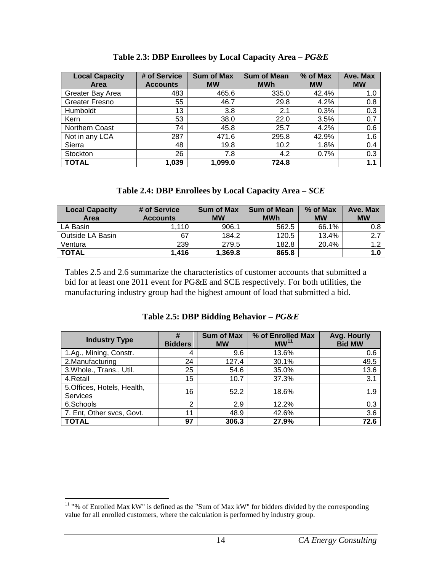<span id="page-18-0"></span>

| <b>Local Capacity</b> | # of Service    | <b>Sum of Max</b> | <b>Sum of Mean</b> | % of Max  | Ave. Max  |
|-----------------------|-----------------|-------------------|--------------------|-----------|-----------|
| Area                  | <b>Accounts</b> | <b>MW</b>         | <b>MWh</b>         | <b>MW</b> | <b>MW</b> |
| Greater Bay Area      | 483             | 465.6             | 335.0              | 42.4%     | 1.0       |
| <b>Greater Fresno</b> | 55              | 46.7              | 29.8               | 4.2%      | 0.8       |
| Humboldt              | 13              | 3.8               | 2.1                | 0.3%      | 0.3       |
| Kern                  | 53              | 38.0              | 22.0               | 3.5%      | 0.7       |
| Northern Coast        | 74              | 45.8              | 25.7               | 4.2%      | 0.6       |
| Not in any LCA        | 287             | 471.6             | 295.8              | 42.9%     | 1.6       |
| Sierra                | 48              | 19.8              | 10.2               | 1.8%      | 0.4       |
| Stockton              | 26              | 7.8               | 4.2                | 0.7%      | 0.3       |
| <b>TOTAL</b>          | 1.039           | 1.099.0           | 724.8              |           | 1.1       |

**Table 2.3: DBP Enrollees by Local Capacity Area –** *PG&E*

| Table 2.4: DBP Enrollees by Local Capacity Area - SCE |
|-------------------------------------------------------|
|-------------------------------------------------------|

<span id="page-18-1"></span>

| <b>Local Capacity</b><br>Area | # of Service<br><b>Accounts</b> | <b>Sum of Max</b><br><b>MW</b> | <b>Sum of Mean</b><br><b>MWh</b> | % of Max<br><b>MW</b> | Ave. Max<br><b>MW</b> |
|-------------------------------|---------------------------------|--------------------------------|----------------------------------|-----------------------|-----------------------|
| LA Basin                      | .110                            | 906.1                          | 562.5                            | 66.1%                 | 0.8                   |
| Outside LA Basin              | 67                              | 184.2                          | 120.5                            | 13.4%                 | 2.7                   |
| Ventura                       | 239                             | 279.5                          | 182.8                            | 20.4%                 | 1.2                   |
| <b>TOTAL</b>                  | 1,416                           | 1,369.8                        | 865.8                            |                       | 1.0                   |

Tables 2.5 and 2.6 summarize the characteristics of customer accounts that submitted a bid for at least one 2011 event for PG&E and SCE respectively. For both utilities, the manufacturing industry group had the highest amount of load that submitted a bid.

| Table 2.5: DBP Bidding Behavior $-PG\&E$ |  |
|------------------------------------------|--|
|                                          |  |

<span id="page-18-2"></span>

| <b>Industry Type</b>                           | #<br><b>Bidders</b> | <b>Sum of Max</b><br><b>MW</b> | % of Enrolled Max<br>MW <sup>11</sup> | Avg. Hourly<br><b>Bid MW</b> |
|------------------------------------------------|---------------------|--------------------------------|---------------------------------------|------------------------------|
| 1.Ag., Mining, Constr.                         | 4                   | 9.6                            | 13.6%                                 | 0.6                          |
| 2. Manufacturing                               | 24                  | 127.4                          | 30.1%                                 | 49.5                         |
| 3. Whole., Trans., Util.                       | 25                  | 54.6                           | 35.0%                                 | 13.6                         |
| 4.Retail                                       | 15                  | 10.7                           | 37.3%                                 | 3.1                          |
| 5. Offices, Hotels, Health,<br><b>Services</b> | 16                  | 52.2                           | 18.6%                                 | 1.9                          |
| 6.Schools                                      | $\overline{2}$      | 2.9                            | 12.2%                                 | 0.3                          |
| 7. Ent, Other svcs, Govt.                      | 11                  | 48.9                           | 42.6%                                 | 3.6                          |
| <b>TOTAL</b>                                   | 97                  | 306.3                          | 27.9%                                 | 72.6                         |

<span id="page-18-3"></span><sup>&</sup>lt;sup>11</sup> "% of Enrolled Max kW" is defined as the "Sum of Max kW" for bidders divided by the corresponding value for all enrolled customers, where the calculation is performed by industry group.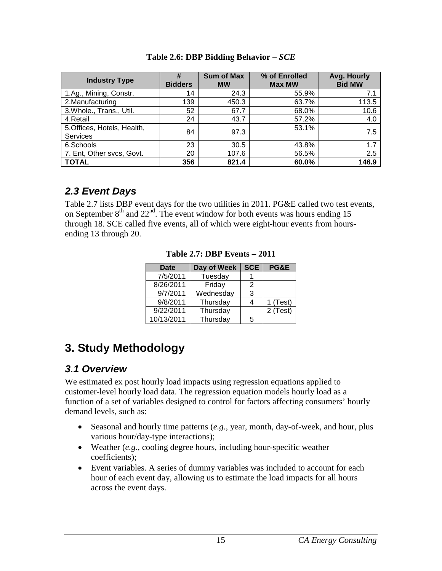<span id="page-19-3"></span>

| <b>Industry Type</b>                           | #<br><b>Bidders</b> | <b>Sum of Max</b><br><b>MW</b> | % of Enrolled<br><b>Max MW</b> | Avg. Hourly<br><b>Bid MW</b> |
|------------------------------------------------|---------------------|--------------------------------|--------------------------------|------------------------------|
| 1.Ag., Mining, Constr.                         | 14                  | 24.3                           | 55.9%                          | 7.1                          |
| 2. Manufacturing                               | 139                 | 450.3                          | 63.7%                          | 113.5                        |
| 3. Whole., Trans., Util.                       | 52                  | 67.7                           | 68.0%                          | 10.6                         |
| 4.Retail                                       | 24                  | 43.7                           | 57.2%                          | 4.0                          |
| 5. Offices, Hotels, Health,<br><b>Services</b> | 84                  | 97.3                           | 53.1%                          | 7.5                          |
| 6.Schools                                      | 23                  | 30.5                           | 43.8%                          | 1.7                          |
| 7. Ent, Other svcs, Govt.                      | 20                  | 107.6                          | 56.5%                          | 2.5                          |
| <b>TOTAL</b>                                   | 356                 | 821.4                          | 60.0%                          | 146.9                        |

**Table 2.6: DBP Bidding Behavior –** *SCE*

## <span id="page-19-0"></span>*2.3 Event Days*

<span id="page-19-4"></span>Table 2.7 lists DBP event days for the two utilities in 2011. PG&E called two test events, on September  $8<sup>th</sup>$  and  $22<sup>nd</sup>$ . The event window for both events was hours ending 15 through 18. SCE called five events, all of which were eight-hour events from hoursending 13 through 20.

**Table 2.7: DBP Events – 2011**

| <b>Date</b> | Day of Week | <b>SCE</b> | PG&E       |
|-------------|-------------|------------|------------|
| 7/5/2011    | Tuesday     |            |            |
| 8/26/2011   | Friday      | 2          |            |
| 9/7/2011    | Wednesday   | 3          |            |
| 9/8/2011    | Thursday    |            | $1$ (Test) |
| 9/22/2011   | Thursday    |            | 2 (Test)   |
| 10/13/2011  | Thursday    | 5          |            |

## <span id="page-19-1"></span>**3. Study Methodology**

## <span id="page-19-2"></span>*3.1 Overview*

We estimated ex post hourly load impacts using regression equations applied to customer-level hourly load data. The regression equation models hourly load as a function of a set of variables designed to control for factors affecting consumers' hourly demand levels, such as:

- Seasonal and hourly time patterns (*e.g.*, year, month, day-of-week, and hour, plus various hour/day-type interactions);
- Weather (*e.g.*, cooling degree hours, including hour-specific weather coefficients);
- Event variables. A series of dummy variables was included to account for each hour of each event day, allowing us to estimate the load impacts for all hours across the event days.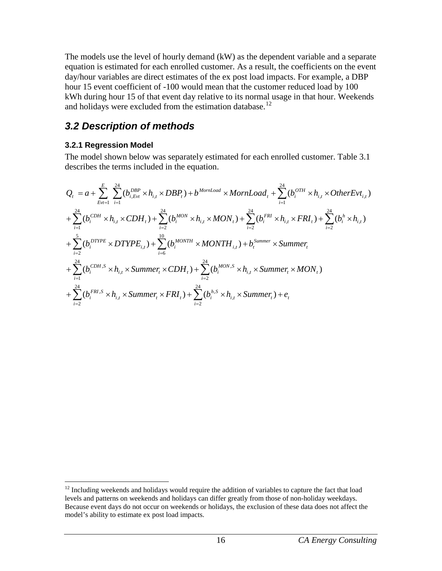The models use the level of hourly demand (kW) as the dependent variable and a separate equation is estimated for each enrolled customer. As a result, the coefficients on the event day/hour variables are direct estimates of the ex post load impacts. For example, a DBP hour 15 event coefficient of -100 would mean that the customer reduced load by 100 kWh during hour 15 of that event day relative to its normal usage in that hour. Weekends and holidays were excluded from the estimation database.<sup>12</sup>

## <span id="page-20-0"></span>*3.2 Description of methods*

#### <span id="page-20-1"></span>**3.2.1 Regression Model**

The model shown below was separately estimated for each enrolled customer. Table 3.1 describes the terms included in the equation.

$$
Q_{t} = a + \sum_{Evt=1}^{E} \sum_{i=1}^{24} (b_{i,Evt}^{DBP} \times h_{i,t} \times DBP_{t}) + b^{MornLoad} \times MonLoad_{t} + \sum_{i=1}^{24} (b_{i}^{OTH} \times h_{i,t} \times OtherEvt_{i,t})
$$
  
+  $\sum_{i=1}^{24} (b_{i}^{CDH} \times h_{i,t} \times CDH_{t}) + \sum_{i=2}^{24} (b_{i}^{MON} \times h_{i,t} \times MON_{t}) + \sum_{i=2}^{24} (b_{i}^{FRI} \times h_{i,t} \times FRI_{t}) + \sum_{i=2}^{24} (b_{i}^{h} \times h_{i,t})$   
+  $\sum_{i=2}^{5} (b_{i}^{DTYPE} \times DTYPE_{i,t}) + \sum_{i=6}^{10} (b_{i}^{MONTH} \times MONTH_{i,t}) + b_{i}^{Summer} \times Summer_{t}$   
+  $\sum_{i=1}^{24} (b_{i}^{CDH,S} \times h_{i,t} \times Summer_{t} \times CDH_{t}) + \sum_{i=2}^{24} (b_{i}^{MON,S} \times h_{i,t} \times Summer_{t} \times MON_{t})$   
+  $\sum_{i=2}^{24} (b_{i}^{FRI,S} \times h_{i,t} \times Summer_{t} \times FRI_{t}) + \sum_{i=2}^{24} (b_{i}^{h,S} \times h_{i,t} \times Summer_{t}) + e_{t}$ 

<span id="page-20-2"></span><sup>&</sup>lt;sup>12</sup> Including weekends and holidays would require the addition of variables to capture the fact that load levels and patterns on weekends and holidays can differ greatly from those of non-holiday weekdays. Because event days do not occur on weekends or holidays, the exclusion of these data does not affect the model's ability to estimate ex post load impacts.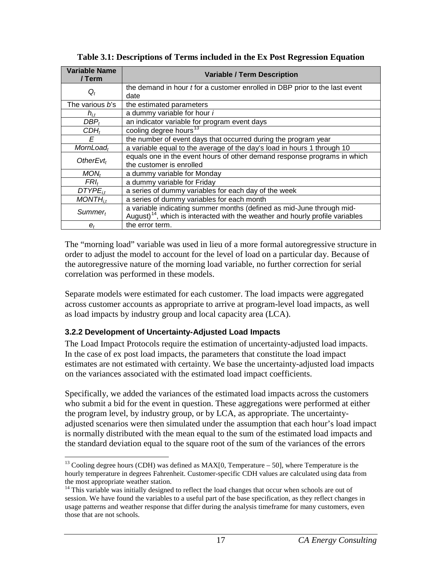| <b>Variable Name</b><br>/ Term | <b>Variable / Term Description</b>                                                        |  |  |  |  |
|--------------------------------|-------------------------------------------------------------------------------------------|--|--|--|--|
|                                | the demand in hour <i>t</i> for a customer enrolled in DBP prior to the last event        |  |  |  |  |
| $Q_t$                          | date                                                                                      |  |  |  |  |
| The various <i>b</i> 's        | the estimated parameters                                                                  |  |  |  |  |
| $h_{i,t}$                      | a dummy variable for hour i                                                               |  |  |  |  |
| $DBP_t$                        | an indicator variable for program event days                                              |  |  |  |  |
| CDH <sub>t</sub>               | cooling degree hours <sup>13</sup>                                                        |  |  |  |  |
| E                              | the number of event days that occurred during the program year                            |  |  |  |  |
| $MornLoad_t$                   | a variable equal to the average of the day's load in hours 1 through 10                   |  |  |  |  |
| OtherEvt $_t$                  | equals one in the event hours of other demand response programs in which                  |  |  |  |  |
|                                | the customer is enrolled                                                                  |  |  |  |  |
| MON <sub>t</sub>               | a dummy variable for Monday                                                               |  |  |  |  |
| $FRI_t$                        | a dummy variable for Friday                                                               |  |  |  |  |
| $DTYPE_{it}$                   | a series of dummy variables for each day of the week                                      |  |  |  |  |
| $MONTH_{it}$                   | a series of dummy variables for each month                                                |  |  |  |  |
| $Summer_t$                     | a variable indicating summer months (defined as mid-June through mid-                     |  |  |  |  |
|                                | August) <sup>14</sup> , which is interacted with the weather and hourly profile variables |  |  |  |  |
| $e_t$                          | the error term.                                                                           |  |  |  |  |

<span id="page-21-1"></span>**Table 3.1: Descriptions of Terms included in the Ex Post Regression Equation**

The "morning load" variable was used in lieu of a more formal autoregressive structure in order to adjust the model to account for the level of load on a particular day. Because of the autoregressive nature of the morning load variable, no further correction for serial correlation was performed in these models.

Separate models were estimated for each customer. The load impacts were aggregated across customer accounts as appropriate to arrive at program-level load impacts, as well as load impacts by industry group and local capacity area (LCA).

#### <span id="page-21-0"></span>**3.2.2 Development of Uncertainty-Adjusted Load Impacts**

The Load Impact Protocols require the estimation of uncertainty-adjusted load impacts. In the case of ex post load impacts, the parameters that constitute the load impact estimates are not estimated with certainty. We base the uncertainty-adjusted load impacts on the variances associated with the estimated load impact coefficients.

Specifically, we added the variances of the estimated load impacts across the customers who submit a bid for the event in question. These aggregations were performed at either the program level, by industry group, or by LCA, as appropriate. The uncertaintyadjusted scenarios were then simulated under the assumption that each hour's load impact is normally distributed with the mean equal to the sum of the estimated load impacts and the standard deviation equal to the square root of the sum of the variances of the errors

<span id="page-21-2"></span><sup>&</sup>lt;sup>13</sup> Cooling degree hours (CDH) was defined as  $MAX[0, Temperature - 50]$ , where Temperature is the hourly temperature in degrees Fahrenheit. Customer-specific CDH values are calculated using data from the most appropriate weather station.

<span id="page-21-3"></span><sup>&</sup>lt;sup>14</sup> This variable was initially designed to reflect the load changes that occur when schools are out of session. We have found the variables to a useful part of the base specification, as they reflect changes in usage patterns and weather response that differ during the analysis timeframe for many customers, even those that are not schools.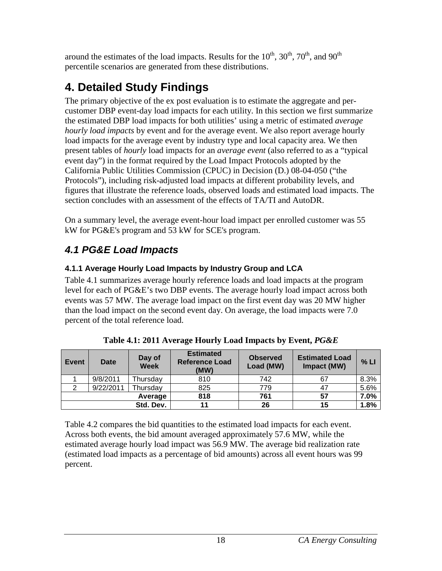around the estimates of the load impacts. Results for the  $10^{th}$ ,  $30^{th}$ ,  $70^{th}$ , and  $90^{th}$ percentile scenarios are generated from these distributions.

## <span id="page-22-0"></span>**4. Detailed Study Findings**

The primary objective of the ex post evaluation is to estimate the aggregate and percustomer DBP event-day load impacts for each utility. In this section we first summarize the estimated DBP load impacts for both utilities' using a metric of estimated *average hourly load impacts* by event and for the average event. We also report average hourly load impacts for the average event by industry type and local capacity area. We then present tables of *hourly* load impacts for an *average event* (also referred to as a "typical event day") in the format required by the Load Impact Protocols adopted by the California Public Utilities Commission (CPUC) in Decision (D.) 08-04-050 ("the Protocols"), including risk-adjusted load impacts at different probability levels, and figures that illustrate the reference loads, observed loads and estimated load impacts. The section concludes with an assessment of the effects of TA/TI and AutoDR.

On a summary level, the average event-hour load impact per enrolled customer was 55 kW for PG&E's program and 53 kW for SCE's program.

## <span id="page-22-1"></span>*4.1 PG&E Load Impacts*

### <span id="page-22-2"></span>**4.1.1 Average Hourly Load Impacts by Industry Group and LCA**

Table 4.1 summarizes average hourly reference loads and load impacts at the program level for each of PG&E's two DBP events. The average hourly load impact across both events was 57 MW. The average load impact on the first event day was 20 MW higher than the load impact on the second event day. On average, the load impacts were 7.0 percent of the total reference load.

<span id="page-22-3"></span>

| <b>Event</b> | Date      | Day of<br><b>Week</b> | <b>Estimated</b><br><b>Reference Load</b><br>(MW) | <b>Observed</b><br>Load (MW) | <b>Estimated Load</b><br>Impact (MW) | % LI |
|--------------|-----------|-----------------------|---------------------------------------------------|------------------------------|--------------------------------------|------|
|              | 9/8/2011  | Thursday              | 810                                               | 742                          | 67                                   | 8.3% |
|              | 9/22/2011 | Thursday              | 825                                               | 779                          |                                      | 5.6% |
|              |           | Average               | 818                                               | 761                          | 57                                   | 7.0% |
|              |           | Std. Dev.             |                                                   | 26                           | 15                                   | 1.8% |

| Table 4.1: 2011 Average Hourly Load Impacts by Event, <i>PG&amp;E</i> |  |  |
|-----------------------------------------------------------------------|--|--|
|                                                                       |  |  |

Table 4.2 compares the bid quantities to the estimated load impacts for each event. Across both events, the bid amount averaged approximately 57.6 MW, while the estimated average hourly load impact was 56.9 MW. The average bid realization rate (estimated load impacts as a percentage of bid amounts) across all event hours was 99 percent.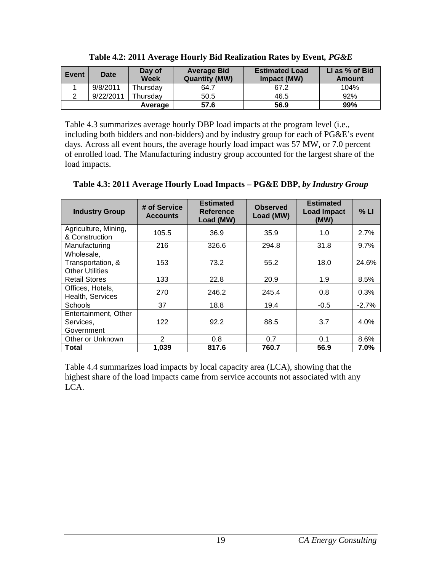<span id="page-23-0"></span>

| Event | Date      | Day of<br><b>Week</b> | <b>Average Bid</b><br><b>Quantity (MW)</b> | <b>Estimated Load</b><br>Impact (MW) | LI as % of Bid<br><b>Amount</b> |
|-------|-----------|-----------------------|--------------------------------------------|--------------------------------------|---------------------------------|
|       | 9/8/2011  | Thursdav              | 64.7                                       | 67.2                                 | 104%                            |
|       | 9/22/2011 | Thursday              | 50.5                                       | 46.5                                 | 92%                             |
|       |           | Average               | 57.6                                       | 56.9                                 | 99%                             |

**Table 4.2: 2011 Average Hourly Bid Realization Rates by Event***, PG&E*

Table 4.3 summarizes average hourly DBP load impacts at the program level (i.e., including both bidders and non-bidders) and by industry group for each of PG&E's event days. Across all event hours, the average hourly load impact was 57 MW, or 7.0 percent of enrolled load. The Manufacturing industry group accounted for the largest share of the load impacts.

| <b>Industry Group</b>                                     | # of Service<br><b>Accounts</b> | <b>Estimated</b><br><b>Reference</b><br>Load (MW) | <b>Observed</b><br>Load (MW) | <b>Estimated</b><br><b>Load Impact</b><br>(MW) | % LI    |
|-----------------------------------------------------------|---------------------------------|---------------------------------------------------|------------------------------|------------------------------------------------|---------|
| Agriculture, Mining,<br>& Construction                    | 105.5                           | 36.9                                              | 35.9                         | 1.0                                            | 2.7%    |
| Manufacturing                                             | 216                             | 326.6                                             | 294.8                        | 31.8                                           | 9.7%    |
| Wholesale,<br>Transportation, &<br><b>Other Utilities</b> | 153                             | 73.2                                              | 55.2                         | 18.0                                           | 24.6%   |
| <b>Retail Stores</b>                                      | 133                             | 22.8                                              | 20.9                         | 1.9                                            | 8.5%    |
| Offices, Hotels,<br>Health, Services                      | 270                             | 246.2                                             | 245.4                        | 0.8                                            | 0.3%    |
| <b>Schools</b>                                            | 37                              | 18.8                                              | 19.4                         | $-0.5$                                         | $-2.7%$ |
| Entertainment, Other<br>Services,<br>Government           | 122                             | 92.2                                              | 88.5                         | 3.7                                            | 4.0%    |
| Other or Unknown                                          | 2                               | 0.8                                               | 0.7                          | 0.1                                            | 8.6%    |
| Total                                                     | 1,039                           | 817.6                                             | 760.7                        | 56.9                                           | $7.0\%$ |

<span id="page-23-1"></span>**Table 4.3: 2011 Average Hourly Load Impacts – PG&E DBP,** *by Industry Group*

Table 4.4 summarizes load impacts by local capacity area (LCA), showing that the highest share of the load impacts came from service accounts not associated with any LCA.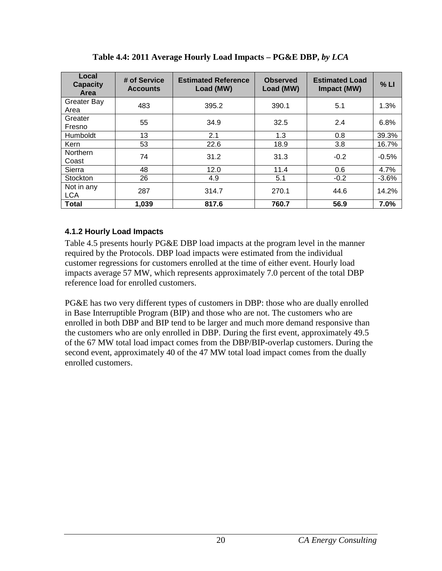<span id="page-24-1"></span>

| Local<br><b>Capacity</b><br><b>Area</b> | # of Service<br><b>Accounts</b> | <b>Estimated Reference</b><br>Load (MW) | <b>Observed</b><br>Load (MW) | <b>Estimated Load</b><br>Impact (MW) | % LI    |
|-----------------------------------------|---------------------------------|-----------------------------------------|------------------------------|--------------------------------------|---------|
| <b>Greater Bay</b><br>Area              | 483                             | 395.2                                   | 390.1                        | 5.1                                  | 1.3%    |
| Greater<br>Fresno                       | 55                              | 34.9                                    | 32.5                         | 2.4                                  | 6.8%    |
| Humboldt                                | 13                              | 2.1                                     | 1.3                          | 0.8                                  | 39.3%   |
| <b>Kern</b>                             | 53                              | 22.6                                    | 18.9                         | 3.8                                  | 16.7%   |
| <b>Northern</b><br>Coast                | 74                              | 31.2                                    | 31.3                         | $-0.2$                               | $-0.5%$ |
| Sierra                                  | 48                              | 12.0                                    | 11.4                         | 0.6                                  | 4.7%    |
| <b>Stockton</b>                         | 26                              | 4.9                                     | 5.1                          | $-0.2$                               | $-3.6%$ |
| Not in any<br><b>LCA</b>                | 287                             | 314.7                                   | 270.1                        | 44.6                                 | 14.2%   |
| Total                                   | 1,039                           | 817.6                                   | 760.7                        | 56.9                                 | 7.0%    |

**Table 4.4: 2011 Average Hourly Load Impacts – PG&E DBP,** *by LCA*

#### <span id="page-24-0"></span>**4.1.2 Hourly Load Impacts**

Table 4.5 presents hourly PG&E DBP load impacts at the program level in the manner required by the Protocols. DBP load impacts were estimated from the individual customer regressions for customers enrolled at the time of either event. Hourly load impacts average 57 MW, which represents approximately 7.0 percent of the total DBP reference load for enrolled customers.

PG&E has two very different types of customers in DBP: those who are dually enrolled in Base Interruptible Program (BIP) and those who are not. The customers who are enrolled in both DBP and BIP tend to be larger and much more demand responsive than the customers who are only enrolled in DBP. During the first event, approximately 49.5 of the 67 MW total load impact comes from the DBP/BIP-overlap customers. During the second event, approximately 40 of the 47 MW total load impact comes from the dually enrolled customers.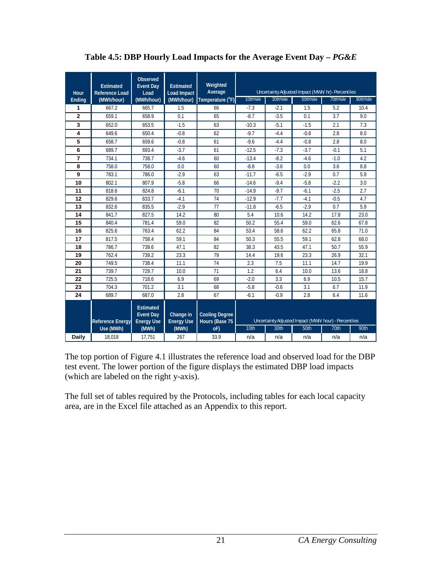<span id="page-25-0"></span>

| Hour           | <b>Estimated</b><br><b>Reference Load</b> | Observed<br><b>Event Dav</b><br>Load                      | <b>Estimated</b><br><b>Load Impact</b> | Weighted<br>Average                     |          |          | Uncertainty Adjusted Impact (MWh/ hr)- Percentiles    |          |          |
|----------------|-------------------------------------------|-----------------------------------------------------------|----------------------------------------|-----------------------------------------|----------|----------|-------------------------------------------------------|----------|----------|
| Ending         | (MWh/hour)                                | (MWh/hour)                                                | (MWh/hour)                             | Temperature $(^{\circ}F)$               | 10th%ile | 30th%ile | 50th%ile                                              | 70th%ile | 90th%ile |
| 1              | 667.2                                     | 665.7                                                     | 1.5                                    | 66                                      | $-7.3$   | $-2.1$   | 1.5                                                   | 5.2      | 10.4     |
| $\overline{2}$ | 659.1                                     | 658.9                                                     | 0.1                                    | 65                                      | $-8.7$   | $-3.5$   | 0.1                                                   | 3.7      | 9.0      |
| 3              | 652.0                                     | 653.5                                                     | $-1.5$                                 | 63                                      | $-10.3$  | $-5.1$   | $-1.5$                                                | 2.1      | 7.3      |
| 4              | 649.6                                     | 650.4                                                     | $-0.8$                                 | 62                                      | $-9.7$   | $-4.4$   | $-0.8$                                                | 2.8      | 8.0      |
| 5              | 658.7                                     | 659.6                                                     | $-0.8$                                 | 61                                      | $-9.6$   | $-4.4$   | $-0.8$                                                | 2.8      | 8.0      |
| 6              | 689.7                                     | 693.4                                                     | $-3.7$                                 | 61                                      | $-12.5$  | $-7.3$   | $-3.7$                                                | $-0.1$   | 5.1      |
| $\overline{7}$ | 734.1                                     | 738.7                                                     | $-4.6$                                 | 60                                      | $-13.4$  | $-8.2$   | $-4.6$                                                | $-1.0$   | 4.2      |
| 8              | 758.0                                     | 758.0                                                     | 0.0                                    | 60                                      | $-8.8$   | $-3.6$   | 0.0                                                   | 3.6      | 8.8      |
| 9              | 783.1                                     | 786.0                                                     | $-2.9$                                 | 63                                      | $-11.7$  | $-6.5$   | $-2.9$                                                | 0.7      | 5.9      |
| 10             | 802.1                                     | 807.9                                                     | $-5.8$                                 | 66                                      | $-14.6$  | $-9.4$   | $-5.8$                                                | $-2.2$   | 3.0      |
| 11             | 818.6                                     | 824.8                                                     | $-6.1$                                 | 70                                      | $-14.9$  | $-9.7$   | $-6.1$                                                | $-2.5$   | 2.7      |
| 12             | 829.6                                     | 833.7                                                     | $-4.1$                                 | 74                                      | $-12.9$  | $-7.7$   | $-4.1$                                                | $-0.5$   | 4.7      |
| 13             | 832.6                                     | 835.5                                                     | $-2.9$                                 | 77                                      | $-11.8$  | $-6.5$   | $-2.9$                                                | 0.7      | 5.9      |
| 14             | 841.7                                     | 827.5                                                     | 14.2                                   | 80                                      | 5.4      | 10.6     | 14.2                                                  | 17.8     | 23.0     |
| 15             | 840.4                                     | 781.4                                                     | 59.0                                   | 82                                      | 50.2     | 55.4     | 59.0                                                  | 62.6     | 67.8     |
| 16             | 825.6                                     | 763.4                                                     | 62.2                                   | 84                                      | 53.4     | 58.6     | 62.2                                                  | 65.8     | 71.0     |
| 17             | 817.5                                     | 758.4                                                     | 59.1                                   | 84                                      | 50.3     | 55.5     | 59.1                                                  | 62.8     | 68.0     |
| 18             | 786.7                                     | 739.6                                                     | 47.1                                   | 82                                      | 38.3     | 43.5     | 47.1                                                  | 50.7     | 55.9     |
| 19             | 762.4                                     | 739.2                                                     | 23.3                                   | 79                                      | 14.4     | 19.6     | 23.3                                                  | 26.9     | 32.1     |
| 20             | 749.5                                     | 738.4                                                     | 11.1                                   | 74                                      | 2.3      | 7.5      | 11.1                                                  | 14.7     | 19.9     |
| 21             | 739.7                                     | 729.7                                                     | 10.0                                   | 71                                      | 1.2      | 6.4      | 10.0                                                  | 13.6     | 18.8     |
| 22             | 725.5                                     | 718.6                                                     | 6.9                                    | 69                                      | $-2.0$   | 3.3      | 6.9                                                   | 10.5     | 15.7     |
| 23             | 704.3                                     | 701.2                                                     | 3.1                                    | 68                                      | $-5.8$   | $-0.6$   | 3.1                                                   | 6.7      | 11.9     |
| 24             | 689.7                                     | 687.0                                                     | 2.8                                    | 67                                      | $-6.1$   | $-0.9$   | 2.8                                                   | 6.4      | 11.6     |
|                | <b>Reference Energy</b>                   | <b>Estimated</b><br><b>Event Day</b><br><b>Energy Use</b> | Change in<br><b>Energy Use</b>         | <b>Cooling Degree</b><br>Hours (Base 75 |          |          | Uncertainty Adjusted Impact (MWh/ hour) - Percentiles |          |          |
|                | Use (MWh)                                 | (MWh)                                                     | (MWh)                                  | oF                                      | 10th     | 30th     | 50th                                                  | 70th     | 90th     |
| <b>Daily</b>   | 18,018                                    | 17,751                                                    | 267                                    | 33.9                                    | n/a      | n/a      | n/a                                                   | n/a      | n/a      |

**Table 4.5: DBP Hourly Load Impacts for the Average Event Day –** *PG&E*

The top portion of Figure 4.1 illustrates the reference load and observed load for the DBP test event. The lower portion of the figure displays the estimated DBP load impacts (which are labeled on the right y-axis).

The full set of tables required by the Protocols, including tables for each local capacity area, are in the Excel file attached as an Appendix to this report.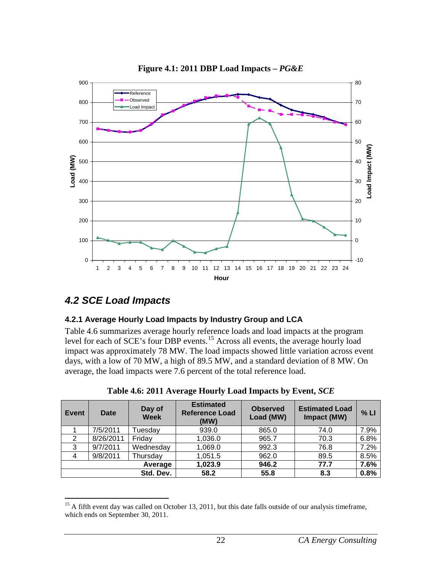<span id="page-26-3"></span>

**Figure 4.1: 2011 DBP Load Impacts –** *PG&E*

## <span id="page-26-0"></span>*4.2 SCE Load Impacts*

#### <span id="page-26-1"></span>**4.2.1 Average Hourly Load Impacts by Industry Group and LCA**

Table 4.6 summarizes average hourly reference loads and load impacts at the program level for each of SCE's four DBP events.<sup>[15](#page-26-4)</sup> Across all events, the average hourly load impact was approximately 78 MW. The load impacts showed little variation across event days, with a low of 70 MW, a high of 89.5 MW, and a standard deviation of 8 MW. On average, the load impacts were 7.6 percent of the total reference load.

<span id="page-26-2"></span>

| Event          | Date      | Day of<br><b>Week</b> | <b>Estimated</b><br><b>Reference Load</b><br>(MW) | <b>Observed</b><br>Load (MW) | <b>Estimated Load</b><br>Impact (MW) | % LI |
|----------------|-----------|-----------------------|---------------------------------------------------|------------------------------|--------------------------------------|------|
|                | 7/5/2011  | Tuesday               | 939.0                                             | 865.0                        | 74.0                                 | 7.9% |
| 2              | 8/26/2011 | Friday                | 1,036.0                                           | 965.7                        | 70.3                                 | 6.8% |
| 3              | 9/7/2011  | Wednesday             | 1,069.0                                           | 992.3                        | 76.8                                 | 7.2% |
| $\overline{4}$ | 9/8/2011  | Thursday              | 1,051.5                                           | 962.0                        | 89.5                                 | 8.5% |
|                |           | Average               | 1,023.9                                           | 946.2                        | 77.7                                 | 7.6% |
|                |           | Std. Dev.             | 58.2                                              | 55.8                         | 8.3                                  | 0.8% |

**Table 4.6: 2011 Average Hourly Load Impacts by Event,** *SCE*

<span id="page-26-4"></span><sup>&</sup>lt;sup>15</sup> A fifth event day was called on October 13, 2011, but this date falls outside of our analysis timeframe, which ends on September 30, 2011.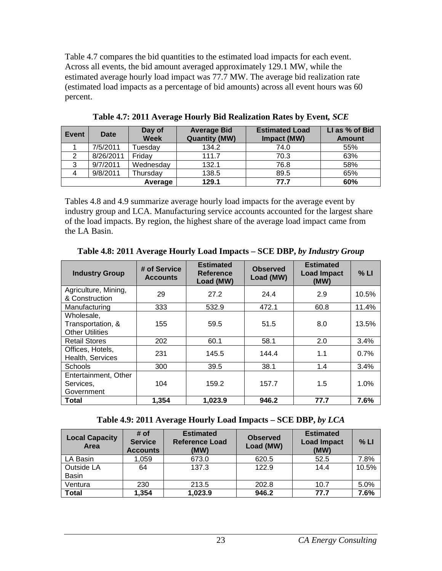Table 4.7 compares the bid quantities to the estimated load impacts for each event. Across all events, the bid amount averaged approximately 129.1 MW, while the estimated average hourly load impact was 77.7 MW. The average bid realization rate (estimated load impacts as a percentage of bid amounts) across all event hours was 60 percent.

<span id="page-27-0"></span>

| Event | Date      | Day of<br><b>Week</b> | <b>Average Bid</b><br><b>Quantity (MW)</b> | <b>Estimated Load</b><br>Impact (MW) | LI as % of Bid<br><b>Amount</b> |
|-------|-----------|-----------------------|--------------------------------------------|--------------------------------------|---------------------------------|
|       | 7/5/2011  | Tuesday               | 134.2                                      | 74.0                                 | 55%                             |
| 2     | 8/26/2011 | Friday                | 111.7                                      | 70.3                                 | 63%                             |
| 3     | 9/7/2011  | Wednesday             | 132.1                                      | 76.8                                 | 58%                             |
|       | 9/8/2011  | Thursday              | 138.5                                      | 89.5                                 | 65%                             |
|       |           | Average               | 129.1                                      | 77.7                                 | 60%                             |

**Table 4.7: 2011 Average Hourly Bid Realization Rates by Event***, SCE*

Tables 4.8 and 4.9 summarize average hourly load impacts for the average event by industry group and LCA. Manufacturing service accounts accounted for the largest share of the load impacts. By region, the highest share of the average load impact came from the LA Basin.

<span id="page-27-1"></span>

| <b>Industry Group</b>                                     | # of Service<br><b>Accounts</b> | <b>Estimated</b><br><b>Reference</b><br>Load (MW) | <b>Observed</b><br>Load (MW) | <b>Estimated</b><br><b>Load Impact</b><br>(MW) | % LI  |
|-----------------------------------------------------------|---------------------------------|---------------------------------------------------|------------------------------|------------------------------------------------|-------|
| Agriculture, Mining,<br>& Construction                    | 29                              | 27.2                                              | 24.4                         | 2.9                                            | 10.5% |
| Manufacturing                                             | 333                             | 532.9                                             | 472.1                        | 60.8                                           | 11.4% |
| Wholesale,<br>Transportation, &<br><b>Other Utilities</b> | 155                             | 59.5                                              | 51.5                         | 8.0                                            | 13.5% |
| <b>Retail Stores</b>                                      | 202                             | 60.1                                              | 58.1                         | 2.0                                            | 3.4%  |
| Offices, Hotels,<br>Health, Services                      | 231                             | 145.5                                             | 144.4                        | 1.1                                            | 0.7%  |
| Schools                                                   | 300                             | 39.5                                              | 38.1                         | 1.4                                            | 3.4%  |
| Entertainment, Other<br>Services,<br>Government           | 104                             | 159.2                                             | 157.7                        | 1.5                                            | 1.0%  |
| Total                                                     | 1,354                           | 1,023.9                                           | 946.2                        | 77.7                                           | 7.6%  |

**Table 4.8: 2011 Average Hourly Load Impacts – SCE DBP,** *by Industry Group*

|  |  |  | Table 4.9: 2011 Average Hourly Load Impacts - SCE DBP, by LCA |
|--|--|--|---------------------------------------------------------------|
|--|--|--|---------------------------------------------------------------|

<span id="page-27-2"></span>

| # of<br><b>Service</b><br><b>Accounts</b> | <b>Estimated</b><br><b>Reference Load</b><br>(MW) | <b>Observed</b><br>Load (MW) | <b>Estimated</b><br><b>Load Impact</b><br>(MW) | % LI         |
|-------------------------------------------|---------------------------------------------------|------------------------------|------------------------------------------------|--------------|
| 1,059                                     | 673.0                                             | 620.5                        | 52.5                                           | 7.8%         |
| 64                                        | 137.3                                             | 122.9                        | 14.4                                           | 10.5%        |
|                                           |                                                   |                              |                                                | 5.0%         |
|                                           |                                                   |                              |                                                | 7.6%         |
|                                           | 230<br>1,354                                      | 213.5<br>1,023.9             | 202.8<br>946.2                                 | 10.7<br>77.7 |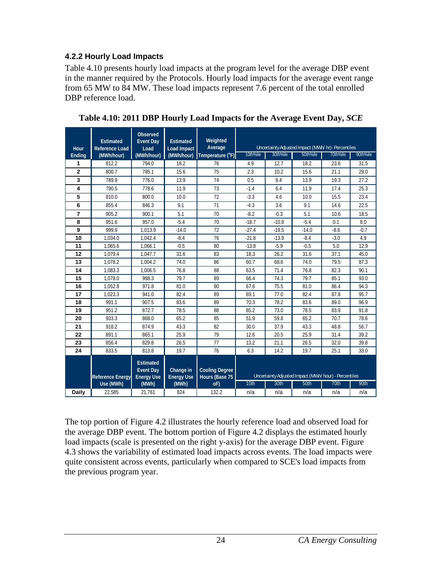#### <span id="page-28-0"></span>**4.2.2 Hourly Load Impacts**

Table 4.10 presents hourly load impacts at the program level for the average DBP event in the manner required by the Protocols. Hourly load impacts for the average event range from 65 MW to 84 MW. These load impacts represent 7.6 percent of the total enrolled DBP reference load.

| Hour           | <b>Estimated</b><br><b>Reference Load</b> | Observed<br><b>Event Dav</b><br>Load                      | <b>Estimated</b><br><b>Load Impact</b> | Weighted<br>Average                     |          |          | Uncertainty Adjusted Impact (MWh/ hr) - Percentiles   |          |          |
|----------------|-------------------------------------------|-----------------------------------------------------------|----------------------------------------|-----------------------------------------|----------|----------|-------------------------------------------------------|----------|----------|
| Ending         | (MWh/hour)                                | (MWh/hour)                                                | (MWh/hour)                             | Temperature $(^{\circ}F)$               | 10th%ile | 30th%ile | 50th%ile                                              | 70th%ile | 90th%ile |
| 1              | 812.2                                     | 794.0                                                     | 18.2                                   | 76                                      | 4.9      | 12.7     | 18.2                                                  | 23.6     | 31.5     |
| $\overline{2}$ | 800.7                                     | 785.1                                                     | 15.6                                   | 75                                      | 2.3      | 10.2     | 15.6                                                  | 21.1     | 29.0     |
| 3              | 789.9                                     | 776.0                                                     | 13.9                                   | 74                                      | 0.5      | 8.4      | 13.9                                                  | 19.3     | 27.2     |
| 4              | 790.5                                     | 778.6                                                     | 11.9                                   | 73                                      | $-1.4$   | 6.4      | 11.9                                                  | 17.4     | 25.3     |
| 5              | 810.0                                     | 800.0                                                     | 10.0                                   | 72                                      | $-3.3$   | 4.6      | 10.0                                                  | 15.5     | 23.4     |
| 6              | 855.4                                     | 846.3                                                     | 9.1                                    | 71                                      | $-4.3$   | 3.6      | 9.1                                                   | 14.6     | 22.5     |
| $\overline{7}$ | 905.2                                     | 900.1                                                     | 5.1                                    | 70                                      | $-8.2$   | $-0.3$   | 5.1                                                   | 10.6     | 18.5     |
| 8              | 951.6                                     | 957.0                                                     | $-5.4$                                 | 70                                      | $-18.7$  | $-10.9$  | $-5.4$                                                | 0.1      | 8.0      |
| 9              | 999.9                                     | 1.013.9                                                   | $-14.0$                                | 72                                      | $-27.4$  | $-19.5$  | $-14.0$                                               | $-8.6$   | $-0.7$   |
| 10             | 1.034.0                                   | 1.042.4                                                   | $-8.4$                                 | 76                                      | $-21.8$  | $-13.9$  | $-8.4$                                                | $-3.0$   | 4.9      |
| 11             | 1.065.6                                   | 1.066.1                                                   | $-0.5$                                 | 80                                      | $-13.8$  | $-5.9$   | $-0.5$                                                | 5.0      | 12.9     |
| 12             | 1.079.4                                   | 1.047.7                                                   | 31.6                                   | 83                                      | 18.3     | 26.2     | 31.6                                                  | 37.1     | 45.0     |
| 13             | 1.078.2                                   | 1,004.2                                                   | 74.0                                   | 86                                      | 60.7     | 68.6     | 74.0                                                  | 79.5     | 87.3     |
| 14             | 1,083.3                                   | 1.006.5                                                   | 76.8                                   | 88                                      | 63.5     | 71.4     | 76.8                                                  | 82.3     | 90.1     |
| 15             | 1,078.0                                   | 998.3                                                     | 79.7                                   | 89                                      | 66.4     | 74.3     | 79.7                                                  | 85.1     | 93.0     |
| 16             | 1,052.8                                   | 971.8                                                     | 81.0                                   | 90                                      | 67.6     | 75.5     | 81.0                                                  | 86.4     | 94.3     |
| 17             | 1,023.3                                   | 941.0                                                     | 82.4                                   | 89                                      | 69.1     | 77.0     | 82.4                                                  | 87.8     | 95.7     |
| 18             | 991.1                                     | 907.5                                                     | 83.6                                   | 89                                      | 70.3     | 78.2     | 83.6                                                  | 89.0     | 96.9     |
| 19             | 951.2                                     | 872.7                                                     | 78.5                                   | 88                                      | 65.2     | 73.0     | 78.5                                                  | 83.9     | 91.8     |
| 20             | 933.3                                     | 868.0                                                     | 65.2                                   | 85                                      | 51.9     | 59.8     | 65.2                                                  | 70.7     | 78.6     |
| 21             | 918.2                                     | 874.9                                                     | 43.3                                   | 82                                      | 30.0     | 37.9     | 43.3                                                  | 48.8     | 56.7     |
| 22             | 891.1                                     | 865.1                                                     | 25.9                                   | 79                                      | 12.6     | 20.5     | 25.9                                                  | 31.4     | 39.2     |
| 23             | 856.4                                     | 829.8                                                     | 26.5                                   | 77                                      | 13.2     | 21.1     | 26.5                                                  | 32.0     | 39.8     |
| 24             | 833.5                                     | 813.8                                                     | 19.7                                   | 76                                      | 6.3      | 14.2     | 19.7                                                  | 25.1     | 33.0     |
|                | <b>Reference Energy</b>                   | <b>Estimated</b><br><b>Event Day</b><br><b>Energy Use</b> | Change in<br><b>Energy Use</b>         | <b>Cooling Degree</b><br>Hours (Base 75 |          |          | Uncertainty Adjusted Impact (MWh/ hour) - Percentiles |          |          |
|                | Use (MWh)                                 | (MWh)                                                     | (MWh)                                  | oF)                                     | 10th     | 30th     | 50th                                                  | 70th     | 90th     |
| Daily          | 22,585                                    | 21,761                                                    | 824                                    | 132.2                                   | n/a      | n/a      | n/a                                                   | n/a      | n/a      |

<span id="page-28-1"></span>**Table 4.10: 2011 DBP Hourly Load Impacts for the Average Event Day,** *SCE*

The top portion of Figure 4.2 illustrates the hourly reference load and observed load for the average DBP event. The bottom portion of Figure 4.2 displays the estimated hourly load impacts (scale is presented on the right y-axis) for the average DBP event. Figure 4.3 shows the variability of estimated load impacts across events. The load impacts were quite consistent across events, particularly when compared to SCE's load impacts from the previous program year.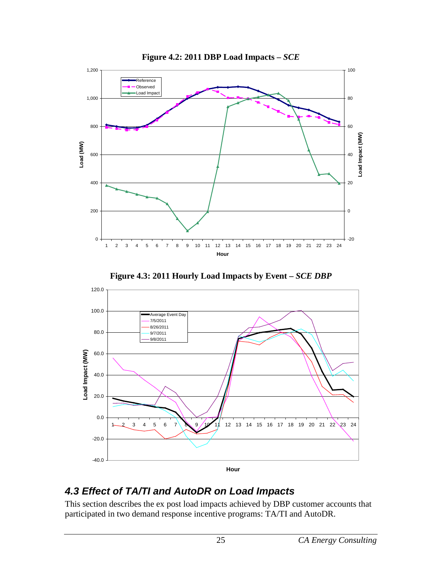<span id="page-29-1"></span>

**Figure 4.2: 2011 DBP Load Impacts –** *SCE*

<span id="page-29-2"></span>

### **Figure 4.3: 2011 Hourly Load Impacts by Event –** *SCE DBP*

## <span id="page-29-0"></span>*4.3 Effect of TA/TI and AutoDR on Load Impacts*

This section describes the ex post load impacts achieved by DBP customer accounts that participated in two demand response incentive programs: TA/TI and AutoDR.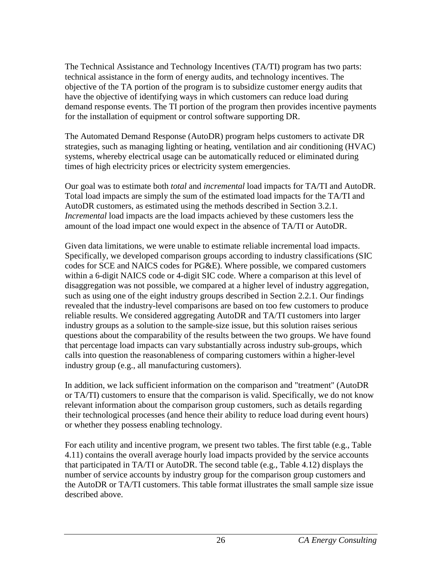The Technical Assistance and Technology Incentives (TA/TI) program has two parts: technical assistance in the form of energy audits, and technology incentives. The objective of the TA portion of the program is to subsidize customer energy audits that have the objective of identifying ways in which customers can reduce load during demand response events. The TI portion of the program then provides incentive payments for the installation of equipment or control software supporting DR.

The Automated Demand Response (AutoDR) program helps customers to activate DR strategies, such as managing lighting or heating, ventilation and air conditioning (HVAC) systems, whereby electrical usage can be automatically reduced or eliminated during times of high electricity prices or electricity system emergencies.

Our goal was to estimate both *total* and *incremental* load impacts for TA/TI and AutoDR. Total load impacts are simply the sum of the estimated load impacts for the TA/TI and AutoDR customers, as estimated using the methods described in Section 3.2.1. *Incremental* load impacts are the load impacts achieved by these customers less the amount of the load impact one would expect in the absence of TA/TI or AutoDR.

Given data limitations, we were unable to estimate reliable incremental load impacts. Specifically, we developed comparison groups according to industry classifications (SIC codes for SCE and NAICS codes for PG&E). Where possible, we compared customers within a 6-digit NAICS code or 4-digit SIC code. Where a comparison at this level of disaggregation was not possible, we compared at a higher level of industry aggregation, such as using one of the eight industry groups described in Section 2.2.1. Our findings revealed that the industry-level comparisons are based on too few customers to produce reliable results. We considered aggregating AutoDR and TA/TI customers into larger industry groups as a solution to the sample-size issue, but this solution raises serious questions about the comparability of the results between the two groups. We have found that percentage load impacts can vary substantially across industry sub-groups, which calls into question the reasonableness of comparing customers within a higher-level industry group (e.g., all manufacturing customers).

In addition, we lack sufficient information on the comparison and "treatment" (AutoDR or TA/TI) customers to ensure that the comparison is valid. Specifically, we do not know relevant information about the comparison group customers, such as details regarding their technological processes (and hence their ability to reduce load during event hours) or whether they possess enabling technology.

For each utility and incentive program, we present two tables. The first table  $(e.g., Table)$ 4.11) contains the overall average hourly load impacts provided by the service accounts that participated in TA/TI or AutoDR. The second table (e.g., Table 4.12) displays the number of service accounts by industry group for the comparison group customers and the AutoDR or TA/TI customers. This table format illustrates the small sample size issue described above.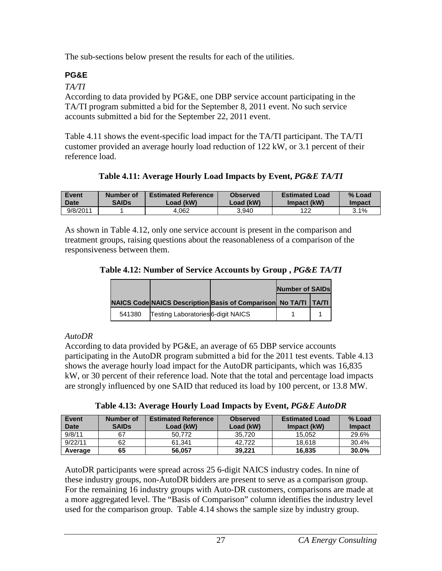The sub-sections below present the results for each of the utilities.

### <span id="page-31-0"></span>**PG&E**

*TA/TI*

According to data provided by PG&E, one DBP service account participating in the TA/TI program submitted a bid for the September 8, 2011 event. No such service accounts submitted a bid for the September 22, 2011 event.

Table 4.11 shows the event-specific load impact for the TA/TI participant. The TA/TI customer provided an average hourly load reduction of 122 kW, or 3.1 percent of their reference load.

**Table 4.11: Average Hourly Load Impacts by Event,** *PG&E TA/TI*

<span id="page-31-1"></span>

| <b>Event</b> | Number of | <b>Estimated Reference</b> | <b>Observed</b> | <b>Estimated Load</b> | % Load        |
|--------------|-----------|----------------------------|-----------------|-----------------------|---------------|
| Date         | SAIDs     | Load (kW)                  | Load (kW)       | Impact (kW)           | <b>Impact</b> |
| 9/8/2011     |           | 4.062                      | 3.940           | 122                   | 3.1%          |

As shown in Table 4.12, only one service account is present in the comparison and treatment groups, raising questions about the reasonableness of a comparison of the responsiveness between them.

<span id="page-31-2"></span>

|  |  | Table 4.12: Number of Service Accounts by Group, PG&E TA/TI |  |
|--|--|-------------------------------------------------------------|--|
|  |  |                                                             |  |

|        |                                           |                                                                   | Number of SAIDs |  |
|--------|-------------------------------------------|-------------------------------------------------------------------|-----------------|--|
|        |                                           | NAICS Code NAICS Description Basis of Comparison No TA/TI   TA/TI |                 |  |
| 541380 | <b>Testing Laboratories</b> 6-digit NAICS |                                                                   |                 |  |

### *AutoDR*

According to data provided by PG&E, an average of 65 DBP service accounts participating in the AutoDR program submitted a bid for the 2011 test events. Table 4.13 shows the average hourly load impact for the AutoDR participants, which was 16,835 kW, or 30 percent of their reference load. Note that the total and percentage load impacts are strongly influenced by one SAID that reduced its load by 100 percent, or 13.8 MW.

**Table 4.13: Average Hourly Load Impacts by Event,** *PG&E AutoDR*

<span id="page-31-3"></span>

| Event<br><b>Date</b> | Number of<br><b>SAIDs</b> | <b>Estimated Reference</b><br>Load (kW) | <b>Observed</b><br>Load (kW) | <b>Estimated Load</b><br>Impact (kW) | % Load<br><b>Impact</b> |
|----------------------|---------------------------|-----------------------------------------|------------------------------|--------------------------------------|-------------------------|
| 9/8/11               | 67                        | 50.772                                  | 35.720                       | 15.052                               | 29.6%                   |
| 9/22/11              | 62                        | 61.341                                  | 42.722                       | 18.618                               | 30.4%                   |
| Average              | 65                        | 56.057                                  | 39.221                       | 16.835                               | 30.0%                   |

AutoDR participants were spread across 25 6-digit NAICS industry codes. In nine of these industry groups, non-AutoDR bidders are present to serve as a comparison group. For the remaining 16 industry groups with Auto-DR customers, comparisons are made at a more aggregated level. The "Basis of Comparison" column identifies the industry level used for the comparison group. Table 4.14 shows the sample size by industry group.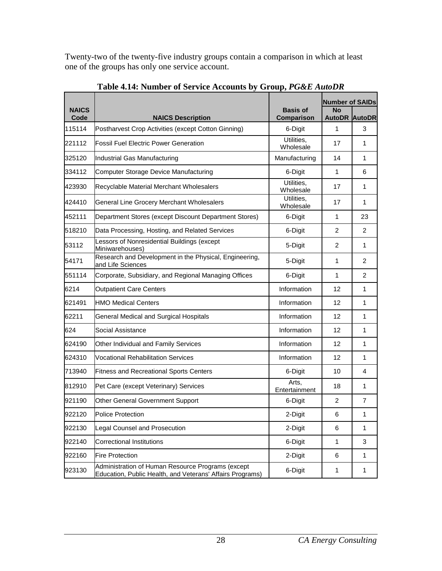Twenty-two of the twenty-five industry groups contain a comparison in which at least one of the groups has only one service account.

<span id="page-32-0"></span>

| <b>NAICS</b> |                                                                                                                | <b>Basis of</b>         | <b>Number of SAIDs</b><br><b>No</b> |                |
|--------------|----------------------------------------------------------------------------------------------------------------|-------------------------|-------------------------------------|----------------|
| Code         | <b>NAICS Description</b>                                                                                       | Comparison              | <b>AutoDR AutoDR</b>                |                |
| 115114       | Postharvest Crop Activities (except Cotton Ginning)                                                            | 6-Digit                 | 1                                   | 3              |
| 221112       | <b>Fossil Fuel Electric Power Generation</b>                                                                   | Utilities,<br>Wholesale | 17                                  | 1              |
| 325120       | Industrial Gas Manufacturing                                                                                   | Manufacturing           | 14                                  | 1              |
| 334112       | Computer Storage Device Manufacturing                                                                          | 6-Digit                 | 1                                   | 6              |
| 423930       | Recyclable Material Merchant Wholesalers                                                                       | Utilities,<br>Wholesale | 17                                  | 1              |
| 424410       | General Line Grocery Merchant Wholesalers                                                                      | Utilities,<br>Wholesale | 17                                  | 1              |
| 452111       | Department Stores (except Discount Department Stores)                                                          | 6-Digit                 | 1                                   | 23             |
| 518210       | Data Processing, Hosting, and Related Services                                                                 | 6-Digit                 | 2                                   | $\overline{2}$ |
| 53112        | Lessors of Nonresidential Buildings (except<br>Miniwarehouses)                                                 | 5-Digit                 | 2                                   | 1              |
| 54171        | Research and Development in the Physical, Engineering,<br>and Life Sciences                                    | 5-Digit                 | 1                                   | 2              |
| 551114       | Corporate, Subsidiary, and Regional Managing Offices                                                           | 6-Digit                 | 1                                   | 2              |
| 6214         | <b>Outpatient Care Centers</b>                                                                                 | Information             | 12                                  | 1              |
| 621491       | <b>HMO Medical Centers</b>                                                                                     | Information             | $12 \overline{ }$                   | 1              |
| 62211        | General Medical and Surgical Hospitals                                                                         | Information             | 12                                  | 1              |
| 624          | Social Assistance                                                                                              | Information             | 12                                  | 1              |
| 624190       | Other Individual and Family Services                                                                           | Information             | 12                                  | 1              |
| 624310       | <b>Vocational Rehabilitation Services</b>                                                                      | Information             | 12                                  | 1              |
| 713940       | <b>Fitness and Recreational Sports Centers</b>                                                                 | 6-Digit                 | 10                                  | 4              |
| 812910       | Pet Care (except Veterinary) Services                                                                          | Arts,<br>Entertainment  | 18                                  | 1              |
| 921190       | Other General Government Support                                                                               | 6-Digit                 | 2                                   | $\overline{7}$ |
| 922120       | <b>Police Protection</b>                                                                                       | 2-Digit                 | 6                                   | 1              |
| 922130       | Legal Counsel and Prosecution                                                                                  | 2-Digit                 | 6                                   | 1              |
| 922140       | <b>Correctional Institutions</b>                                                                               | 6-Digit                 | $\mathbf{1}$                        | 3              |
| 922160       | <b>Fire Protection</b>                                                                                         | 2-Digit                 | 6                                   | $\mathbf{1}$   |
| 923130       | Administration of Human Resource Programs (except<br>Education, Public Health, and Veterans' Affairs Programs) | 6-Digit                 | 1                                   | 1              |

**Table 4.14: Number of Service Accounts by Group,** *PG&E AutoDR*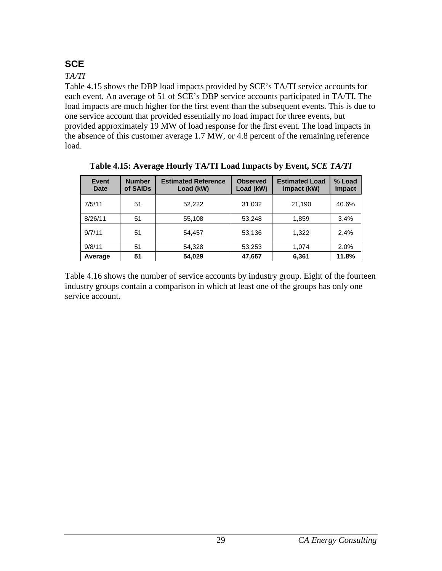## <span id="page-33-0"></span>**SCE**

#### *TA/TI*

Table 4.15 shows the DBP load impacts provided by SCE's TA/TI service accounts for each event. An average of 51 of SCE's DBP service accounts participated in TA/TI. The load impacts are much higher for the first event than the subsequent events. This is due to one service account that provided essentially no load impact for three events, but provided approximately 19 MW of load response for the first event. The load impacts in the absence of this customer average 1.7 MW, or 4.8 percent of the remaining reference load.

<span id="page-33-1"></span>

| Event<br>Date | <b>Number</b><br>of SAIDs | <b>Estimated Reference</b><br>Load (kW) | <b>Observed</b><br>Load (kW) | <b>Estimated Load</b><br>Impact (kW) | % Load<br><b>Impact</b> |
|---------------|---------------------------|-----------------------------------------|------------------------------|--------------------------------------|-------------------------|
| 7/5/11        | 51                        | 52,222                                  | 31,032                       | 21,190                               | 40.6%                   |
| 8/26/11       | 51                        | 55,108                                  | 53.248                       | 1,859                                | 3.4%                    |
| 9/7/11        | 51                        | 54,457                                  | 53,136                       | 1.322                                | 2.4%                    |
| 9/8/11        | 51                        | 54,328                                  | 53,253                       | 1.074                                | 2.0%                    |
| Average       | 51                        | 54,029                                  | 47,667                       | 6,361                                | 11.8%                   |

**Table 4.15: Average Hourly TA/TI Load Impacts by Event,** *SCE TA/TI*

Table 4.16 shows the number of service accounts by industry group. Eight of the fourteen industry groups contain a comparison in which at least one of the groups has only one service account.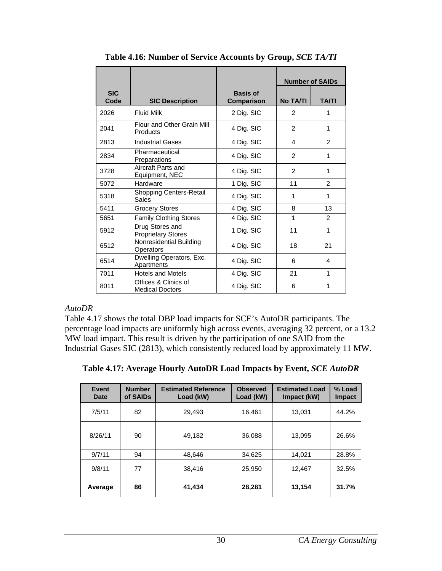<span id="page-34-0"></span>

|                    |                                                |                                      | <b>Number of SAIDs</b> |                |
|--------------------|------------------------------------------------|--------------------------------------|------------------------|----------------|
| <b>SIC</b><br>Code | <b>SIC Description</b>                         | <b>Basis of</b><br><b>Comparison</b> | <b>No TA/TI</b>        | <b>TA/TI</b>   |
| 2026               | <b>Fluid Milk</b>                              | 2 Dig. SIC                           | 2                      | 1              |
| 2041               | Flour and Other Grain Mill<br>Products         | 4 Dig. SIC                           | 2                      | 1              |
| 2813               | <b>Industrial Gases</b>                        | 4 Dig. SIC                           | 4                      | $\overline{2}$ |
| 2834               | Pharmaceutical<br>Preparations                 | 4 Dig. SIC                           | 2                      | 1              |
| 3728               | Aircraft Parts and<br>Equipment, NEC           | 4 Dig. SIC                           | 2                      | 1              |
| 5072               | Hardware                                       | 1 Dig. SIC                           | 11                     | $\overline{2}$ |
| 5318               | <b>Shopping Centers-Retail</b><br>Sales        | 4 Dig. SIC                           | 1                      | 1              |
| 5411               | <b>Grocery Stores</b>                          | 4 Dig. SIC                           | 8                      | 13             |
| 5651               | <b>Family Clothing Stores</b>                  | 4 Dig. SIC                           | $\mathbf{1}$           | $\mathcal{P}$  |
| 5912               | Drug Stores and<br><b>Proprietary Stores</b>   | 1 Dig. SIC                           | 11                     | 1              |
| 6512               | Nonresidential Building<br>Operators           | 4 Dig. SIC                           | 18                     | 21             |
| 6514               | Dwelling Operators, Exc.<br>Apartments         | 4 Dig. SIC                           | 6                      | 4              |
| 7011               | <b>Hotels and Motels</b>                       | 4 Dig. SIC                           | 21                     | 1              |
| 8011               | Offices & Clinics of<br><b>Medical Doctors</b> | 4 Dig. SIC                           | 6                      | 1              |

**Table 4.16: Number of Service Accounts by Group,** *SCE TA/TI*

#### *AutoDR*

Table 4.17 shows the total DBP load impacts for SCE's AutoDR participants. The percentage load impacts are uniformly high across events, averaging 32 percent, or a 13.2 MW load impact. This result is driven by the participation of one SAID from the Industrial Gases SIC (2813), which consistently reduced load by approximately 11 MW.

<span id="page-34-1"></span>

|  |  |  | Table 4.17: Average Hourly AutoDR Load Impacts by Event, SCE AutoDR |
|--|--|--|---------------------------------------------------------------------|
|--|--|--|---------------------------------------------------------------------|

| <b>Event</b><br>Date | <b>Number</b><br>of SAIDs | <b>Estimated Reference</b><br>Load (kW) | <b>Observed</b><br>Load (kW) | <b>Estimated Load</b><br>Impact (kW) | % Load<br><b>Impact</b> |
|----------------------|---------------------------|-----------------------------------------|------------------------------|--------------------------------------|-------------------------|
| 7/5/11               | 82                        | 29,493                                  | 16,461                       | 13,031                               | 44.2%                   |
| 8/26/11              | 90                        | 49,182                                  | 36,088                       | 13,095                               | 26.6%                   |
| 9/7/11               | 94                        | 48,646                                  | 34.625                       | 14,021                               | 28.8%                   |
| 9/8/11               | 77                        | 38,416                                  | 25,950                       | 12,467                               | 32.5%                   |
| Average              | 86                        | 41,434                                  | 28,281                       | 13,154                               | 31.7%                   |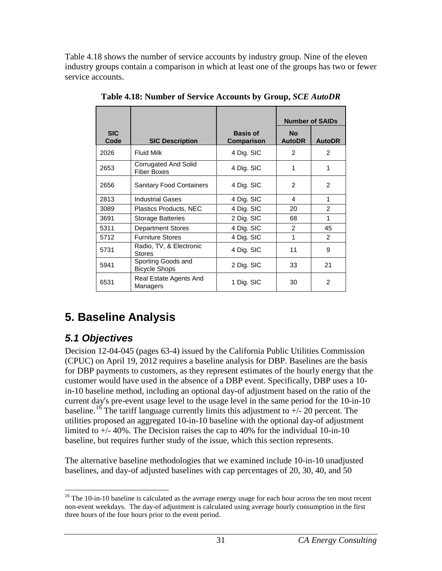Table 4.18 shows the number of service accounts by industry group. Nine of the eleven industry groups contain a comparison in which at least one of the groups has two or fewer service accounts.

<span id="page-35-2"></span>

|                    |                                            |                                      | <b>Number of SAIDs</b>     |                |
|--------------------|--------------------------------------------|--------------------------------------|----------------------------|----------------|
| <b>SIC</b><br>Code | <b>SIC Description</b>                     | <b>Basis of</b><br><b>Comparison</b> | <b>No</b><br><b>AutoDR</b> | <b>AutoDR</b>  |
| 2026               | <b>Fluid Milk</b>                          | 4 Dig. SIC                           | 2                          | $\overline{2}$ |
| 2653               | Corrugated And Solid<br><b>Fiber Boxes</b> | 4 Dig. SIC                           | 1                          | 1              |
| 2656               | <b>Sanitary Food Containers</b>            | 4 Dig. SIC                           | $\mathcal{P}$              | $\mathcal{P}$  |
| 2813               | <b>Industrial Gases</b>                    | 4 Dig. SIC                           | 4                          | 1              |
| 3089               | Plastics Products, NEC                     | 4 Dig. SIC                           | 20                         | $\mathfrak{p}$ |
| 3691               | <b>Storage Batteries</b>                   | 2 Dig. SIC                           | 68                         | 1              |
| 5311               | <b>Department Stores</b>                   | 4 Dig. SIC                           | $\mathcal{P}$              | 45             |
| 5712               | <b>Furniture Stores</b>                    | 4 Dig. SIC                           | 1                          | $\mathcal{P}$  |
| 5731               | Radio, TV, & Electronic<br><b>Stores</b>   | 4 Dig. SIC                           | 11                         | 9              |
| 5941               | Sporting Goods and<br><b>Bicycle Shops</b> | 2 Dig. SIC                           | 33                         | 21             |
| 6531               | Real Estate Agents And<br>Managers         | 1 Dig. SIC                           | 30                         | $\mathcal{P}$  |

**Table 4.18: Number of Service Accounts by Group,** *SCE AutoDR*

## <span id="page-35-0"></span>**5. Baseline Analysis**

## <span id="page-35-1"></span>*5.1 Objectives*

Decision 12-04-045 (pages 63-4) issued by the California Public Utilities Commission (CPUC) on April 19, 2012 requires a baseline analysis for DBP. Baselines are the basis for DBP payments to customers, as they represent estimates of the hourly energy that the customer would have used in the absence of a DBP event. Specifically, DBP uses a 10 in-10 baseline method, including an optional day-of adjustment based on the ratio of the current day's pre-event usage level to the usage level in the same period for the 10-in-10 baseline.<sup>[16](#page-35-3)</sup> The tariff language currently limits this adjustment to  $+/$ -20 percent. The utilities proposed an aggregated 10-in-10 baseline with the optional day-of adjustment limited to +/- 40%. The Decision raises the cap to 40% for the individual 10-in-10 baseline, but requires further study of the issue, which this section represents.

The alternative baseline methodologies that we examined include 10-in-10 unadjusted baselines, and day-of adjusted baselines with cap percentages of 20, 30, 40, and 50

<span id="page-35-3"></span><sup>&</sup>lt;sup>16</sup> The 10-in-10 baseline is calculated as the average energy usage for each hour across the ten most recent non-event weekdays. The day-of adjustment is calculated using average hourly consumption in the first three hours of the four hours prior to the event period.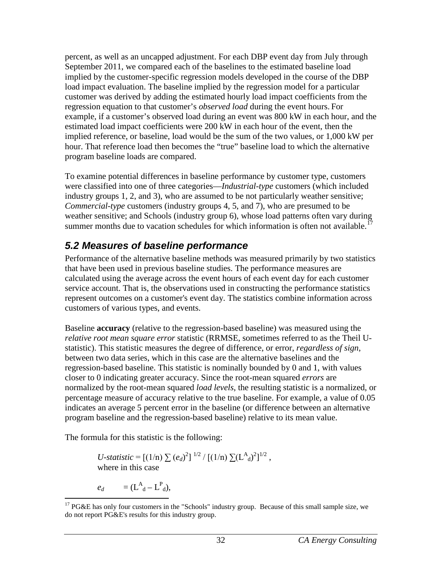percent, as well as an uncapped adjustment. For each DBP event day from July through September 2011, we compared each of the baselines to the estimated baseline load implied by the customer-specific regression models developed in the course of the DBP load impact evaluation. The baseline implied by the regression model for a particular customer was derived by adding the estimated hourly load impact coefficients from the regression equation to that customer's *observed load* during the event hours. For example, if a customer's observed load during an event was 800 kW in each hour, and the estimated load impact coefficients were 200 kW in each hour of the event, then the implied reference, or baseline, load would be the sum of the two values, or 1,000 kW per hour. That reference load then becomes the "true" baseline load to which the alternative program baseline loads are compared.

To examine potential differences in baseline performance by customer type, customers were classified into one of three categories—*Industrial-type* customers (which included industry groups 1, 2, and 3), who are assumed to be not particularly weather sensitive; *Commercial-type* customers (industry groups 4, 5, and 7), who are presumed to be weather sensitive; and Schools (industry group 6), whose load patterns often vary during summer months due to vacation schedules for which information is often not available.<sup>17</sup>

## <span id="page-36-0"></span>*5.2 Measures of baseline performance*

Performance of the alternative baseline methods was measured primarily by two statistics that have been used in previous baseline studies. The performance measures are calculated using the average across the event hours of each event day for each customer service account. That is, the observations used in constructing the performance statistics represent outcomes on a customer's event day. The statistics combine information across customers of various types, and events.

Baseline **accuracy** (relative to the regression-based baseline) was measured using the *relative root mean square error* statistic (RRMSE, sometimes referred to as the Theil Ustatistic). This statistic measures the degree of difference, or error, *regardless of sign*, between two data series, which in this case are the alternative baselines and the regression-based baseline. This statistic is nominally bounded by 0 and 1, with values closer to 0 indicating greater accuracy. Since the root-mean squared *errors* are normalized by the root-mean squared *load levels*, the resulting statistic is a normalized, or percentage measure of accuracy relative to the true baseline. For example, a value of 0.05 indicates an average 5 percent error in the baseline (or difference between an alternative program baseline and the regression-based baseline) relative to its mean value.

The formula for this statistic is the following:

*U-statistic* =  $[(1/n) \sum (e_d)^2]^{1/2} / [(1/n) \sum (L^A_d)^2]^{1/2}$ , where in this case

$$
e_d = (\mathbf{L}_{\mathbf{d}}^{\mathbf{A}} - \mathbf{L}_{\mathbf{d}}^{\mathbf{P}}),
$$

<span id="page-36-1"></span><sup>&</sup>lt;sup>17</sup> PG&E has only four customers in the "Schools" industry group. Because of this small sample size, we do not report PG&E's results for this industry group.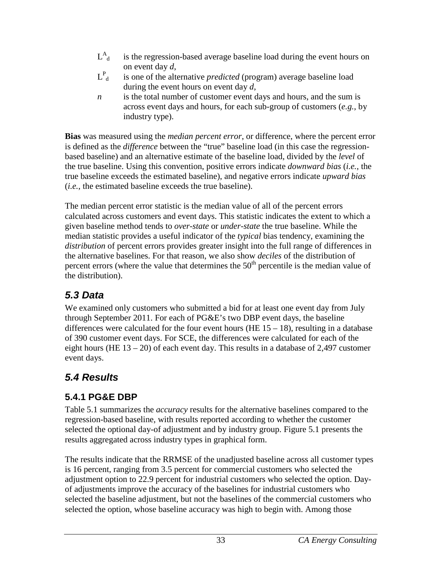- $L^A_{\ \,A}$ is the regression-based average baseline load during the event hours on on event day *d*,
- $L^P_{\mu}$ is one of the alternative *predicted* (program) average baseline load during the event hours on event day *d*,
- *n* is the total number of customer event days and hours, and the sum is across event days and hours, for each sub-group of customers (*e.g.*, by industry type).

**Bias** was measured using the *median percent error*, or difference, where the percent error is defined as the *difference* between the "true" baseline load (in this case the regressionbased baseline) and an alternative estimate of the baseline load, divided by the *level* of the true baseline. Using this convention, positive errors indicate *downward bias* (*i.e.*, the true baseline exceeds the estimated baseline), and negative errors indicate *upward bias* (*i.e.*, the estimated baseline exceeds the true baseline).

The median percent error statistic is the median value of all of the percent errors calculated across customers and event days. This statistic indicates the extent to which a given baseline method tends to *over-state* or *under-state* the true baseline. While the median statistic provides a useful indicator of the *typical* bias tendency, examining the *distribution* of percent errors provides greater insight into the full range of differences in the alternative baselines. For that reason, we also show *deciles* of the distribution of percent errors (where the value that determines the  $50<sup>th</sup>$  percentile is the median value of the distribution).

## <span id="page-37-0"></span>*5.3 Data*

We examined only customers who submitted a bid for at least one event day from July through September 2011. For each of PG&E's two DBP event days, the baseline differences were calculated for the four event hours (HE  $15 - 18$ ), resulting in a database of 390 customer event days. For SCE, the differences were calculated for each of the eight hours (HE  $13 - 20$ ) of each event day. This results in a database of 2,497 customer event days.

## <span id="page-37-1"></span>*5.4 Results*

## <span id="page-37-2"></span>**5.4.1 PG&E DBP**

Table 5.1 summarizes the *accuracy* results for the alternative baselines compared to the regression-based baseline, with results reported according to whether the customer selected the optional day-of adjustment and by industry group. Figure 5.1 presents the results aggregated across industry types in graphical form.

The results indicate that the RRMSE of the unadjusted baseline across all customer types is 16 percent, ranging from 3.5 percent for commercial customers who selected the adjustment option to 22.9 percent for industrial customers who selected the option. Dayof adjustments improve the accuracy of the baselines for industrial customers who selected the baseline adjustment, but not the baselines of the commercial customers who selected the option, whose baseline accuracy was high to begin with. Among those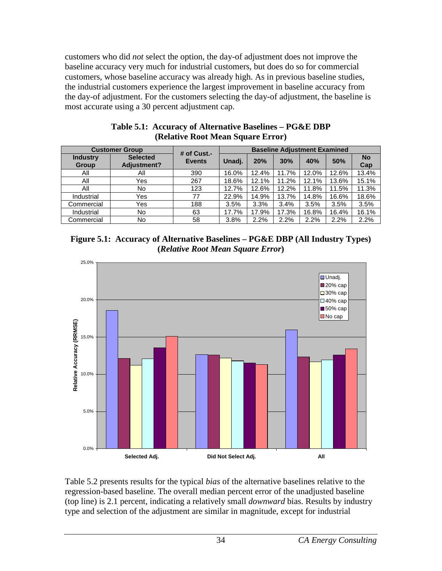customers who did *not* select the option, the day-of adjustment does not improve the baseline accuracy very much for industrial customers, but does do so for commercial customers, whose baseline accuracy was already high. As in previous baseline studies, the industrial customers experience the largest improvement in baseline accuracy from the day-of adjustment. For the customers selecting the day-of adjustment, the baseline is most accurate using a 30 percent adjustment cap.

<span id="page-38-0"></span>

| <b>Customer Group</b>           |                                       | # of Cust.-   | <b>Baseline Adjustment Examined</b> |       |       |       |       |                  |
|---------------------------------|---------------------------------------|---------------|-------------------------------------|-------|-------|-------|-------|------------------|
| <b>Industry</b><br><b>Group</b> | <b>Selected</b><br><b>Adjustment?</b> | <b>Events</b> | Unadj.                              | 20%   | 30%   | 40%   | 50%   | <b>No</b><br>Cap |
| All                             | Αll                                   | 390           | 16.0%                               | 12.4% | 11.7% | 12.0% | 12.6% | 13.4%            |
| All                             | Yes                                   | 267           | 18.6%                               | 12.1% | 11.2% | 12.1% | 13.6% | 15.1%            |
| All                             | No                                    | 123           | 12.7%                               | 12.6% | 12.2% | 11.8% | 11.5% | 11.3%            |
| Industrial                      | Yes                                   | 77            | 22.9%                               | 14.9% | 13.7% | 14.8% | 16.6% | 18.6%            |
| Commercial                      | Yes                                   | 188           | 3.5%                                | 3.3%  | 3.4%  | 3.5%  | 3.5%  | 3.5%             |
| Industrial                      | No.                                   | 63            | 17.7%                               | 17.9% | 17.3% | 16.8% | 16.4% | 16.1%            |
| Commercial                      | No                                    | 58            | 3.8%                                | 2.2%  | 2.2%  | 2.2%  | 2.2%  | 2.2%             |

**Table 5.1: Accuracy of Alternative Baselines – PG&E DBP (Relative Root Mean Square Error)**

<span id="page-38-1"></span>**Figure 5.1: Accuracy of Alternative Baselines – PG&E DBP (All Industry Types) (***Relative Root Mean Square Error***)**



Table 5.2 presents results for the typical *bias* of the alternative baselines relative to the regression-based baseline. The overall median percent error of the unadjusted baseline (top line) is 2.1 percent, indicating a relatively small *downward* bias. Results by industry type and selection of the adjustment are similar in magnitude, except for industrial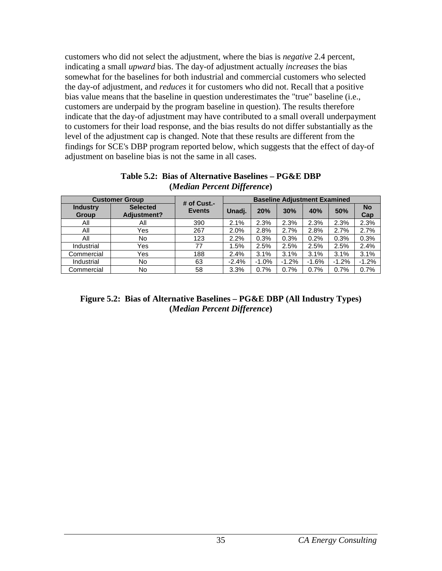customers who did not select the adjustment, where the bias is *negative* 2.4 percent, indicating a small *upward* bias. The day-of adjustment actually *increases* the bias somewhat for the baselines for both industrial and commercial customers who selected the day-of adjustment, and *reduces* it for customers who did not. Recall that a positive bias value means that the baseline in question underestimates the "true" baseline (i.e., customers are underpaid by the program baseline in question). The results therefore indicate that the day-of adjustment may have contributed to a small overall underpayment to customers for their load response, and the bias results do not differ substantially as the level of the adjustment cap is changed. Note that these results are different from the findings for SCE's DBP program reported below, which suggests that the effect of day-of adjustment on baseline bias is not the same in all cases.

<span id="page-39-0"></span>

|                                 | <b>Customer Group</b>          | # of Cust.-   | <b>Baseline Adjustment Examined</b> |         |         |         |         |                  |
|---------------------------------|--------------------------------|---------------|-------------------------------------|---------|---------|---------|---------|------------------|
| <b>Industry</b><br><b>Group</b> | <b>Selected</b><br>Adjustment? | <b>Events</b> | Unadj.                              | 20%     | 30%     | 40%     | 50%     | <b>No</b><br>Cap |
| All                             | All                            | 390           | 2.1%                                | 2.3%    | 2.3%    | 2.3%    | 2.3%    | 2.3%             |
| All                             | Yes                            | 267           | 2.0%                                | 2.8%    | 2.7%    | 2.8%    | 2.7%    | 2.7%             |
| All                             | No                             | 123           | 2.2%                                | 0.3%    | 0.3%    | 0.2%    | 0.3%    | 0.3%             |
| Industrial                      | Yes                            | 77            | 1.5%                                | 2.5%    | 2.5%    | 2.5%    | 2.5%    | 2.4%             |
| Commercial                      | Yes                            | 188           | 2.4%                                | 3.1%    | 3.1%    | 3.1%    | 3.1%    | 3.1%             |
| Industrial                      | No                             | 63            | $-2.4%$                             | $-1.0%$ | $-1.2%$ | $-1.6%$ | $-1.2%$ | $-1.2%$          |
| Commercial                      | No                             | 58            | 3.3%                                | 0.7%    | 0.7%    | 0.7%    | 0.7%    | 0.7%             |

**Table 5.2: Bias of Alternative Baselines – PG&E DBP (***Median Percent Difference***)**

#### <span id="page-39-1"></span>**Figure 5.2: Bias of Alternative Baselines – PG&E DBP (All Industry Types) (***Median Percent Difference***)**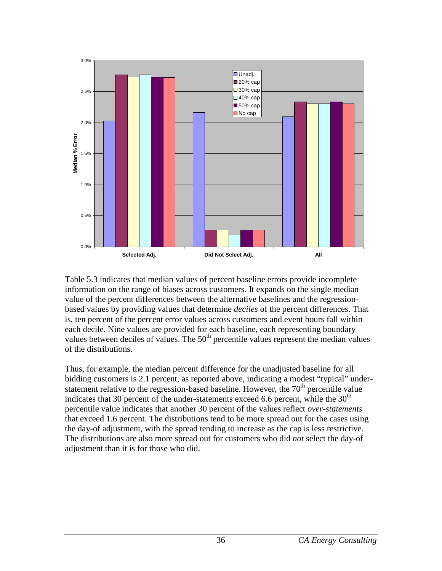

Table 5.3 indicates that median values of percent baseline errors provide incomplete information on the range of biases across customers. It expands on the single median value of the percent differences between the alternative baselines and the regressionbased values by providing values that determine *deciles* of the percent differences. That is, ten percent of the percent error values across customers and event hours fall within each decile. Nine values are provided for each baseline, each representing boundary values between deciles of values. The  $50<sup>th</sup>$  percentile values represent the median values of the distributions.

Thus, for example, the median percent difference for the unadjusted baseline for all bidding customers is 2.1 percent, as reported above, indicating a modest "typical" understatement relative to the regression-based baseline. However, the  $70<sup>th</sup>$  percentile value indicates that 30 percent of the under-statements exceed 6.6 percent, while the  $30<sup>th</sup>$ percentile value indicates that another 30 percent of the values reflect *over-statements* that exceed 1.6 percent. The distributions tend to be more spread out for the cases using the day-of adjustment, with the spread tending to increase as the cap is less restrictive. The distributions are also more spread out for customers who did *not* select the day-of adjustment than it is for those who did.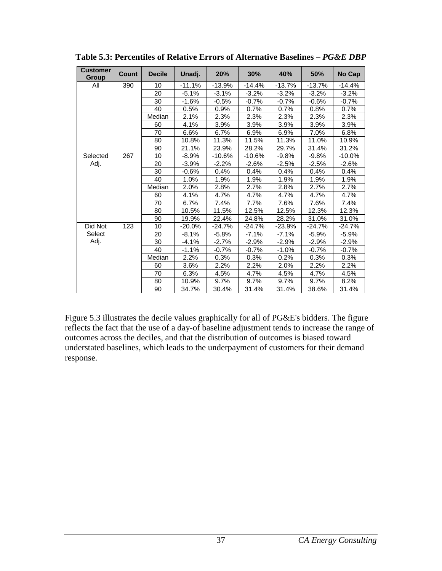| <b>Customer</b><br>Group | <b>Count</b> | <b>Decile</b> | Unadj.   | 20%      | 30%      | 40%      | 50%      | No Cap   |
|--------------------------|--------------|---------------|----------|----------|----------|----------|----------|----------|
| All                      | 390          | 10            | $-11.1%$ | $-13.9%$ | $-14.4%$ | $-13.7%$ | $-13.7%$ | $-14.4%$ |
|                          |              | 20            | $-5.1%$  | $-3.1%$  | $-3.2%$  | $-3.2%$  | $-3.2%$  | $-3.2%$  |
|                          |              | 30            | $-1.6%$  | $-0.5%$  | $-0.7%$  | $-0.7%$  | $-0.6%$  | $-0.7%$  |
|                          |              | 40            | 0.5%     | 0.9%     | 0.7%     | 0.7%     | 0.8%     | 0.7%     |
|                          |              | Median        | 2.1%     | 2.3%     | 2.3%     | 2.3%     | 2.3%     | 2.3%     |
|                          |              | 60            | 4.1%     | 3.9%     | 3.9%     | 3.9%     | 3.9%     | 3.9%     |
|                          |              | 70            | 6.6%     | 6.7%     | 6.9%     | 6.9%     | 7.0%     | 6.8%     |
|                          |              | 80            | 10.8%    | 11.3%    | 11.5%    | 11.3%    | 11.0%    | 10.9%    |
|                          |              | 90            | 21.1%    | 23.9%    | 28.2%    | 29.7%    | 31.4%    | 31.2%    |
| Selected                 | 267          | 10            | $-8.9%$  | $-10.6%$ | $-10.6%$ | $-9.8%$  | $-9.8%$  | $-10.0%$ |
| Adj.                     |              | 20            | $-3.9%$  | $-2.2%$  | $-2.6%$  | $-2.5%$  | -2.5%    | $-2.6%$  |
|                          |              | 30            | $-0.6%$  | 0.4%     | 0.4%     | 0.4%     | 0.4%     | 0.4%     |
|                          |              | 40            | 1.0%     | 1.9%     | 1.9%     | 1.9%     | 1.9%     | 1.9%     |
|                          |              | Median        | 2.0%     | 2.8%     | 2.7%     | 2.8%     | 2.7%     | 2.7%     |
|                          |              | 60            | 4.1%     | 4.7%     | 4.7%     | 4.7%     | 4.7%     | 4.7%     |
|                          |              | 70            | 6.7%     | 7.4%     | 7.7%     | 7.6%     | 7.6%     | 7.4%     |
|                          |              | 80            | 10.5%    | 11.5%    | 12.5%    | 12.5%    | 12.3%    | 12.3%    |
|                          |              | 90            | 19.9%    | 22.4%    | 24.8%    | 28.2%    | 31.0%    | 31.0%    |
| Did Not                  | 123          | 10            | $-20.0%$ | $-24.7%$ | $-24.7%$ | $-23.9%$ | $-24.7%$ | $-24.7%$ |
| Select                   |              | 20            | $-8.1%$  | $-5.8%$  | $-7.1%$  | $-7.1%$  | $-5.9%$  | $-5.9%$  |
| Adj.                     |              | 30            | $-4.1%$  | $-2.7%$  | -2.9%    | $-2.9%$  | -2.9%    | $-2.9%$  |
|                          |              | 40            | $-1.1%$  | $-0.7%$  | $-0.7%$  | $-1.0%$  | $-0.7%$  | $-0.7%$  |
|                          |              | Median        | 2.2%     | 0.3%     | 0.3%     | 0.2%     | 0.3%     | 0.3%     |
|                          |              | 60            | 3.6%     | 2.2%     | 2.2%     | 2.0%     | 2.2%     | 2.2%     |
|                          |              | 70            | 6.3%     | 4.5%     | 4.7%     | 4.5%     | 4.7%     | 4.5%     |
|                          |              | 80            | 10.9%    | 9.7%     | 9.7%     | 9.7%     | 9.7%     | 8.2%     |
|                          |              | 90            | 34.7%    | 30.4%    | 31.4%    | 31.4%    | 38.6%    | 31.4%    |

<span id="page-41-0"></span>**Table 5.3: Percentiles of Relative Errors of Alternative Baselines –** *PG&E DBP*

Figure 5.3 illustrates the decile values graphically for all of PG&E's bidders. The figure reflects the fact that the use of a day-of baseline adjustment tends to increase the range of outcomes across the deciles, and that the distribution of outcomes is biased toward understated baselines, which leads to the underpayment of customers for their demand response.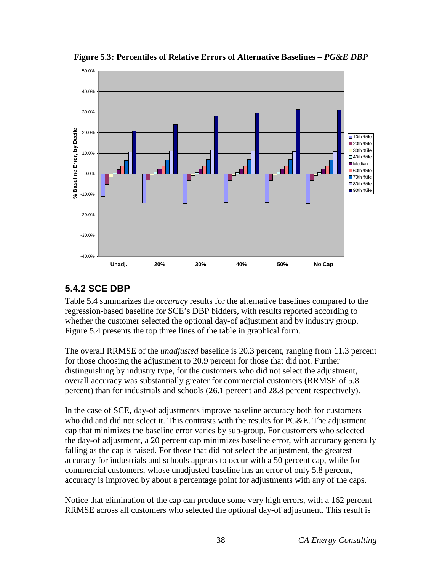

<span id="page-42-1"></span>**Figure 5.3: Percentiles of Relative Errors of Alternative Baselines –** *PG&E DBP*

## <span id="page-42-0"></span>**5.4.2 SCE DBP**

Table 5.4 summarizes the *accuracy* results for the alternative baselines compared to the regression-based baseline for SCE's DBP bidders, with results reported according to whether the customer selected the optional day-of adjustment and by industry group. Figure 5.4 presents the top three lines of the table in graphical form.

The overall RRMSE of the *unadjusted* baseline is 20.3 percent, ranging from 11.3 percent for those choosing the adjustment to 20.9 percent for those that did not. Further distinguishing by industry type, for the customers who did not select the adjustment, overall accuracy was substantially greater for commercial customers (RRMSE of 5.8 percent) than for industrials and schools (26.1 percent and 28.8 percent respectively).

In the case of SCE, day-of adjustments improve baseline accuracy both for customers who did and did not select it. This contrasts with the results for PG&E. The adjustment cap that minimizes the baseline error varies by sub-group. For customers who selected the day-of adjustment, a 20 percent cap minimizes baseline error, with accuracy generally falling as the cap is raised. For those that did not select the adjustment, the greatest accuracy for industrials and schools appears to occur with a 50 percent cap, while for commercial customers, whose unadjusted baseline has an error of only 5.8 percent, accuracy is improved by about a percentage point for adjustments with any of the caps.

Notice that elimination of the cap can produce some very high errors, with a 162 percent RRMSE across all customers who selected the optional day-of adjustment. This result is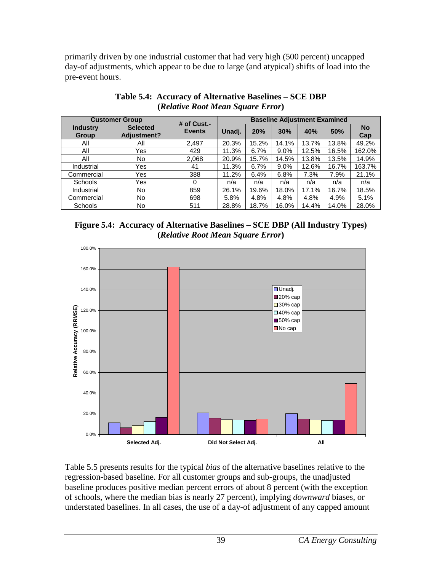primarily driven by one industrial customer that had very high (500 percent) uncapped day-of adjustments, which appear to be due to large (and atypical) shifts of load into the pre-event hours.

<span id="page-43-0"></span>

|                                 | <b>Customer Group</b>          | # of $Cust. -$ | <b>Baseline Adjustment Examined</b> |       |       |       |       |                  |
|---------------------------------|--------------------------------|----------------|-------------------------------------|-------|-------|-------|-------|------------------|
| <b>Industry</b><br><b>Group</b> | <b>Selected</b><br>Adjustment? | <b>Events</b>  | Unadj.                              | 20%   | 30%   | 40%   | 50%   | <b>No</b><br>Cap |
| Αll                             | All                            | 2,497          | 20.3%                               | 15.2% | 14.1% | 13.7% | 13.8% | 49.2%            |
| All                             | Yes                            | 429            | 11.3%                               | 6.7%  | 9.0%  | 12.5% | 16.5% | 162.0%           |
| All                             | No                             | 2,068          | 20.9%                               | 15.7% | 14.5% | 13.8% | 13.5% | 14.9%            |
| Industrial                      | Yes                            | 41             | 11.3%                               | 6.7%  | 9.0%  | 12.6% | 16.7% | 163.7%           |
| Commercial                      | Yes                            | 388            | 11.2%                               | 6.4%  | 6.8%  | 7.3%  | 7.9%  | 21.1%            |
| <b>Schools</b>                  | Yes                            |                | n/a                                 | n/a   | n/a   | n/a   | n/a   | n/a              |
| Industrial                      | No                             | 859            | 26.1%                               | 19.6% | 18.0% | 17.1% | 16.7% | 18.5%            |
| Commercial                      | No                             | 698            | 5.8%                                | 4.8%  | 4.8%  | 4.8%  | 4.9%  | 5.1%             |
| <b>Schools</b>                  | No                             | 511            | 28.8%                               | 18.7% | 16.0% | 14.4% | 14.0% | 28.0%            |

#### **Table 5.4: Accuracy of Alternative Baselines – SCE DBP (***Relative Root Mean Square Error***)**

<span id="page-43-1"></span>



Table 5.5 presents results for the typical *bias* of the alternative baselines relative to the regression-based baseline. For all customer groups and sub-groups, the unadjusted baseline produces positive median percent errors of about 8 percent (with the exception of schools, where the median bias is nearly 27 percent), implying *downward* biases, or understated baselines. In all cases, the use of a day-of adjustment of any capped amount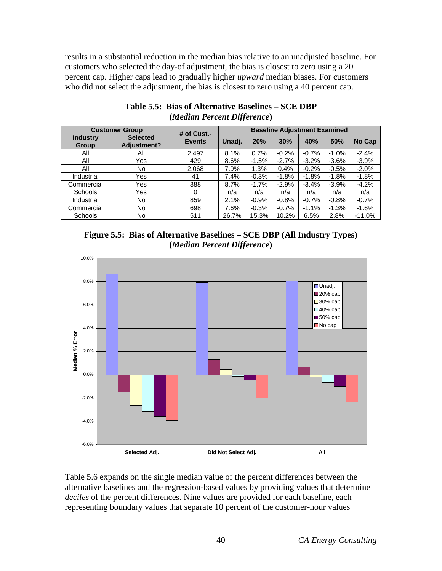results in a substantial reduction in the median bias relative to an unadjusted baseline. For customers who selected the day-of adjustment, the bias is closest to zero using a 20 percent cap. Higher caps lead to gradually higher *upward* median biases. For customers who did not select the adjustment, the bias is closest to zero using a 40 percent cap.

<span id="page-44-0"></span>

|                                 | <b>Customer Group</b>                 | # of $Cust.$ - | <b>Baseline Adjustment Examined</b> |         |         |          |         |          |
|---------------------------------|---------------------------------------|----------------|-------------------------------------|---------|---------|----------|---------|----------|
| <b>Industry</b><br><b>Group</b> | <b>Selected</b><br><b>Adjustment?</b> | <b>Events</b>  | Unadj.                              | 20%     | 30%     | 40%      | 50%     | No Cap   |
| All                             | All                                   | 2,497          | 8.1%                                | 0.7%    | $-0.2%$ | $-0.7%$  | $-1.0%$ | $-2.4%$  |
| All                             | Yes                                   | 429            | 8.6%                                | $-1.5%$ | $-2.7%$ | $-3.2\%$ | $-3.6%$ | $-3.9%$  |
| All                             | No                                    | 2,068          | 7.9%                                | 1.3%    | 0.4%    | $-0.2%$  | $-0.5%$ | $-2.0%$  |
| Industrial                      | Yes                                   | 41             | 7.4%                                | $-0.3%$ | $-1.8%$ | $-1.8%$  | $-1.8%$ | $-1.8%$  |
| Commercial                      | Yes                                   | 388            | 8.7%                                | $-1.7%$ | $-2.9%$ | $-3.4%$  | $-3.9%$ | $-4.2%$  |
| <b>Schools</b>                  | Yes                                   | 0              | n/a                                 | n/a     | n/a     | n/a      | n/a     | n/a      |
| Industrial                      | No                                    | 859            | 2.1%                                | $-0.9%$ | $-0.8%$ | $-0.7%$  | $-0.8%$ | $-0.7%$  |
| Commercial                      | No                                    | 698            | 7.6%                                | $-0.3%$ | $-0.7%$ | $-1.1%$  | $-1.3%$ | $-1.6%$  |
| Schools                         | No                                    | 511            | 26.7%                               | 15.3%   | 10.2%   | 6.5%     | 2.8%    | $-11.0%$ |

#### **Table 5.5: Bias of Alternative Baselines – SCE DBP (***Median Percent Difference***)**

<span id="page-44-1"></span>**Figure 5.5: Bias of Alternative Baselines – SCE DBP (All Industry Types) (***Median Percent Difference***)**



Table 5.6 expands on the single median value of the percent differences between the alternative baselines and the regression-based values by providing values that determine *deciles* of the percent differences. Nine values are provided for each baseline, each representing boundary values that separate 10 percent of the customer-hour values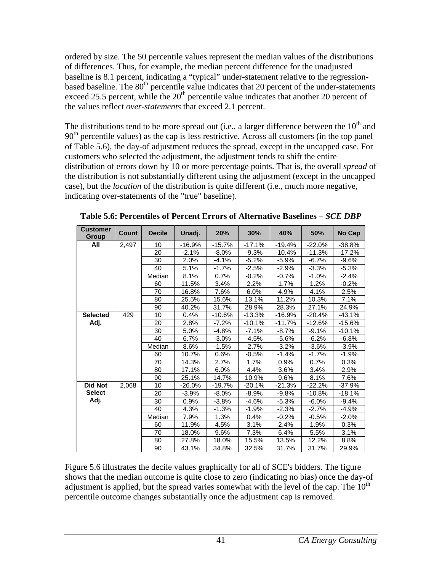ordered by size. The 50 percentile values represent the median values of the distributions of differences. Thus, for example, the median percent difference for the unadjusted baseline is 8.1 percent, indicating a "typical" under-statement relative to the regressionbased baseline. The  $80<sup>th</sup>$  percentile value indicates that 20 percent of the under-statements exceed 25.5 percent, while the  $20<sup>th</sup>$  percentile value indicates that another 20 percent of the values reflect *over-statements* that exceed 2.1 percent.

The distributions tend to be more spread out (i.e., a larger difference between the  $10<sup>th</sup>$  and  $90<sup>th</sup>$  percentile values) as the cap is less restrictive. Across all customers (in the top panel of Table 5.6), the day-of adjustment reduces the spread, except in the uncapped case. For customers who selected the adjustment, the adjustment tends to shift the entire distribution of errors down by 10 or more percentage points. That is, the overall *spread* of the distribution is not substantially different using the adjustment (except in the uncapped case), but the *location* of the distribution is quite different (i.e., much more negative, indicating over-statements of the "true" baseline).

| <b>Customer</b><br><b>Group</b> | <b>Count</b> | <b>Decile</b> | Unadj.   | 20%      | 30%      | 40%      | 50%      | No Cap   |
|---------------------------------|--------------|---------------|----------|----------|----------|----------|----------|----------|
| All                             | 2,497        | 10            | $-16.9%$ | $-15.7%$ | $-17.1%$ | $-19.4%$ | $-22.0%$ | $-38.8%$ |
|                                 |              | 20            | $-2.1%$  | $-8.0%$  | $-9.3%$  | $-10.4%$ | $-11.3%$ | $-17.2%$ |
|                                 |              | 30            | 2.0%     | $-4.1%$  | $-5.2%$  | $-5.9%$  | $-6.7%$  | $-9.6%$  |
|                                 |              | 40            | 5.1%     | $-1.7%$  | $-2.5%$  | $-2.9%$  | $-3.3%$  | $-5.3%$  |
|                                 |              | Median        | 8.1%     | 0.7%     | $-0.2%$  | $-0.7%$  | $-1.0\%$ | $-2.4%$  |
|                                 |              | 60            | 11.5%    | 3.4%     | 2.2%     | 1.7%     | 1.2%     | $-0.2\%$ |
|                                 |              | 70            | 16.8%    | 7.6%     | 6.0%     | 4.9%     | 4.1%     | 2.5%     |
|                                 |              | 80            | 25.5%    | 15.6%    | 13.1%    | 11.2%    | 10.3%    | 7.1%     |
|                                 |              | 90            | 40.2%    | 31.7%    | 28.9%    | 28.3%    | 27.1%    | 24.9%    |
| <b>Selected</b>                 | 429          | 10            | 0.4%     | $-10.6%$ | $-13.3%$ | $-16.9%$ | $-20.4%$ | $-43.1%$ |
| Adj.                            |              | 20            | 2.8%     | $-7.2%$  | $-10.1%$ | $-11.7%$ | $-12.6%$ | $-15.6%$ |
|                                 |              | 30            | 5.0%     | $-4.8%$  | $-7.1%$  | $-8.7%$  | $-9.1%$  | $-10.1%$ |
|                                 |              | 40            | 6.7%     | $-3.0%$  | $-4.5%$  | $-5.6%$  | $-6.2%$  | $-6.8%$  |
|                                 |              | Median        | 8.6%     | -1.5%    | $-2.7%$  | $-3.2%$  | $-3.6%$  | $-3.9%$  |
|                                 |              | 60            | 10.7%    | 0.6%     | $-0.5%$  | $-1.4%$  | $-1.7%$  | $-1.9%$  |
|                                 |              | 70            | 14.3%    | 2.7%     | 1.7%     | 0.9%     | 0.7%     | 0.3%     |
|                                 |              | 80            | 17.1%    | 6.0%     | 4.4%     | 3.6%     | 3.4%     | 2.9%     |
|                                 |              | 90            | 25.1%    | 14.7%    | 10.9%    | 9.6%     | 8.1%     | 7.6%     |
| <b>Did Not</b>                  | 2,068        | 10            | -26.0%   | $-19.7%$ | $-20.1%$ | $-21.3%$ | $-22.2%$ | $-37.9%$ |
| <b>Select</b>                   |              | 20            | $-3.9%$  | $-8.0\%$ | $-8.9\%$ | $-9.8%$  | $-10.8%$ | -18.1%   |
| Adj.                            |              | 30            | 0.9%     | $-3.8%$  | $-4.6%$  | $-5.3%$  | $-6.0%$  | $-9.4%$  |
|                                 |              | 40            | 4.3%     | $-1.3%$  | $-1.9%$  | $-2.3%$  | $-2.7%$  | $-4.9%$  |
|                                 |              | Median        | 7.9%     | 1.3%     | 0.4%     | $-0.2%$  | $-0.5%$  | -2.0%    |
|                                 |              | 60            | 11.9%    | 4.5%     | 3.1%     | 2.4%     | 1.9%     | 0.3%     |
|                                 |              | 70            | 18.0%    | 9.6%     | 7.3%     | 6.4%     | 5.5%     | 3.1%     |
|                                 |              | 80            | 27.8%    | 18.0%    | 15.5%    | 13.5%    | 12.2%    | 8.8%     |
|                                 |              | 90            | 43.1%    | 34.8%    | 32.5%    | 31.7%    | 31.7%    | 29.9%    |

<span id="page-45-0"></span>**Table 5.6: Percentiles of Percent Errors of Alternative Baselines** *– SCE DBP*

Figure 5.6 illustrates the decile values graphically for all of SCE's bidders. The figure shows that the median outcome is quite close to zero (indicating no bias) once the day-of adjustment is applied, but the spread varies somewhat with the level of the cap. The  $10<sup>th</sup>$ percentile outcome changes substantially once the adjustment cap is removed.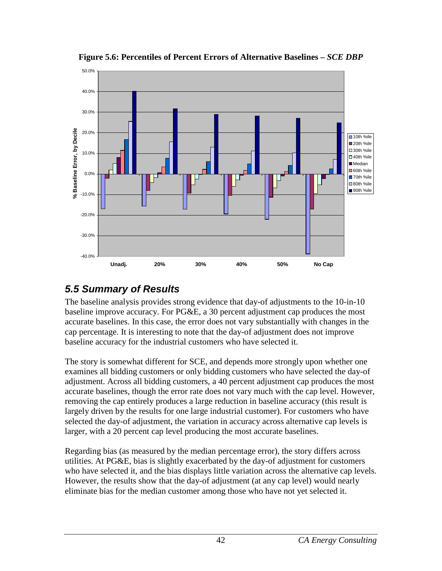<span id="page-46-1"></span>

**Figure 5.6: Percentiles of Percent Errors of Alternative Baselines** *– SCE DBP*

## <span id="page-46-0"></span>*5.5 Summary of Results*

The baseline analysis provides strong evidence that day-of adjustments to the 10-in-10 baseline improve accuracy. For PG&E, a 30 percent adjustment cap produces the most accurate baselines. In this case, the error does not vary substantially with changes in the cap percentage. It is interesting to note that the day-of adjustment does not improve baseline accuracy for the industrial customers who have selected it.

The story is somewhat different for SCE, and depends more strongly upon whether one examines all bidding customers or only bidding customers who have selected the day-of adjustment. Across all bidding customers, a 40 percent adjustment cap produces the most accurate baselines, though the error rate does not vary much with the cap level. However, removing the cap entirely produces a large reduction in baseline accuracy (this result is largely driven by the results for one large industrial customer). For customers who have selected the day-of adjustment, the variation in accuracy across alternative cap levels is larger, with a 20 percent cap level producing the most accurate baselines.

Regarding bias (as measured by the median percentage error), the story differs across utilities. At PG&E, bias is slightly exacerbated by the day-of adjustment for customers who have selected it, and the bias displays little variation across the alternative cap levels. However, the results show that the day-of adjustment (at any cap level) would nearly eliminate bias for the median customer among those who have not yet selected it.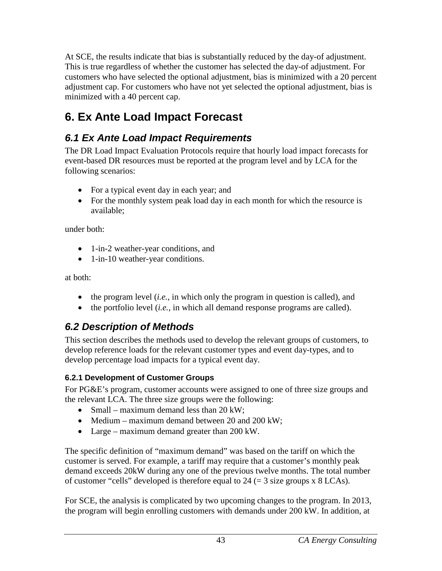At SCE, the results indicate that bias is substantially reduced by the day-of adjustment. This is true regardless of whether the customer has selected the day-of adjustment. For customers who have selected the optional adjustment, bias is minimized with a 20 percent adjustment cap. For customers who have not yet selected the optional adjustment, bias is minimized with a 40 percent cap.

## <span id="page-47-0"></span>**6. Ex Ante Load Impact Forecast**

## <span id="page-47-1"></span>*6.1 Ex Ante Load Impact Requirements*

The DR Load Impact Evaluation Protocols require that hourly load impact forecasts for event-based DR resources must be reported at the program level and by LCA for the following scenarios:

- For a typical event day in each year; and
- For the monthly system peak load day in each month for which the resource is available;

under both:

- 1-in-2 weather-year conditions, and
- 1-in-10 weather-year conditions.

at both:

- the program level (*i.e.*, in which only the program in question is called), and
- the portfolio level (*i.e.*, in which all demand response programs are called).

## <span id="page-47-2"></span>*6.2 Description of Methods*

This section describes the methods used to develop the relevant groups of customers, to develop reference loads for the relevant customer types and event day-types, and to develop percentage load impacts for a typical event day.

### <span id="page-47-3"></span>**6.2.1 Development of Customer Groups**

For PG&E's program, customer accounts were assigned to one of three size groups and the relevant LCA. The three size groups were the following:

- Small maximum demand less than  $20 \text{ kW}$ ;
- Medium maximum demand between 20 and 200 kW;
- Large maximum demand greater than 200 kW.

The specific definition of "maximum demand" was based on the tariff on which the customer is served. For example, a tariff may require that a customer's monthly peak demand exceeds 20kW during any one of the previous twelve months. The total number of customer "cells" developed is therefore equal to  $24 (= 3$  size groups x  $8$  LCAs).

For SCE, the analysis is complicated by two upcoming changes to the program. In 2013, the program will begin enrolling customers with demands under 200 kW. In addition, at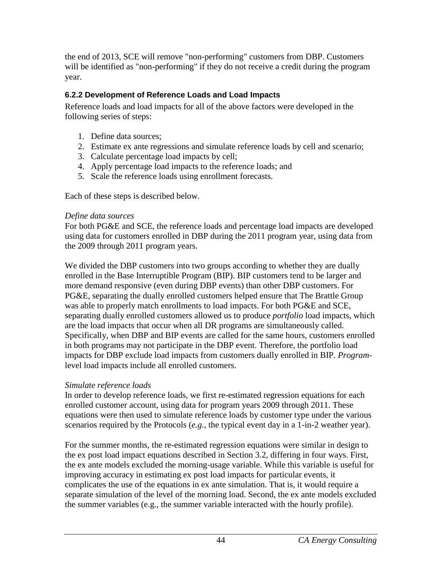the end of 2013, SCE will remove "non-performing" customers from DBP. Customers will be identified as "non-performing" if they do not receive a credit during the program year.

#### <span id="page-48-0"></span>**6.2.2 Development of Reference Loads and Load Impacts**

Reference loads and load impacts for all of the above factors were developed in the following series of steps:

- 1. Define data sources;
- 2. Estimate ex ante regressions and simulate reference loads by cell and scenario;
- 3. Calculate percentage load impacts by cell;
- 4. Apply percentage load impacts to the reference loads; and
- 5. Scale the reference loads using enrollment forecasts.

Each of these steps is described below.

#### *Define data sources*

For both PG&E and SCE, the reference loads and percentage load impacts are developed using data for customers enrolled in DBP during the 2011 program year, using data from the 2009 through 2011 program years.

We divided the DBP customers into two groups according to whether they are dually enrolled in the Base Interruptible Program (BIP). BIP customers tend to be larger and more demand responsive (even during DBP events) than other DBP customers. For PG&E, separating the dually enrolled customers helped ensure that The Brattle Group was able to properly match enrollments to load impacts. For both PG&E and SCE, separating dually enrolled customers allowed us to produce *portfolio* load impacts, which are the load impacts that occur when all DR programs are simultaneously called. Specifically, when DBP and BIP events are called for the same hours, customers enrolled in both programs may not participate in the DBP event. Therefore, the portfolio load impacts for DBP exclude load impacts from customers dually enrolled in BIP. *Program*level load impacts include all enrolled customers.

#### *Simulate reference loads*

In order to develop reference loads, we first re-estimated regression equations for each enrolled customer account, using data for program years 2009 through 2011. These equations were then used to simulate reference loads by customer type under the various scenarios required by the Protocols (*e.g.*, the typical event day in a 1-in-2 weather year).

For the summer months, the re-estimated regression equations were similar in design to the ex post load impact equations described in Section 3.2, differing in four ways. First, the ex ante models excluded the morning-usage variable. While this variable is useful for improving accuracy in estimating ex post load impacts for particular events, it complicates the use of the equations in ex ante simulation. That is, it would require a separate simulation of the level of the morning load. Second, the ex ante models excluded the summer variables (e.g., the summer variable interacted with the hourly profile).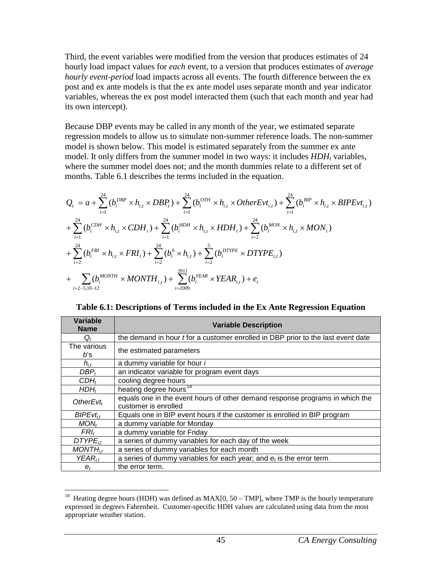Third, the event variables were modified from the version that produces estimates of 24 hourly load impact values for *each* event, to a version that produces estimates of *average hourly event-period* load impacts across all events. The fourth difference between the ex post and ex ante models is that the ex ante model uses separate month and year indicator variables, whereas the ex post model interacted them (such that each month and year had its own intercept).

Because DBP events may be called in any month of the year, we estimated separate regression models to allow us to simulate non-summer reference loads. The non-summer model is shown below. This model is estimated separately from the summer ex ante model. It only differs from the summer model in two ways: it includes  $HDH<sub>t</sub>$  variables, where the summer model does not; and the month dummies relate to a different set of months. Table 6.1 describes the terms included in the equation.

$$
Q_{t} = a + \sum_{i=1}^{24} (b_{i}^{DBP} \times h_{i,t} \times DBP_{t}) + \sum_{i=1}^{24} (b_{i}^{OTH} \times h_{i,t} \times OtherEvt_{i,t}) + \sum_{i=1}^{24} (b_{i}^{BIP} \times h_{i,t} \times BIPEvt_{i,t})
$$
  
+ 
$$
\sum_{i=1}^{24} (b_{i}^{CDH} \times h_{i,t} \times CDH_{t}) + \sum_{i=1}^{24} (b_{i}^{BDH} \times h_{i,t} \times HDH_{t}) + \sum_{i=2}^{24} (b_{i}^{MON} \times h_{i,t} \times MON_{t})
$$
  
+ 
$$
\sum_{i=2}^{24} (b_{i}^{FRI} \times h_{i,t} \times FRI_{t}) + \sum_{i=2}^{24} (b_{i}^{h} \times h_{i,t}) + \sum_{i=2}^{5} (b_{i}^{DTPE} \times DTYPE_{i,t})
$$
  
+ 
$$
\sum_{i=2-5,10-12} (b_{i}^{MONTH} \times MONTH_{i,t}) + \sum_{i=2009}^{2011} (b_{i}^{VEAR} \times VEAR_{i,t}) + e_{t}
$$

<span id="page-49-0"></span>**Table 6.1: Descriptions of Terms included in the Ex Ante Regression Equation**

| Variable<br><b>Name</b> | <b>Variable Description</b>                                                                          |
|-------------------------|------------------------------------------------------------------------------------------------------|
| $Q_t$                   | the demand in hour <i>t</i> for a customer enrolled in DBP prior to the last event date              |
| The various<br>b's      | the estimated parameters                                                                             |
| $h_{i,t}$               | a dummy variable for hour i                                                                          |
| $DBP_t$                 | an indicator variable for program event days                                                         |
| $CDH_t$                 | cooling degree hours                                                                                 |
| $HDH_t$                 | heating degree hours <sup>18</sup>                                                                   |
| OtherEvt <sub>t</sub>   | equals one in the event hours of other demand response programs in which the<br>customer is enrolled |
| $BIPEvt_{it}$           | Equals one in BIP event hours if the customer is enrolled in BIP program                             |
| MON <sub>t</sub>        | a dummy variable for Monday                                                                          |
| $FRI_t$                 | a dummy variable for Friday                                                                          |
| $DTYPE_{it}$            | a series of dummy variables for each day of the week                                                 |
| $MONTH_{it}$            | a series of dummy variables for each month                                                           |
| $YEAR_{it}$             | a series of dummy variables for each year; and $e_t$ is the error term                               |
| $e_t$                   | the error term.                                                                                      |

<span id="page-49-1"></span><sup>&</sup>lt;sup>18</sup> Heating degree hours (HDH) was defined as  $MAX[0, 50 - TMP]$ , where TMP is the hourly temperature expressed in degrees Fahrenheit. Customer-specific HDH values are calculated using data from the most appropriate weather station.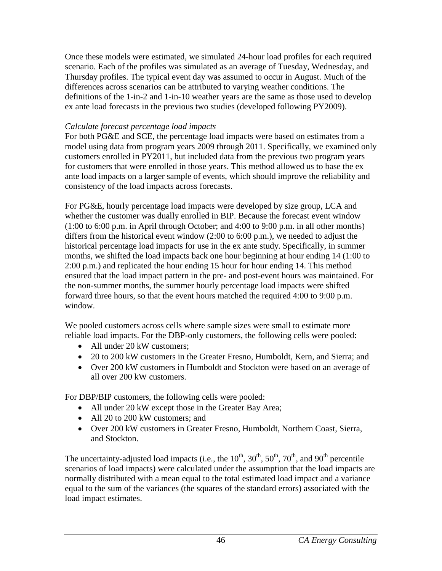Once these models were estimated, we simulated 24-hour load profiles for each required scenario. Each of the profiles was simulated as an average of Tuesday, Wednesday, and Thursday profiles. The typical event day was assumed to occur in August. Much of the differences across scenarios can be attributed to varying weather conditions. The definitions of the 1-in-2 and 1-in-10 weather years are the same as those used to develop ex ante load forecasts in the previous two studies (developed following PY2009).

#### *Calculate forecast percentage load impacts*

For both PG&E and SCE, the percentage load impacts were based on estimates from a model using data from program years 2009 through 2011. Specifically, we examined only customers enrolled in PY2011, but included data from the previous two program years for customers that were enrolled in those years. This method allowed us to base the ex ante load impacts on a larger sample of events, which should improve the reliability and consistency of the load impacts across forecasts.

For PG&E, hourly percentage load impacts were developed by size group, LCA and whether the customer was dually enrolled in BIP. Because the forecast event window (1:00 to 6:00 p.m. in April through October; and 4:00 to 9:00 p.m. in all other months) differs from the historical event window (2:00 to 6:00 p.m.), we needed to adjust the historical percentage load impacts for use in the ex ante study. Specifically, in summer months, we shifted the load impacts back one hour beginning at hour ending 14 (1:00 to 2:00 p.m.) and replicated the hour ending 15 hour for hour ending 14. This method ensured that the load impact pattern in the pre- and post-event hours was maintained. For the non-summer months, the summer hourly percentage load impacts were shifted forward three hours, so that the event hours matched the required 4:00 to 9:00 p.m. window.

We pooled customers across cells where sample sizes were small to estimate more reliable load impacts. For the DBP-only customers, the following cells were pooled:

- All under 20 kW customers:
- 20 to 200 kW customers in the Greater Fresno, Humboldt, Kern, and Sierra; and
- Over 200 kW customers in Humboldt and Stockton were based on an average of all over 200 kW customers.

For DBP/BIP customers, the following cells were pooled:

- All under 20 kW except those in the Greater Bay Area;
- All 20 to 200 kW customers; and
- Over 200 kW customers in Greater Fresno, Humboldt, Northern Coast, Sierra, and Stockton.

The uncertainty-adjusted load impacts (i.e., the  $10^{th}$ ,  $30^{th}$ ,  $50^{th}$ ,  $70^{th}$ , and  $90^{th}$  percentile scenarios of load impacts) were calculated under the assumption that the load impacts are normally distributed with a mean equal to the total estimated load impact and a variance equal to the sum of the variances (the squares of the standard errors) associated with the load impact estimates.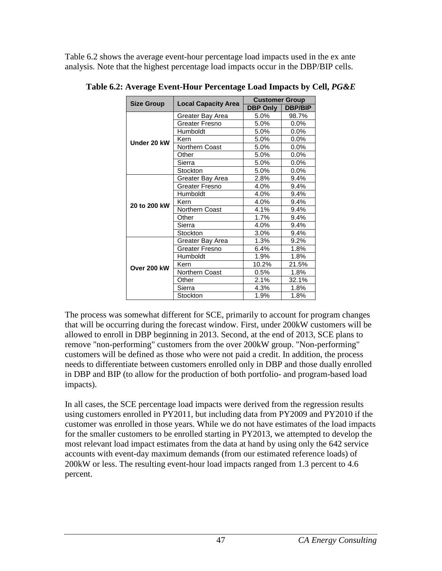Table 6.2 shows the average event-hour percentage load impacts used in the ex ante analysis. Note that the highest percentage load impacts occur in the DBP/BIP cells.

|                   |                            | <b>Customer Group</b> |                |
|-------------------|----------------------------|-----------------------|----------------|
| <b>Size Group</b> | <b>Local Capacity Area</b> | <b>DBP Only</b>       | <b>DBP/BIP</b> |
|                   | Greater Bay Area           | 5.0%                  | 98.7%          |
|                   | Greater Fresno             | 5.0%                  | 0.0%           |
|                   | Humboldt                   | 5.0%                  | $0.0\%$        |
| Under 20 kW       | Kern                       | 5.0%                  | 0.0%           |
|                   | Northern Coast             | 5.0%                  | $0.0\%$        |
|                   | Other                      | 5.0%                  | $0.0\%$        |
|                   | Sierra                     | 5.0%                  | $0.0\%$        |
|                   | Stockton                   | 5.0%                  | 0.0%           |
|                   | Greater Bay Area           | 2.8%                  | 9.4%           |
|                   | Greater Fresno             | 4.0%                  | 9.4%           |
|                   | Humboldt                   | 4.0%                  | 9.4%           |
| 20 to 200 kW      | Kern                       | 4.0%                  | 9.4%           |
|                   | Northern Coast             | 4.1%                  | 9.4%           |
|                   | Other                      | 1.7%                  | 9.4%           |
|                   | Sierra                     | 4.0%                  | 9.4%           |
|                   | Stockton                   | 3.0%                  | 9.4%           |
|                   | Greater Bay Area           | 1.3%                  | 9.2%           |
|                   | Greater Fresno             | 6.4%                  | 1.8%           |
|                   | Humboldt                   | 1.9%                  | 1.8%           |
| Over 200 kW       | Kern                       | 10.2%                 | 21.5%          |
|                   | Northern Coast             | 0.5%                  | 1.8%           |
|                   | Other                      | 2.1%                  | 32.1%          |
|                   | Sierra                     | 4.3%                  | 1.8%           |
|                   | Stockton                   | 1.9%                  | 1.8%           |

<span id="page-51-0"></span>**Table 6.2: Average Event-Hour Percentage Load Impacts by Cell,** *PG&E*

The process was somewhat different for SCE, primarily to account for program changes that will be occurring during the forecast window. First, under 200kW customers will be allowed to enroll in DBP beginning in 2013. Second, at the end of 2013, SCE plans to remove "non-performing" customers from the over 200kW group. "Non-performing" customers will be defined as those who were not paid a credit. In addition, the process needs to differentiate between customers enrolled only in DBP and those dually enrolled in DBP and BIP (to allow for the production of both portfolio- and program-based load impacts).

In all cases, the SCE percentage load impacts were derived from the regression results using customers enrolled in PY2011, but including data from PY2009 and PY2010 if the customer was enrolled in those years. While we do not have estimates of the load impacts for the smaller customers to be enrolled starting in PY2013, we attempted to develop the most relevant load impact estimates from the data at hand by using only the 642 service accounts with event-day maximum demands (from our estimated reference loads) of 200kW or less. The resulting event-hour load impacts ranged from 1.3 percent to 4.6 percent.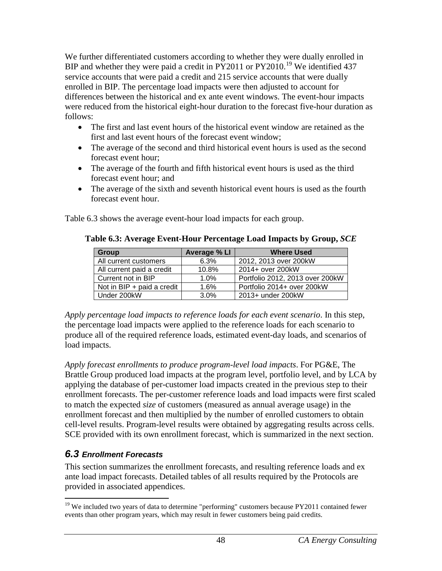We further differentiated customers according to whether they were dually enrolled in BIP and whether they were paid a credit in  $\overline{PY}2011$  or  $\overline{PY}2010$ .<sup>[19](#page-52-2)</sup> We identified 437 service accounts that were paid a credit and 215 service accounts that were dually enrolled in BIP. The percentage load impacts were then adjusted to account for differences between the historical and ex ante event windows. The event-hour impacts were reduced from the historical eight-hour duration to the forecast five-hour duration as follows:

- The first and last event hours of the historical event window are retained as the first and last event hours of the forecast event window;
- The average of the second and third historical event hours is used as the second forecast event hour;
- The average of the fourth and fifth historical event hours is used as the third forecast event hour; and
- The average of the sixth and seventh historical event hours is used as the fourth forecast event hour.

<span id="page-52-1"></span>Table 6.3 shows the average event-hour load impacts for each group.

| Group                        | Average % LI | <b>Where Used</b>               |
|------------------------------|--------------|---------------------------------|
| All current customers        | 6.3%         | 2012, 2013 over 200kW           |
| All current paid a credit    | 10.8%        | 2014+ over 200kW                |
| Current not in BIP           | 1.0%         | Portfolio 2012, 2013 over 200kW |
| Not in $BIP + paid a credit$ | 1.6%         | Portfolio 2014+ over 200kW      |
| Under 200kW                  | 3.0%         | 2013+ under 200kW               |

#### **Table 6.3: Average Event-Hour Percentage Load Impacts by Group,** *SCE*

*Apply percentage load impacts to reference loads for each event scenario*. In this step, the percentage load impacts were applied to the reference loads for each scenario to produce all of the required reference loads, estimated event-day loads, and scenarios of load impacts.

*Apply forecast enrollments to produce program-level load impacts*. For PG&E, The Brattle Group produced load impacts at the program level, portfolio level, and by LCA by applying the database of per-customer load impacts created in the previous step to their enrollment forecasts. The per-customer reference loads and load impacts were first scaled to match the expected *size* of customers (measured as annual average usage) in the enrollment forecast and then multiplied by the number of enrolled customers to obtain cell-level results. Program-level results were obtained by aggregating results across cells. SCE provided with its own enrollment forecast, which is summarized in the next section.

### <span id="page-52-0"></span>*6.3 Enrollment Forecasts*

This section summarizes the enrollment forecasts, and resulting reference loads and ex ante load impact forecasts. Detailed tables of all results required by the Protocols are provided in associated appendices.

<span id="page-52-2"></span> $19$  We included two years of data to determine "performing" customers because PY2011 contained fewer events than other program years, which may result in fewer customers being paid credits.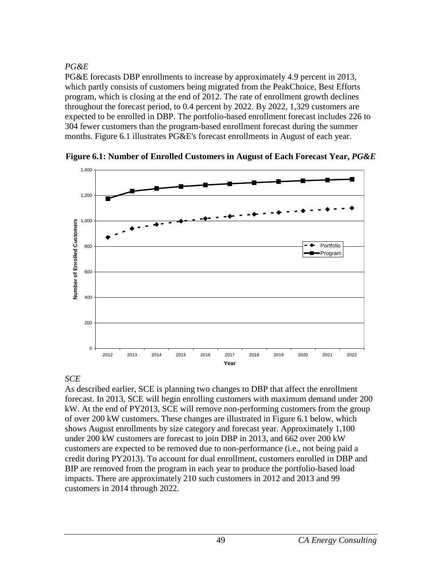### *PG&E*

PG&E forecasts DBP enrollments to increase by approximately 4.9 percent in 2013, which partly consists of customers being migrated from the PeakChoice, Best Efforts program, which is closing at the end of 2012. The rate of enrollment growth declines throughout the forecast period, to 0.4 percent by 2022. By 2022, 1,329 customers are expected to be enrolled in DBP. The portfolio-based enrollment forecast includes 226 to 304 fewer customers than the program-based enrollment forecast during the summer months. Figure 6.1 illustrates PG&E's forecast enrollments in August of each year.



<span id="page-53-0"></span>**Figure 6.1: Number of Enrolled Customers in August of Each Forecast Year,** *PG&E*

### *SCE*

As described earlier, SCE is planning two changes to DBP that affect the enrollment forecast. In 2013, SCE will begin enrolling customers with maximum demand under 200 kW. At the end of PY2013, SCE will remove non-performing customers from the group of over 200 kW customers. These changes are illustrated in Figure 6.1 below, which shows August enrollments by size category and forecast year. Approximately 1,100 under 200 kW customers are forecast to join DBP in 2013, and 662 over 200 kW customers are expected to be removed due to non-performance (i.e., not being paid a credit during PY2013). To account for dual enrollment, customers enrolled in DBP and BIP are removed from the program in each year to produce the portfolio-based load impacts. There are approximately 210 such customers in 2012 and 2013 and 99 customers in 2014 through 2022.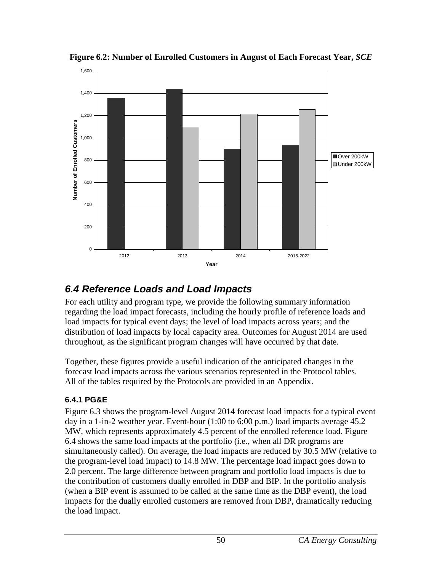

<span id="page-54-2"></span>**Figure 6.2: Number of Enrolled Customers in August of Each Forecast Year,** *SCE*

## <span id="page-54-0"></span>*6.4 Reference Loads and Load Impacts*

For each utility and program type, we provide the following summary information regarding the load impact forecasts, including the hourly profile of reference loads and load impacts for typical event days; the level of load impacts across years; and the distribution of load impacts by local capacity area. Outcomes for August 2014 are used throughout, as the significant program changes will have occurred by that date.

Together, these figures provide a useful indication of the anticipated changes in the forecast load impacts across the various scenarios represented in the Protocol tables. All of the tables required by the Protocols are provided in an Appendix.

#### <span id="page-54-1"></span>**6.4.1 PG&E**

Figure 6.3 shows the program-level August 2014 forecast load impacts for a typical event day in a 1-in-2 weather year. Event-hour (1:00 to 6:00 p.m.) load impacts average 45.2 MW, which represents approximately 4.5 percent of the enrolled reference load. Figure 6.4 shows the same load impacts at the portfolio (i.e., when all DR programs are simultaneously called). On average, the load impacts are reduced by 30.5 MW (relative to the program-level load impact) to 14.8 MW. The percentage load impact goes down to 2.0 percent. The large difference between program and portfolio load impacts is due to the contribution of customers dually enrolled in DBP and BIP. In the portfolio analysis (when a BIP event is assumed to be called at the same time as the DBP event), the load impacts for the dually enrolled customers are removed from DBP, dramatically reducing the load impact.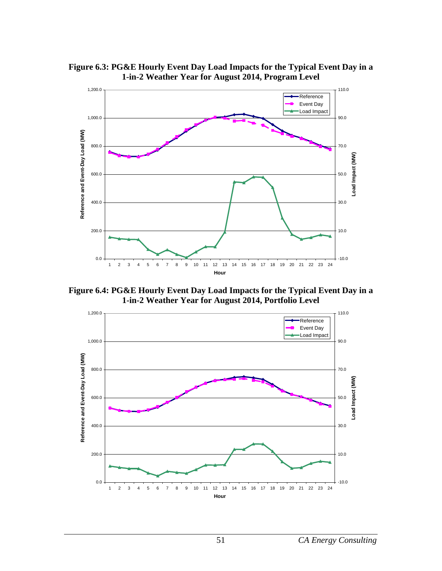<span id="page-55-0"></span>



<span id="page-55-1"></span>**Figure 6.4: PG&E Hourly Event Day Load Impacts for the Typical Event Day in a 1-in-2 Weather Year for August 2014, Portfolio Level**

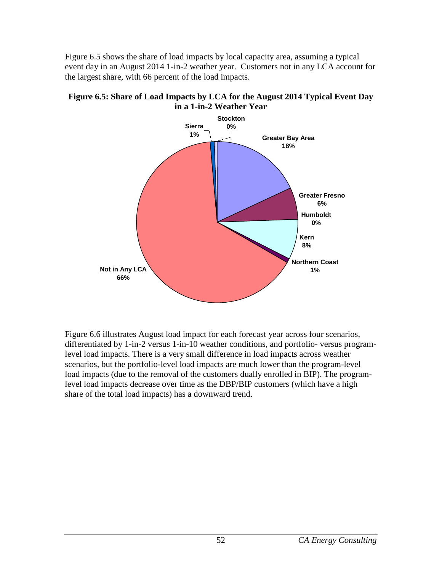Figure 6.5 shows the share of load impacts by local capacity area, assuming a typical event day in an August 2014 1-in-2 weather year. Customers not in any LCA account for the largest share, with 66 percent of the load impacts.

<span id="page-56-0"></span>



Figure 6.6 illustrates August load impact for each forecast year across four scenarios, differentiated by 1-in-2 versus 1-in-10 weather conditions, and portfolio- versus programlevel load impacts. There is a very small difference in load impacts across weather scenarios, but the portfolio-level load impacts are much lower than the program-level load impacts (due to the removal of the customers dually enrolled in BIP). The programlevel load impacts decrease over time as the DBP/BIP customers (which have a high share of the total load impacts) has a downward trend.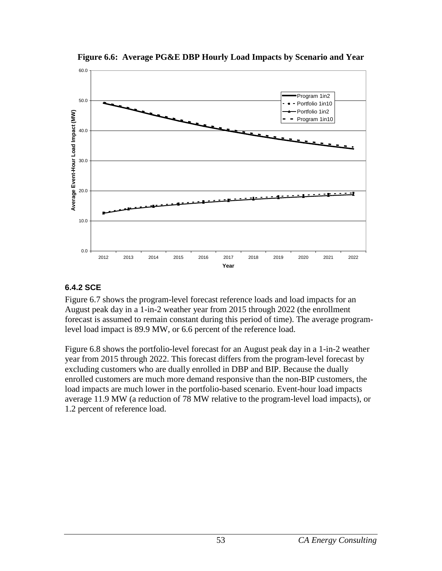<span id="page-57-1"></span>

**Figure 6.6: Average PG&E DBP Hourly Load Impacts by Scenario and Year**

#### <span id="page-57-0"></span>**6.4.2 SCE**

Figure 6.7 shows the program-level forecast reference loads and load impacts for an August peak day in a 1-in-2 weather year from 2015 through 2022 (the enrollment forecast is assumed to remain constant during this period of time). The average programlevel load impact is 89.9 MW, or 6.6 percent of the reference load.

Figure 6.8 shows the portfolio-level forecast for an August peak day in a 1-in-2 weather year from 2015 through 2022. This forecast differs from the program-level forecast by excluding customers who are dually enrolled in DBP and BIP. Because the dually enrolled customers are much more demand responsive than the non-BIP customers, the load impacts are much lower in the portfolio-based scenario. Event-hour load impacts average 11.9 MW (a reduction of 78 MW relative to the program-level load impacts), or 1.2 percent of reference load.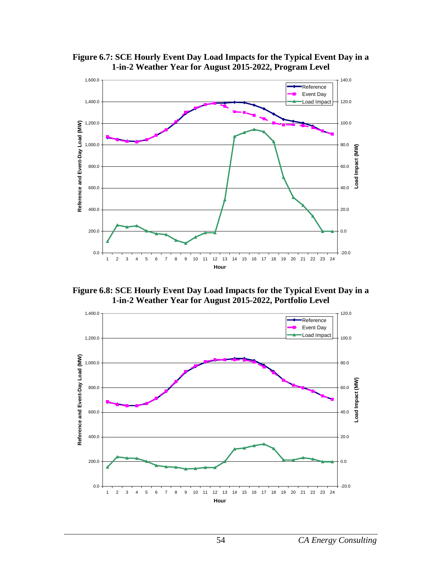

<span id="page-58-0"></span>**Figure 6.7: SCE Hourly Event Day Load Impacts for the Typical Event Day in a 1-in-2 Weather Year for August 2015-2022, Program Level**

<span id="page-58-1"></span>**Figure 6.8: SCE Hourly Event Day Load Impacts for the Typical Event Day in a 1-in-2 Weather Year for August 2015-2022, Portfolio Level**

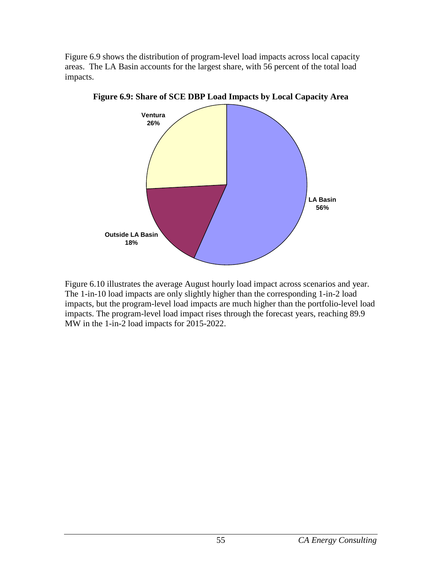Figure 6.9 shows the distribution of program-level load impacts across local capacity areas. The LA Basin accounts for the largest share, with 56 percent of the total load impacts.



<span id="page-59-0"></span>**Figure 6.9: Share of SCE DBP Load Impacts by Local Capacity Area**

Figure 6.10 illustrates the average August hourly load impact across scenarios and year. The 1-in-10 load impacts are only slightly higher than the corresponding 1-in-2 load impacts, but the program-level load impacts are much higher than the portfolio-level load impacts. The program-level load impact rises through the forecast years, reaching 89.9 MW in the 1-in-2 load impacts for 2015-2022.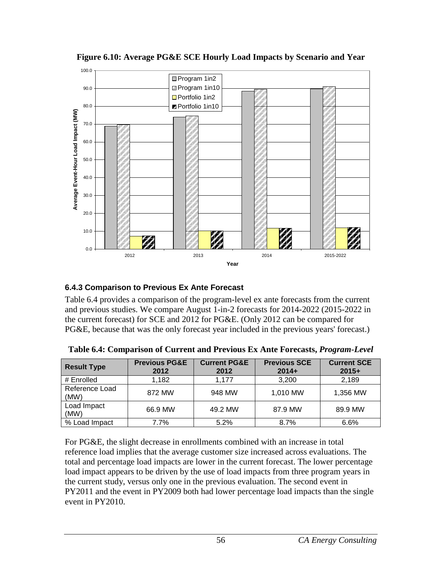<span id="page-60-2"></span>

**Figure 6.10: Average PG&E SCE Hourly Load Impacts by Scenario and Year**

#### <span id="page-60-0"></span>**6.4.3 Comparison to Previous Ex Ante Forecast**

Table 6.4 provides a comparison of the program-level ex ante forecasts from the current and previous studies. We compare August 1-in-2 forecasts for 2014-2022 (2015-2022 in the current forecast) for SCE and 2012 for PG&E. (Only 2012 can be compared for PG&E, because that was the only forecast year included in the previous years' forecast.)

| <b>Result Type</b>     | <b>Previous PG&amp;E</b><br>2012 | <b>Current PG&amp;E</b><br>2012 | <b>Previous SCE</b><br>$2014+$ | <b>Current SCE</b><br>$2015+$ |
|------------------------|----------------------------------|---------------------------------|--------------------------------|-------------------------------|
| # Enrolled             | 1.182                            | 1.177                           | 3,200                          | 2,189                         |
| Reference Load<br>(MW) | 872 MW                           | 948 MW                          | 1,010 MW                       | 1,356 MW                      |
| Load Impact<br>(MW)    | 66.9 MW                          | 49.2 MW                         | 87.9 MW                        | 89.9 MW                       |
| % Load Impact          | 7.7%                             | 5.2%                            | 8.7%                           | 6.6%                          |

<span id="page-60-1"></span>**Table 6.4: Comparison of Current and Previous Ex Ante Forecasts,** *Program-Level*

For PG&E, the slight decrease in enrollments combined with an increase in total reference load implies that the average customer size increased across evaluations. The total and percentage load impacts are lower in the current forecast. The lower percentage load impact appears to be driven by the use of load impacts from three program years in the current study, versus only one in the previous evaluation. The second event in PY2011 and the event in PY2009 both had lower percentage load impacts than the single event in PY2010.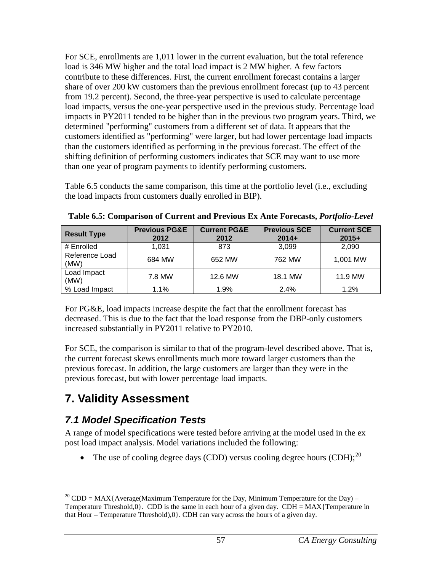For SCE, enrollments are 1,011 lower in the current evaluation, but the total reference load is 346 MW higher and the total load impact is 2 MW higher. A few factors contribute to these differences. First, the current enrollment forecast contains a larger share of over 200 kW customers than the previous enrollment forecast (up to 43 percent from 19.2 percent). Second, the three-year perspective is used to calculate percentage load impacts, versus the one-year perspective used in the previous study. Percentage load impacts in PY2011 tended to be higher than in the previous two program years. Third, we determined "performing" customers from a different set of data. It appears that the customers identified as "performing" were larger, but had lower percentage load impacts than the customers identified as performing in the previous forecast. The effect of the shifting definition of performing customers indicates that SCE may want to use more than one year of program payments to identify performing customers.

Table 6.5 conducts the same comparison, this time at the portfolio level (i.e., excluding the load impacts from customers dually enrolled in BIP).

| <b>Result Type</b>     | <b>Previous PG&amp;E</b><br>2012 | <b>Current PG&amp;E</b><br>2012 | <b>Previous SCE</b><br>$2014+$ | <b>Current SCE</b><br>$2015+$ |
|------------------------|----------------------------------|---------------------------------|--------------------------------|-------------------------------|
| # Enrolled             | 1.031                            | 873                             | 3.099                          | 2,090                         |
| Reference Load<br>(MW) | 684 MW                           | 652 MW                          | 762 MW                         | 1,001 MW                      |
| Load Impact<br>(MW)    | 7.8 MW                           | 12.6 MW                         | 18.1 MW                        | 11.9 MW                       |
| % Load Impact          | 1.1%                             | 1.9%                            | 2.4%                           | 1.2%                          |

<span id="page-61-2"></span>**Table 6.5: Comparison of Current and Previous Ex Ante Forecasts,** *Portfolio-Level*

For PG&E, load impacts increase despite the fact that the enrollment forecast has decreased. This is due to the fact that the load response from the DBP-only customers increased substantially in PY2011 relative to PY2010.

For SCE, the comparison is similar to that of the program-level described above. That is, the current forecast skews enrollments much more toward larger customers than the previous forecast. In addition, the large customers are larger than they were in the previous forecast, but with lower percentage load impacts.

## <span id="page-61-0"></span>**7. Validity Assessment**

## <span id="page-61-1"></span>*7.1 Model Specification Tests*

A range of model specifications were tested before arriving at the model used in the ex post load impact analysis. Model variations included the following:

• The use of cooling degree days (CDD) versus cooling degree hours (CDH); $^{20}$  $^{20}$  $^{20}$ 

<span id="page-61-3"></span><sup>&</sup>lt;sup>20</sup> CDD = MAX{Average(Maximum Temperature for the Day, Minimum Temperature for the Day) – Temperature Threshold, $0$ . CDD is the same in each hour of a given day. CDH = MAX{Temperature in that Hour – Temperature Threshold),0}. CDH can vary across the hours of a given day.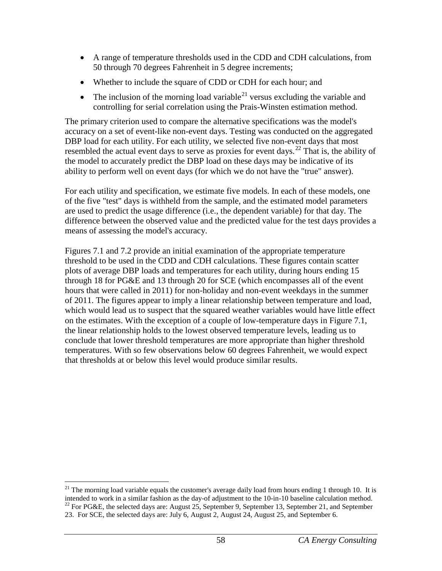- A range of temperature thresholds used in the CDD and CDH calculations, from 50 through 70 degrees Fahrenheit in 5 degree increments;
- Whether to include the square of CDD or CDH for each hour; and
- The inclusion of the morning load variable<sup>[21](#page-62-0)</sup> versus excluding the variable and controlling for serial correlation using the Prais-Winsten estimation method.

The primary criterion used to compare the alternative specifications was the model's accuracy on a set of event-like non-event days. Testing was conducted on the aggregated DBP load for each utility. For each utility, we selected five non-event days that most resembled the actual event days to serve as proxies for event days.<sup>[22](#page-62-1)</sup> That is, the ability of the model to accurately predict the DBP load on these days may be indicative of its ability to perform well on event days (for which we do not have the "true" answer).

For each utility and specification, we estimate five models. In each of these models, one of the five "test" days is withheld from the sample, and the estimated model parameters are used to predict the usage difference (i.e., the dependent variable) for that day. The difference between the observed value and the predicted value for the test days provides a means of assessing the model's accuracy.

Figures 7.1 and 7.2 provide an initial examination of the appropriate temperature threshold to be used in the CDD and CDH calculations. These figures contain scatter plots of average DBP loads and temperatures for each utility, during hours ending 15 through 18 for PG&E and 13 through 20 for SCE (which encompasses all of the event hours that were called in 2011) for non-holiday and non-event weekdays in the summer of 2011. The figures appear to imply a linear relationship between temperature and load, which would lead us to suspect that the squared weather variables would have little effect on the estimates. With the exception of a couple of low-temperature days in Figure 7.1, the linear relationship holds to the lowest observed temperature levels, leading us to conclude that lower threshold temperatures are more appropriate than higher threshold temperatures. With so few observations below 60 degrees Fahrenheit, we would expect that thresholds at or below this level would produce similar results.

<span id="page-62-1"></span><span id="page-62-0"></span><sup>&</sup>lt;sup>21</sup> The morning load variable equals the customer's average daily load from hours ending 1 through 10. It is intended to work in a similar fashion as the day-of adjustment to the 10-in-10 baseline calculation method.<br><sup>22</sup> For PG&E, the selected days are: August 25, September 9, September 13, September 21, and September 23. For SCE, the selected days are: July 6, August 2, August 24, August 25, and September 6.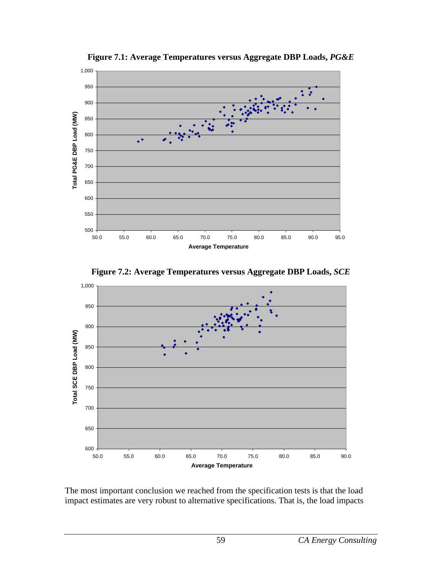<span id="page-63-0"></span>

**Figure 7.1: Average Temperatures versus Aggregate DBP Loads,** *PG&E*



<span id="page-63-1"></span>

The most important conclusion we reached from the specification tests is that the load impact estimates are very robust to alternative specifications. That is, the load impacts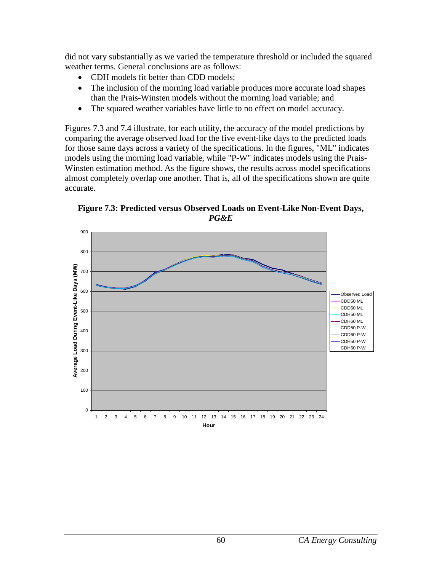did not vary substantially as we varied the temperature threshold or included the squared weather terms. General conclusions are as follows:

- CDH models fit better than CDD models:
- The inclusion of the morning load variable produces more accurate load shapes than the Prais-Winsten models without the morning load variable; and
- The squared weather variables have little to no effect on model accuracy.

Figures 7.3 and 7.4 illustrate, for each utility, the accuracy of the model predictions by comparing the average observed load for the five event-like days to the predicted loads for those same days across a variety of the specifications. In the figures, "ML" indicates models using the morning load variable, while "P-W" indicates models using the Prais-Winsten estimation method. As the figure shows, the results across model specifications almost completely overlap one another. That is, all of the specifications shown are quite accurate.

<span id="page-64-0"></span>**Figure 7.3: Predicted versus Observed Loads on Event-Like Non-Event Days,**  *PG&E*

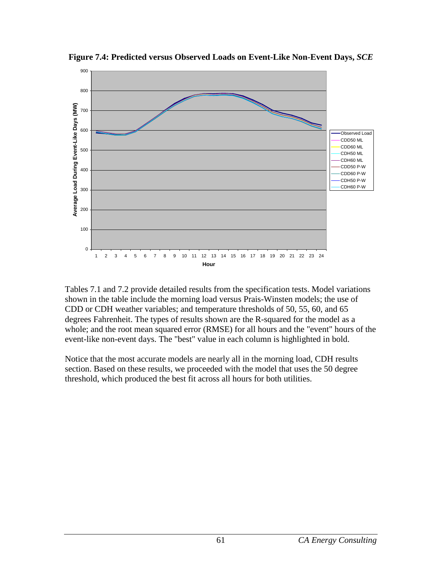

<span id="page-65-0"></span>**Figure 7.4: Predicted versus Observed Loads on Event-Like Non-Event Days,** *SCE*

Tables 7.1 and 7.2 provide detailed results from the specification tests. Model variations shown in the table include the morning load versus Prais-Winsten models; the use of CDD or CDH weather variables; and temperature thresholds of 50, 55, 60, and 65 degrees Fahrenheit. The types of results shown are the R-squared for the model as a whole; and the root mean squared error (RMSE) for all hours and the "event" hours of the event-like non-event days. The "best" value in each column is highlighted in bold.

Notice that the most accurate models are nearly all in the morning load, CDH results section. Based on these results, we proceeded with the model that uses the 50 degree threshold, which produced the best fit across all hours for both utilities.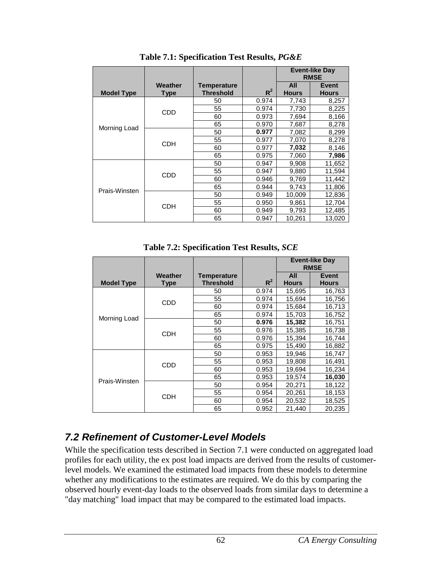<span id="page-66-1"></span>

|                   |                |                  |       |              | <b>Event-like Day</b><br><b>RMSE</b> |
|-------------------|----------------|------------------|-------|--------------|--------------------------------------|
|                   | <b>Weather</b> | Temperature      |       | All          | Event                                |
| <b>Model Type</b> | <b>Type</b>    | <b>Threshold</b> | $R^2$ | <b>Hours</b> | <b>Hours</b>                         |
|                   |                | 50               | 0.974 | 7,743        | 8,257                                |
|                   | <b>CDD</b>     | 55               | 0.974 | 7,730        | 8,225                                |
|                   |                | 60               | 0.973 | 7,694        | 8,166                                |
|                   |                | 65               | 0.970 | 7,687        | 8,278                                |
| Morning Load      | <b>CDH</b>     | 50               | 0.977 | 7,082        | 8,299                                |
|                   |                | 55               | 0.977 | 7,070        | 8,278                                |
|                   |                | 60               | 0.977 | 7,032        | 8,146                                |
|                   |                | 65               | 0.975 | 7,060        | 7,986                                |
|                   |                | 50               | 0.947 | 9,908        | 11,652                               |
|                   | <b>CDD</b>     | 55               | 0.947 | 9,880        | 11,594                               |
|                   |                | 60               | 0.946 | 9,769        | 11,442                               |
| Prais-Winsten     |                | 65               | 0.944 | 9,743        | 11,806                               |
|                   |                | 50               | 0.949 | 10,009       | 12,836                               |
|                   | <b>CDH</b>     | 55               | 0.950 | 9,861        | 12,704                               |
|                   |                | 60               | 0.949 | 9,793        | 12,485                               |
|                   |                | 65               | 0.947 | 10,261       | 13,020                               |

**Table 7.1: Specification Test Results,** *PG&E*

**Table 7.2: Specification Test Results,** *SCE*

<span id="page-66-2"></span>

|                   |            |                  |       | <b>Event-like Day</b><br><b>RMSE</b> |              |
|-------------------|------------|------------------|-------|--------------------------------------|--------------|
|                   | Weather    | Temperature      |       | All                                  | <b>Event</b> |
| <b>Model Type</b> | Type       | <b>Threshold</b> | $R^2$ | <b>Hours</b>                         | <b>Hours</b> |
|                   | <b>CDD</b> | 50               | 0.974 | 15,695                               | 16,763       |
|                   |            | 55               | 0.974 | 15.694                               | 16,756       |
|                   |            | 60               | 0.974 | 15,684                               | 16,713       |
|                   |            | 65               | 0.974 | 15,703                               | 16,752       |
| Morning Load      | <b>CDH</b> | 50               | 0.976 | 15,382                               | 16,751       |
|                   |            | 55               | 0.976 | 15,385                               | 16,738       |
|                   |            | 60               | 0.976 | 15,394                               | 16,744       |
|                   |            | 65               | 0.975 | 15,490                               | 16,882       |
|                   |            | 50               | 0.953 | 19,946                               | 16,747       |
| Prais-Winsten     | <b>CDD</b> | 55               | 0.953 | 19,808                               | 16,491       |
|                   |            | 60               | 0.953 | 19.694                               | 16,234       |
|                   |            | 65               | 0.953 | 19,574                               | 16,030       |
|                   | <b>CDH</b> | 50               | 0.954 | 20,271                               | 18,122       |
|                   |            | 55               | 0.954 | 20,261                               | 18,153       |
|                   |            | 60               | 0.954 | 20,532                               | 18,525       |
|                   |            | 65               | 0.952 | 21,440                               | 20,235       |

## <span id="page-66-0"></span>*7.2 Refinement of Customer-Level Models*

While the specification tests described in Section 7.1 were conducted on aggregated load profiles for each utility, the ex post load impacts are derived from the results of customerlevel models. We examined the estimated load impacts from these models to determine whether any modifications to the estimates are required. We do this by comparing the observed hourly event-day loads to the observed loads from similar days to determine a "day matching" load impact that may be compared to the estimated load impacts.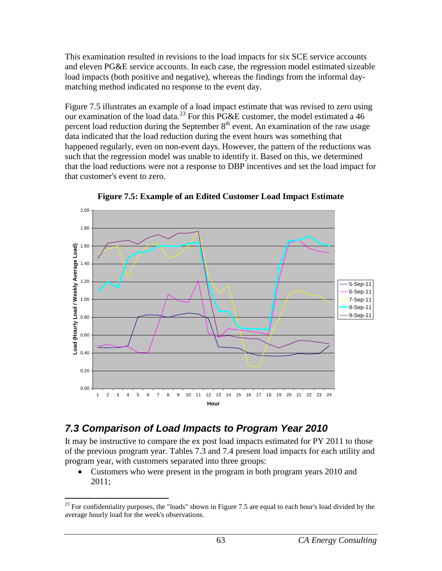This examination resulted in revisions to the load impacts for six SCE service accounts and eleven PG&E service accounts. In each case, the regression model estimated sizeable load impacts (both positive and negative), whereas the findings from the informal daymatching method indicated no response to the event day.

Figure 7.5 illustrates an example of a load impact estimate that was revised to zero using our examination of the load data.<sup>[23](#page-67-2)</sup> For this PG&E customer, the model estimated a 46 percent load reduction during the September  $8<sup>th</sup>$  event. An examination of the raw usage data indicated that the load reduction during the event hours was something that happened regularly, even on non-event days. However, the pattern of the reductions was such that the regression model was unable to identify it. Based on this, we determined that the load reductions were not a response to DBP incentives and set the load impact for that customer's event to zero.

<span id="page-67-1"></span>

**Figure 7.5: Example of an Edited Customer Load Impact Estimate**

## <span id="page-67-0"></span>*7.3 Comparison of Load Impacts to Program Year 2010*

It may be instructive to compare the ex post load impacts estimated for PY 2011 to those of the previous program year. Tables 7.3 and 7.4 present load impacts for each utility and program year, with customers separated into three groups:

• Customers who were present in the program in both program years 2010 and 2011;

<span id="page-67-2"></span> $^{23}$  For confidentiality purposes, the "loads" shown in Figure 7.5 are equal to each hour's load divided by the average hourly load for the week's observations.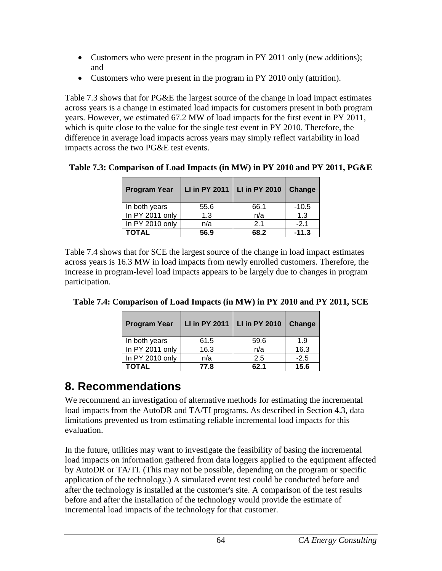- Customers who were present in the program in PY 2011 only (new additions); and
- Customers who were present in the program in PY 2010 only (attrition).

Table 7.3 shows that for PG&E the largest source of the change in load impact estimates across years is a change in estimated load impacts for customers present in both program years. However, we estimated 67.2 MW of load impacts for the first event in PY 2011, which is quite close to the value for the single test event in PY 2010. Therefore, the difference in average load impacts across years may simply reflect variability in load impacts across the two PG&E test events.

| <b>Program Year</b> | <b>LI in PY 2011</b> | <b>LI in PY 2010</b> | Change  |
|---------------------|----------------------|----------------------|---------|
| In both years       | 55.6                 | 66.1                 | $-10.5$ |
| In PY 2011 only     | 1.3                  | n/a                  | 1.3     |
| In PY 2010 only     | n/a                  | 2.1                  | $-21$   |
| <b>TOTAL</b>        | 56.9                 | 68.2                 | $-11.3$ |

<span id="page-68-1"></span>**Table 7.3: Comparison of Load Impacts (in MW) in PY 2010 and PY 2011, PG&E**

Table 7.4 shows that for SCE the largest source of the change in load impact estimates across years is 16.3 MW in load impacts from newly enrolled customers. Therefore, the increase in program-level load impacts appears to be largely due to changes in program participation.

<span id="page-68-2"></span>

| Table 7.4: Comparison of Load Impacts (in MW) in PY 2010 and PY 2011, SCE |  |  |  |
|---------------------------------------------------------------------------|--|--|--|
|                                                                           |  |  |  |

| <b>Program Year</b> | <b>LI in PY 2011</b> | <b>LI in PY 2010</b> | <b>Change</b> |
|---------------------|----------------------|----------------------|---------------|
| In both years       | 61.5                 | 59.6                 | 1.9           |
| In PY 2011 only     | 16.3                 | n/a                  | 16.3          |
| In PY 2010 only     | n/a                  | 2.5                  | $-2.5$        |
| TOTAL               | 77.8                 | 62.1                 | 15.6          |

## <span id="page-68-0"></span>**8. Recommendations**

We recommend an investigation of alternative methods for estimating the incremental load impacts from the AutoDR and TA/TI programs. As described in Section 4.3, data limitations prevented us from estimating reliable incremental load impacts for this evaluation.

In the future, utilities may want to investigate the feasibility of basing the incremental load impacts on information gathered from data loggers applied to the equipment affected by AutoDR or TA/TI. (This may not be possible, depending on the program or specific application of the technology.) A simulated event test could be conducted before and after the technology is installed at the customer's site. A comparison of the test results before and after the installation of the technology would provide the estimate of incremental load impacts of the technology for that customer.